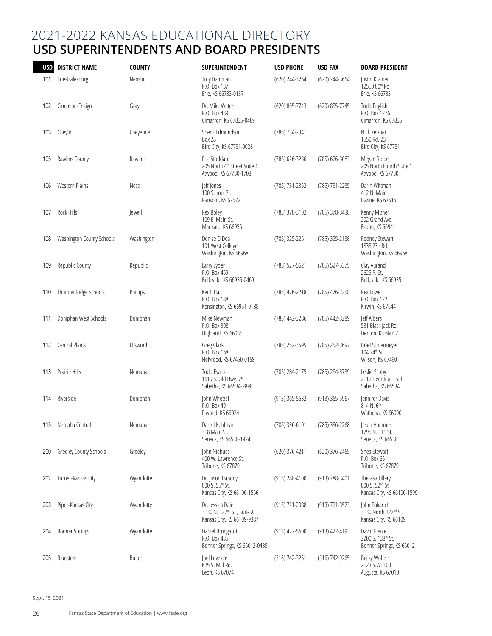## 2021-2022 KANSAS EDUCATIONAL DIRECTORY **USD SUPERINTENDENTS AND BOARD PRESIDENTS**

| <b>USD</b> | <b>DISTRICT NAME</b>      | <b>COUNTY</b> | SUPERINTENDENT                                                                           | <b>USD PHONE</b>   | <b>USD FAX</b>     | <b>BOARD PRESIDENT</b>                                           |
|------------|---------------------------|---------------|------------------------------------------------------------------------------------------|--------------------|--------------------|------------------------------------------------------------------|
| 101        | Erie-Galesburg            | Neosho        | Troy Damman<br>P.O. Box 137<br>Erie, KS 66733-0137                                       | (620) 244-3264     | (620) 244-3664     | Justin Kramer<br>12550 80th Rd.<br>Erie, KS 66733                |
| 102        | Cimarron-Ensign           | Gray          | Dr. Mike Waters<br>P.O. Box 489<br>Cimarron, KS 67835-0489                               | (620) 855-7743     | (620) 855-7745     | <b>Todd English</b><br>P.O. Box 1276<br>Cimarron, KS 67835       |
| 103        | Cheylin                   | Cheyenne      | Sherri Edmundson<br><b>Box 28</b><br>Bird City, KS 67731-0028                            | (785) 734-2341     |                    | Nick Ketzner<br>1550 Rd. 23<br>Bird City, KS 67731               |
| 105        | Rawlins County            | Rawlins       | Eric Stoddard<br>205 North 4th Street Suite 1<br>Atwood, KS 67730-1708                   | (785) 626-3236     | (785) 626-3083     | Megan Rippe<br>205 North Fourth Suite 1<br>Atwood, KS 67730      |
| 106        | <b>Western Plains</b>     | Ness          | Jeff Jones<br>100 School St.<br>Ransom, KS 67572                                         | (785) 731-2352     | (785) 731-2235     | Darin Wittman<br>412 N. Main<br>Bazine, KS 67516                 |
| 107        | Rock Hills                | ewell         | Rex Boley<br>109 E. Main St.<br>Mankato, KS 66956                                        | (785) 378-3102     | (785) 378-3438     | Kenny Mizner<br>202 Grand Ave.<br>Esbon, KS 66941                |
| 108        | Washington County Schools | Washington    | Denise O'Dea<br>101 West College<br>Washington, KS 66968                                 | (785) 325-2261     | (785) 325-2138     | Rodney Stewart<br>1833 23rd Rd.<br>Washington, KS 66968          |
| 109        | Republic County           | Republic      | Larry Lyder<br>P.O. Box 469<br>Belleville, KS 66935-0469                                 | (785) 527-5621     | (785) 527-5375     | Clay Aurand<br>2625 P. St.<br>Belleville, KS 66935               |
| 110        | Thunder Ridge Schools     | Phillips      | Keith Hall<br>P.O. Box 188<br>Kensington, KS 66951-0188                                  | (785) 476-2218     | (785) 476-2258     | Rex Lowe<br>P.O. Box 122<br>Kirwin, KS 67644                     |
| 111        | Doniphan West Schools     | Doniphan      | Mike Newman<br>P.O. Box 308<br>Highland, KS 66035                                        | (785) 442-3286     | (785) 442-3289     | leff Albers<br>531 Black Jack Rd.<br>Denton, KS 66017            |
| 112        | Central Plains            | Ellsworth     | Greg Clark<br>P.O. Box 168<br>Holyrood, KS 67450-0168                                    | (785) 252-3695     | (785) 252-3697     | Brad Schiermeyer<br>104 24th St.<br>Wilson, KS 67490             |
| 113        | Prairie Hills             | Nemaha        | Todd Evans<br>1619 S. Old Hwy. 75<br>Sabetha, KS 66534-2898                              | (785) 284-2175     | (785) 284-3739     | Leslie Scoby<br>2112 Deer Run Trail<br>Sabetha, KS 66534         |
| 114        | Riverside                 | Doniphan      | John Whetzal<br>P.O. Box 49<br>Elwood, KS 66024                                          | (913) 365-5632     | (913) 365-5967     | Jennifer Davis<br>814 N. 6th<br>Wathena, KS 66090                |
| 115        | Nemaha Central            | Nemaha        | Darrel Kohlman<br>318 Main St.<br>Seneca, KS 66538-1924                                  | (785) 336-6101     | (785) 336-2268     | Jason Hammes<br>1795 N. 11 <sup>th</sup> St.<br>Seneca, KS 66538 |
| 200        | Greeley County Schools    | Greeley       | John Niehues<br>400 W. Lawrence St.<br>Tribune, KS 67879                                 | (620) 376-4211     | (620) 376-2465     | Shea Stewart<br>P.O. Box 651<br>Tribune, KS 67879                |
| 202        | Turner-Kansas City        | Wyandotte     | Dr. Jason Dandoy<br>800 S. 55th St.<br>Kansas City, KS 66106-1566                        | (913) 288-4100     | (913) 288-3401     | Theresa Tillery<br>800 S. 52nd St.<br>Kansas City, KS 66106-1599 |
| 203        | Piper-Kansas City         | Wyandotte     | Dr. Jessica Dain<br>3130 N. 122 <sup>nd</sup> St., Suite A<br>Kansas City, KS 66109-9387 | $(913) 721 - 2088$ | $(913) 721 - 3573$ | John Bakarich<br>3130 North 122nd St.<br>Kansas City, KS 66109   |
| 204        | <b>Bonner Springs</b>     | Wyandotte     | Daniel Brungardt<br>P.O. Box 435<br>Bonner Springs, KS 66012-0435                        | $(913)$ 422-5600   | (913) 422-4193     | David Pierce<br>2200 S. 138th St.<br>Bonner Springs, KS 66012    |
| 205        | Bluestem                  | <b>Butler</b> | Joel Lovesee<br>625 S. Mill Rd.<br>Leon, KS 67074                                        | (316) 742-3261     | $(316) 742 - 9265$ | Becky Wolfe<br>2123 S.W. 100th<br>Augusta, KS 67010              |

Sept. 15, 2021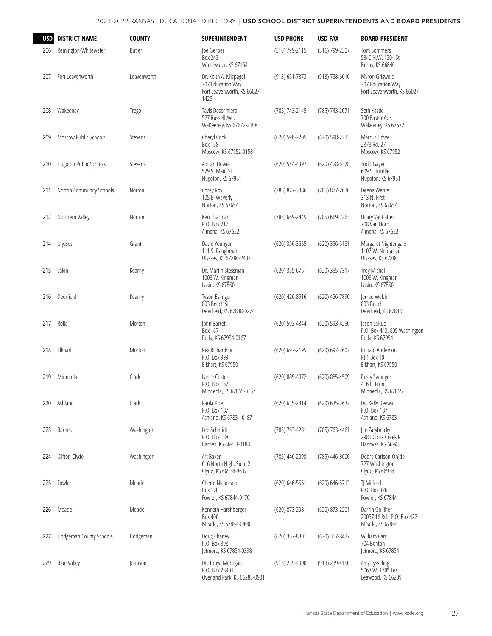| <b>USD</b> | <b>DISTRICT NAME</b>     | <b>COUNTY</b> | SUPERINTENDENT                                                                    | <b>USD PHONE</b>   | <b>USD FAX</b>   | <b>BOARD PRESIDENT</b>                                            |
|------------|--------------------------|---------------|-----------------------------------------------------------------------------------|--------------------|------------------|-------------------------------------------------------------------|
| 206        | Remington-Whitewater     | <b>Butler</b> | loe Gerber<br>Box 243<br>Whitewater, KS 67154                                     | (316) 799-2115     | (316) 799-2307   | <b>Tom Sommers</b><br>5340 N.W. 120th St.<br>Burns, KS 66840      |
| 207        | Fort Leavenworth         | Leavenworth   | Dr. Keith A. Mispagel<br>207 Education Way<br>Fort Leavenworth, KS 66027-<br>1425 | (913) 651-7373     | (913) 758-6010   | Myron Griswold<br>207 Education Way<br>Fort Leavenworth, KS 66027 |
| 208        | Wakeeney                 | Trego         | <b>Tavis Desormiers</b><br>527 Russell Ave.<br>WaKeeney, KS 67672-2108            | (785) 743-2145     | (785) 743-2071   | Seth Kastle<br>700 Easter Ave.<br>Wakeeney, KS 67672              |
| 209        | Moscow Public Schools    | Stevens       | Cheryl Cook<br>Box 158<br>Moscow, KS 67952-0158                                   | $(620)$ 598-2205   | $(620)$ 598-2233 | Marcus Howe<br>2373 Rd. 27<br>Moscow, KS 67952                    |
| 210        | Hugoton Public Schools   | Stevens       | Adrian Howie<br>529 S. Main St.<br>Hugoton, KS 67951                              | (620) 544-4397     | (620) 428-6378   | Todd Gaver<br>609 S. Trindle<br>Hugoton, KS 67951                 |
| 211        | Norton Community Schools | Norton        | Corey Roy<br>105 E. Waverly<br>Norton, KS 67654                                   | (785) 877-3386     | (785) 877-2030   | Deena Wente<br>313 N. First<br>Norton, KS 67654                   |
| 212        | Northern Valley          | Norton        | Ken Tharman<br>P.O. Box 217<br>Almena, KS 67622                                   | (785) 669-2445     | (785) 669-2263   | Hilary VanPatten<br>708 Van Horn<br>Almena, KS 67622              |
| 214        | Ulysses                  | Grant         | David Younger<br>111 S. Baughman<br>Ulysses, KS 67880-2402                        | $(620)$ 356-3655   | (620) 356-5181   | Margaret Nightengale<br>1107 W. Nebraska<br>Ulysses, KS 67880     |
| 215        | Lakin                    | Kearny        | Dr. Martin Stessman<br>1003 W. Kingman<br>Lakin, KS 67860                         | $(620)$ 355-6761   | (620) 355-7317   | <b>Troy Michel</b><br>1003 W. Kingman<br>Lakin, KS 67860          |
| 216        | Deerfield                | Kearny        | Tyson Eslinger<br>803 Beech St.<br>Deerfield, KS 67838-0274                       | $(620)$ 426-8516   | (620) 426-7890   | Jerrad Webb<br>803 Beech<br>Deerfield, KS 67838                   |
| 217        | Rolla                    | Morton        | John Barrett<br>Box 167<br>Rolla, KS 67954-0167                                   | (620) 593-4344     | (620) 593-4250   | Jason LaRue<br>P.O. Box 443, 805 Washington<br>Rolla, KS 67954    |
| 218        | Elkhart                  | Morton        | Rex Richardson<br>P.O. Box 999<br>Elkhart, KS 67950                               | (620) 697-2195     | (620) 697-2607   | Ronald Anderson<br><b>Rt 1 Box 10</b><br>Elkhart, KS 67950        |
| 219        | Minneola                 | Clark         | Lance Custer<br>P.O. Box 157<br>Minneola, KS 67865-0157                           | (620) 885-4372     | (620) 885-4509   | <b>Rusty Swonger</b><br>416 E. Front<br>Minneola, KS 67865        |
| 220        | Ashland                  | Clark         | Paula Rice<br>P.O. Box 187<br>Ashland, KS 67831-0187                              | (620) 635-2814     | $(620)$ 635-2637 | Dr. Kelly Deewall<br>P.O. Box 187<br>Ashland, KS 67831            |
| 223        | Barnes                   | Washington    | Lee Schmidt<br>P.O. Box 188<br>Barnes, KS 66933-0188                              | (785) 763-4231     | (785) 763-4461   | Jim Zarybnicky<br>2981 Cross Creek R<br>Hanover, KS 66945         |
| 224        | Clifton-Clyde            | Washington    | Art Baker<br>616 North High, Suite 2<br>Clyde, KS 66938-9637                      | (785) 446-2098     | (785) 446-3000   | Debra Carlson-Ohlde<br>727 Washington<br>Clyde, KS 66938          |
| 225        | Fowler                   | Meade         | Cherie Nicholson<br>Box 170<br>Fowler, KS 67844-0170                              | $(620) 646 - 5661$ | (620) 646-5713   | TI Milford<br>P.O. Box 326<br>Fowler, KS 67844                    |
| 226        | Meade                    | Meade         | Kenneth Harshberger<br>Box 400<br>Meade, KS 67864-0400                            | (620) 873-2081     | (620) 873-2201   | Darrin Golliher<br>20057 16 Rd., P.O. Box 422<br>Meade, KS 67864  |
| 227        | Hodgeman County Schools  | Hodgeman      | Doug Chaney<br>P.O. Box 398<br>Jetmore, KS 67854-0398                             | (620) 357-8301     | (620) 357-8437   | William Carr<br>704 Benton<br>Jetmore, KS 67854                   |
| 229        | <b>Blue Valley</b>       | Johnson       | Dr. Tonya Merrigan<br>P.O. Box 23901<br>Overland Park, KS 66283-0901              | $(913)$ 239-4000   | (913) 239-4150   | Amy Tysseling<br>5063 W. 130th Ter.<br>Leawood, KS 66209          |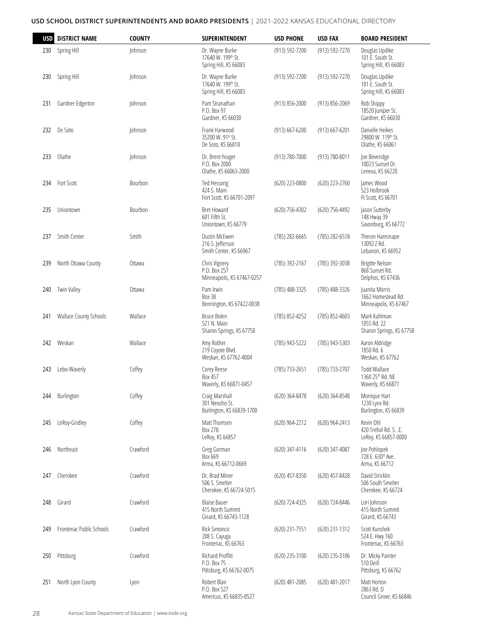| <b>USD</b> | <b>DISTRICT NAME</b>     | <b>COUNTY</b> | <b>SUPERINTENDENT</b>                                            | <b>USD PHONE</b>   | <b>USD FAX</b> | <b>BOARD PRESIDENT</b>                                        |
|------------|--------------------------|---------------|------------------------------------------------------------------|--------------------|----------------|---------------------------------------------------------------|
| 230        | Spring Hill              | Johnson       | Dr. Wayne Burke<br>17640 W. 199th St.<br>Spring Hill, KS 66083   | (913) 592-7200     | (913) 592-7270 | Douglas Updike<br>101 E. South St.<br>Spring Hill, KS 66083   |
| 230        | Spring Hill              | Johnson       | Dr. Wayne Burke<br>17640 W. 199th St.<br>Spring Hill, KS 66083   | (913) 592-7200     | (913) 592-7270 | Douglas Updike<br>101 E. South St.<br>Spring Hill, KS 66083   |
| 231        | Gardner Edgerton         | Johnson       | Pam Stranathan<br>P.O. Box 97<br>Gardner, KS 66030               | (913) 856-2000     | (913) 856-2069 | Rob Shippy<br>18520 Juniper St.<br>Gardner, KS 66030          |
| 232        | De Soto                  | Johnson       | Frank Harwood<br>35200 W. 91st St.<br>De Soto, KS 66018          | $(913) 667 - 6200$ | (913) 667-6201 | Danielle Heikes<br>29800 W. 119th St.<br>Olathe, KS 66061     |
| 233        | Olathe                   | Johnson       | Dr. Brent Yeager<br>P.O. Box 2000<br>Olathe, KS 66063-2000       | (913) 780-7000     | (913) 780-8011 | Joe Beveridge<br>10023 Sunset Dr.<br>Lenexa, KS 66220         |
| 234        | Fort Scott               | Bourbon       | Ted Hessong<br>424 S. Main<br>Fort Scott, KS 66701-2097          | (620) 223-0800     | (620) 223-2760 | James Wood<br>523 Holbrook<br>Ft Scott, KS 66701              |
| 235        | Uniontown                | Bourbon       | <b>Bret Howard</b><br>601 Fifth St.<br>Uniontown, KS 66779       | (620) 756-4302     | (620) 756-4492 | Jason Sutterby<br>148 Hway 39<br>Savonburg, KS 66772          |
| 237        | Smith Center             | Smith         | Dustin McEwen<br>216 S. Jefferson<br>Smith Center, KS 66967      | (785) 282-6665     | (785) 282-6518 | Theron Haresnape<br>13092 7 Rd.<br>Lebanon, KS 66952          |
| 239        | North Ottawa County      | Ottawa        | Chris Vignery<br>P.O. Box 257<br>Minneapolis, KS 67467-0257      | (785) 392-2167     | (785) 392-3038 | Brigitte Nelson<br>868 Sunset Rd.<br>Delphos, KS 67436        |
| 240        | <b>Twin Valley</b>       | Ottawa        | Pam Irwin<br><b>Box 38</b><br>Bennington, KS 67422-0038          | (785) 488-3325     | (785) 488-3326 | Juanita Morris<br>1662 Homestead Rd.<br>Minneapolis, KS 67467 |
| 241        | Wallace County Schools   | Wallace       | Bruce Bolen<br>521 N. Main<br>Sharon Springs, KS 67758           | (785) 852-4252     | (785) 852-4603 | Mark Kuhlman<br>1055 Rd. 22<br>Sharon Springs, KS 67758       |
| 242        | Weskan                   | Wallace       | Amy Rother<br>219 Coyote Blvd.<br>Weskan, KS 67762-4004          | (785) 943-5222     | (785) 943-5303 | Aaron Aldridge<br>1850 Rd. 6<br>Weskan, KS 67762              |
| 243        | Lebo-Waverly             | Coffey        | Corey Reese<br>Box 457<br>Waverly, KS 66871-0457                 | (785) 733-2651     | (785) 733-2707 | <b>Todd Wallace</b><br>1360 25th Rd, NE<br>Waverly, KS 66871  |
| 244        | Burlington               | Coffey        | Craig Marshall<br>301 Neosho St.<br>Burlington, KS 66839-1700    | (620) 364-8478     | (620) 364-8548 | Monique Hart<br>1230 Lynx Rd.<br>Burlington, KS 66839         |
| 245        | LeRoy-Gridley            | Coffey        | Matt Thomsen<br>Box 278<br>LeRoy, KS 66857                       | (620) 964-2212     | (620) 964-2413 | Kevin Ohl<br>420 Trefoil Rd. S. .E.<br>LeRoy, KS 66857-0000   |
| 246        | Northeast                | Crawford      | Greg Gorman<br>Box 669<br>Arma, KS 66712-0669                    | (620) 347-4116     | (620) 347-4087 | Joe Pohlopek<br>728 E. 630th Ave.<br>Arma, KS 66712           |
| 247        | Cherokee                 | Crawford      | Dr. Brad Miner<br>506 S. Smelter<br>Cherokee, KS 66724-5015      | (620) 457-8350     | (620) 457-8428 | David Stricklin<br>506 South Smelter<br>Cherokee, KS 66724    |
| 248        | Girard                   | Crawford      | <b>Blaise Bauer</b><br>415 North Summit<br>Girard, KS 66743-1128 | (620) 724-4325     | (620) 724-8446 | Lori Johnson<br>415 North Summit<br>Girard, KS 66743          |
| 249        | Frontenac Public Schools | Crawford      | Rick Simoncic<br>208 S. Cayuga<br>Frontenac, KS 66763            | (620) 231-7551     | (620) 231-1312 | Scott Kunshek<br>524 E. Hwy 160<br>Frontenac, KS 66763        |
| 250        | Pittsburg                | Crawford      | Richard Proffitt<br>P.O. Box 75<br>Pittsburg, KS 66762-0075      | (620) 235-3100     | (620) 235-3106 | Dr. Micky Painter<br>510 Deill<br>Pittsburg, KS 66762         |
| 251        | North Lyon County        | Lyon          | Robert Blair<br>P.O. Box 527<br>Americus, KS 66835-0527          | (620) 481-2085     | (620) 481-2017 | Matt Horton<br>2863 Rd. D<br>Council Grove, KS 66846          |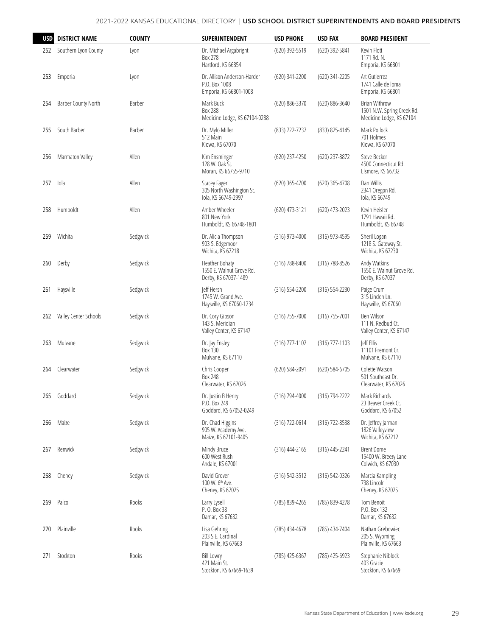| <b>USD</b> | <b>DISTRICT NAME</b>  | <b>COUNTY</b> | SUPERINTENDENT                                                         | <b>USD PHONE</b> | <b>USD FAX</b>   | <b>BOARD PRESIDENT</b>                                                         |
|------------|-----------------------|---------------|------------------------------------------------------------------------|------------------|------------------|--------------------------------------------------------------------------------|
| 252        | Southern Lyon County  | Lyon          | Dr. Michael Argabright<br>Box 278<br>Hartford, KS 66854                | (620) 392-5519   | (620) 392-5841   | Kevin Flott<br>1171 Rd. N.<br>Emporia, KS 66801                                |
| 253        | Emporia               | Lyon          | Dr. Allison Anderson-Harder<br>P.O. Box 1008<br>Emporia, KS 66801-1008 | (620) 341-2200   | (620) 341-2205   | Art Gutierrez<br>1741 Calle de loma<br>Emporia, KS 66801                       |
| 254        | Barber County North   | Barber        | Mark Buck<br><b>Box 288</b><br>Medicine Lodge, KS 67104-0288           | (620) 886-3370   | (620) 886-3640   | <b>Brian Withrow</b><br>1501 N.W. Spring Creek Rd.<br>Medicine Lodge, KS 67104 |
| 255        | South Barber          | Barber        | Dr. Mylo Miller<br>512 Main<br>Kiowa, KS 67070                         | (833) 722-7237   | (833) 825-4145   | Mark Pollock<br>701 Holmes<br>Kiowa, KS 67070                                  |
| 256        | Marmaton Valley       | Allen         | Kim Ensminger<br>128 W. Oak St.<br>Moran, KS 66755-9710                | (620) 237-4250   | (620) 237-8872   | Steve Becker<br>4500 Connecticut Rd.<br>Elsmore, KS 66732                      |
| 257        | Iola                  | Allen         | Stacey Fager<br>305 North Washington St.<br>lola, KS 66749-2997        | (620) 365-4700   | (620) 365-4708   | Dan Willis<br>2341 Oregon Rd.<br>lola, KS 66749                                |
| 258        | Humboldt              | Allen         | Amber Wheeler<br>801 New York<br>Humboldt, KS 66748-1801               | (620) 473-3121   | (620) 473-2023   | Kevin Heisler<br>1791 Hawaii Rd.<br>Humboldt, KS 66748                         |
| 259        | Wichita               | Sedgwick      | Dr. Alicia Thompson<br>903 S. Edgemoor<br>Wichita, KS 67218            | (316) 973-4000   | (316) 973-4595   | Sheril Logan<br>1218 S. Gateway St.<br>Wichita, KS 67230                       |
| 260        | Derby                 | Sedgwick      | Heather Bohaty<br>1550 E. Walnut Grove Rd.<br>Derby, KS 67037-1489     | (316) 788-8400   | (316) 788-8526   | Andy Watkins<br>1550 E. Walnut Grove Rd.<br>Derby, KS 67037                    |
| 261        | Haysville             | Sedgwick      | leff Hersh<br>1745 W. Grand Ave.<br>Haysville, KS 67060-1234           | (316) 554-2200   | (316) 554-2230   | Paige Crum<br>315 Linden Ln.<br>Haysville, KS 67060                            |
| 262        | Valley Center Schools | Sedgwick      | Dr. Cory Gibson<br>143 S. Meridian<br>Valley Center, KS 67147          | (316) 755-7000   | (316) 755-7001   | Ben Wilson<br>111 N. Redbud Ct.<br>Valley Center, KS 67147                     |
| 263        | Mulvane               | Sedgwick      | Dr. Jay Ensley<br>Box 130<br>Mulvane, KS 67110                         | (316) 777-1102   | (316) 777-1103   | leff Ellis<br>11101 Fremont Cr.<br>Mulvane, KS 67110                           |
| 264        | Clearwater            | Sedgwick      | Chris Cooper<br>Box 248<br>Clearwater, KS 67026                        | (620) 584-2091   | (620) 584-6705   | Colette Watson<br>501 Southeast Dr.<br>Clearwater, KS 67026                    |
| 265        | Goddard               | Sedgwick      | Dr. Justin B Henry<br>P.O. Box 249<br>Goddard, KS 67052-0249           | (316) 794-4000   | (316) 794-2222   | Mark Richards<br>23 Beaver Creek Ct.<br>Goddard, KS 67052                      |
| 266        | Maize                 | Sedgwick      | Dr. Chad Higgins<br>905 W. Academy Ave.<br>Maize, KS 67101-9405        | (316) 722-0614   | (316) 722-8538   | Dr. Jeffrey Jarman<br>1826 Valleyview<br>Wichita, KS 67212                     |
| 267        | Renwick               | Sedgwick      | Mindy Bruce<br>600 West Rush<br>Andale, KS 67001                       | (316) 444-2165   | $(316)$ 445-2241 | <b>Brent Dome</b><br>15400 W. Breezy Lane<br>Colwich, KS 67030                 |
| 268        | Cheney                | Sedgwick      | David Grover<br>100 W. 6 <sup>th</sup> Ave.<br>Cheney, KS 67025        | (316) 542-3512   | (316) 542-0326   | Marcia Kampling<br>738 Lincoln<br>Cheney, KS 67025                             |
| 269        | Palco                 | Rooks         | Larry Lysell<br>P. O. Box 38<br>Damar, KS 67632                        | (785) 839-4265   | (785) 839-4278   | Tom Benoit<br>P.O. Box 132<br>Damar, KS 67632                                  |
| 270        | Plainville            | Rooks         | Lisa Gehring<br>203 S E. Cardinal<br>Plainville, KS 67663              | (785) 434-4678   | (785) 434-7404   | Nathan Grebowiec<br>205 S. Wyoming<br>Plainville, KS 67663                     |
| 271        | Stockton              | Rooks         | <b>Bill Lowry</b><br>421 Main St.<br>Stockton, KS 67669-1639           | (785) 425-6367   | (785) 425-6923   | Stephanie Niblock<br>403 Gracie<br>Stockton, KS 67669                          |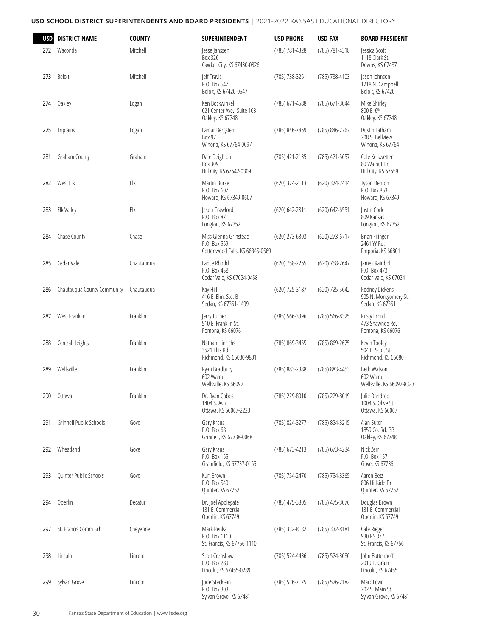| <b>USD</b> | <b>DISTRICT NAME</b>        | <b>COUNTY</b> | <b>SUPERINTENDENT</b>                                                    | <b>USD PHONE</b> | <b>USD FAX</b>     | <b>BOARD PRESIDENT</b>                                     |
|------------|-----------------------------|---------------|--------------------------------------------------------------------------|------------------|--------------------|------------------------------------------------------------|
| 272        | Waconda                     | Mitchell      | Jesse Janssen<br>Box 326<br>Cawker City, KS 67430-0326                   | (785) 781-4328   | (785) 781-4318     | Jessica Scott<br>1118 Clark St.<br>Downs, KS 67437         |
| 273        | <b>Beloit</b>               | Mitchell      | leff Travis<br>P.O. Box 547<br>Beloit, KS 67420-0547                     | (785) 738-3261   | (785) 738-4103     | Jason Johnson<br>1218 N. Campbell<br>Beloit, KS 67420      |
| 274        | Oakley                      | Logan         | Ken Bockwinkel<br>621 Center Ave., Suite 103<br>Oakley, KS 67748         | (785) 671-4588   | (785) 671-3044     | Mike Shirley<br>800 E. 6th<br>Oakley, KS 67748             |
| 275        | Triplains                   | Logan         | Lamar Bergsten<br>Box 97<br>Winona, KS 67764-0097                        | (785) 846-7869   | (785) 846-7767     | Dustin Latham<br>208 S. Bellview<br>Winona, KS 67764       |
| 281        | Graham County               | Graham        | Dale Deighton<br>Box 309<br>Hill City, KS 67642-0309                     | (785) 421-2135   | (785) 421-5657     | Cole Keiswetter<br>80 Walnut Dr.<br>Hill City, KS 67659    |
| 282        | West Elk                    | Elk           | Martin Burke<br>P.O. Box 607<br>Howard, KS 67349-0607                    | (620) 374-2113   | (620) 374-2414     | Tyson Denton<br>P.O. Box 863<br>Howard, KS 67349           |
| 283        | Elk Valley                  | Elk           | Jason Crawford<br>P.O. Box 87<br>Longton, KS 67352                       | (620) 642-2811   | $(620) 642 - 6551$ | Justin Corle<br>809 Kansas<br>Longton, KS 67352            |
| 284        | Chase County                | Chase         | Miss Glenna Grinstead<br>P.O. Box 569<br>Cottonwood Falls, KS 66845-0569 | (620) 273-6303   | (620) 273-6717     | <b>Brian Filinger</b><br>2461 YY Rd.<br>Emporia, KS 66801  |
| 285        | Cedar Vale                  | Chautaugua    | Lance Rhodd<br>P.O. Box 458<br>Cedar Vale, KS 67024-0458                 | (620) 758-2265   | (620) 758-2647     | lames Rainbolt<br>P.O. Box 473<br>Cedar Vale, KS 67024     |
| 286        | Chautaugua County Community | Chautaugua    | Kay Hill<br>416 E. Elm, Ste. B<br>Sedan, KS 67361-1499                   | (620) 725-3187   | (620) 725-5642     | Rodney Dickens<br>905 N. Montgomery St.<br>Sedan, KS 67361 |
| 287        | West Franklin               | Franklin      | Jerry Turner<br>510 E. Franklin St.<br>Pomona, KS 66076                  | (785) 566-3396   | (785) 566-8325     | Rusty Ecord<br>473 Shawnee Rd.<br>Pomona, KS 66076         |
| 288        | Central Heights             | Franklin      | Nathan Hinrichs<br>3521 Filis Rd.<br>Richmond, KS 66080-9801             | (785) 869-3455   | (785) 869-2675     | Kevin Tooley<br>504 E. Scott St.<br>Richmond, KS 66080     |
| 289        | Wellsville                  | Franklin      | Ryan Bradbury<br>602 Walnut<br>Wellsville, KS 66092                      | (785) 883-2388   | (785) 883-4453     | Beth Watson<br>602 Walnut<br>Wellsville, KS 66092-8323     |
| 290        | Ottawa                      | Franklin      | Dr. Ryan Cobbs<br>1404 S. Ash<br>Ottawa, KS 66067-2223                   | (785) 229-8010   | (785) 229-8019     | Julie Dandreo<br>1004 S. Olive St.<br>Ottawa, KS 66067     |
| 291        | Grinnell Public Schools     | Gove          | Gary Kraus<br>P.O. Box 68<br>Grinnell, KS 67738-0068                     | (785) 824-3277   | (785) 824-3215     | Alan Suter<br>1859 Co. Rd. BB<br>Oakley, KS 67748          |
| 292        | Wheatland                   | Gove          | Gary Kraus<br>P.O. Box 165<br>Grainfield, KS 67737-0165                  | (785) 673-4213   | (785) 673-4234     | Nick Zerr<br>P.O. Box 157<br>Gove, KS 67736                |
| 293        | Quinter Public Schools      | Gove          | Kurt Brown<br>P.O. Box 540<br>Quinter, KS 67752                          | (785) 754-2470   | (785) 754-3365     | Aaron Betz<br>806 Hillside Dr.<br>Quinter, KS 67752        |
| 294        | Oberlin                     | Decatur       | Dr. Joel Applegate<br>131 E. Commercial<br>Oberlin, KS 67749             | (785) 475-3805   | (785) 475-3076     | Douglas Brown<br>131 E. Commercial<br>Oberlin, KS 67749    |
| 297        | St. Francis Comm Sch        | Cheyenne      | Mark Penka<br>P.O. Box 1110<br>St. Francis, KS 67756-1110                | (785) 332-8182   | (785) 332-8181     | Cale Rieger<br>930 RS 877<br>St. Francis, KS 67756         |
| 298        | Lincoln                     | Lincoln       | Scott Crenshaw<br>P.O. Box 289<br>Lincoln, KS 67455-0289                 | (785) 524-4436   | (785) 524-3080     | John Buttenhoff<br>2019 E. Grain<br>Lincoln, KS 67455      |
| 299        | Sylvan Grove                | Lincoln       | Jude Stecklein<br>P.O. Box 303<br>Sylvan Grove, KS 67481                 | (785) 526-7175   | (785) 526-7182     | Marc Lovin<br>202 S. Main St.<br>Sylvan Grove, KS 67481    |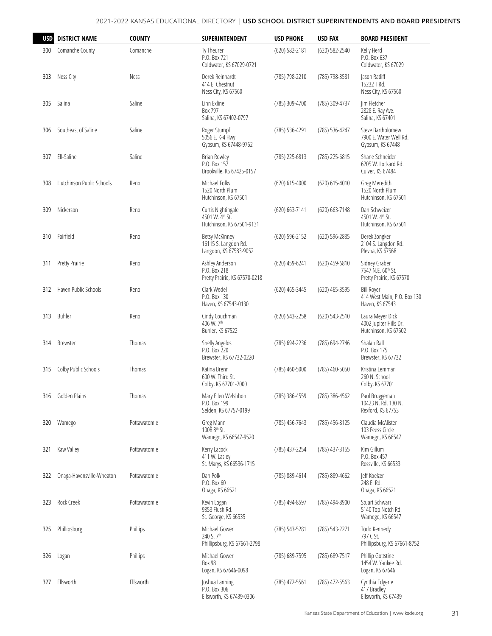| <b>USD</b> | <b>DISTRICT NAME</b>      | <b>COUNTY</b> | <b>SUPERINTENDENT</b>                                                   | <b>USD PHONE</b>   | <b>USD FAX</b> | <b>BOARD PRESIDENT</b>                                              |
|------------|---------------------------|---------------|-------------------------------------------------------------------------|--------------------|----------------|---------------------------------------------------------------------|
| 300        | Comanche County           | Comanche      | Ty Theurer<br>P.O. Box 721<br>Coldwater, KS 67029-0721                  | $(620) 582 - 2181$ | (620) 582-2540 | Kelly Herd<br>P.O. Box 637<br>Coldwater, KS 67029                   |
| 303        | Ness City                 | Ness          | Derek Reinhardt<br>414 E. Chestnut<br>Ness City, KS 67560               | (785) 798-2210     | (785) 798-3581 | Jason Ratliff<br>15232 T Rd.<br>Ness City, KS 67560                 |
| 305        | Salina                    | Saline        | Linn Exline<br>Box 797<br>Salina, KS 67402-0797                         | (785) 309-4700     | (785) 309-4737 | Jim Fletcher<br>2828 E. Ray Ave.<br>Salina, KS 67401                |
| 306        | Southeast of Saline       | Saline        | Roger Stumpf<br>5056 E. K-4 Hwy<br>Gypsum, KS 67448-9762                | (785) 536-4291     | (785) 536-4247 | Steve Bartholomew<br>7900 E. Water Well Rd.<br>Gypsum, KS 67448     |
| 307        | Ell-Saline                | Saline        | <b>Brian Rowley</b><br>P.O. Box 157<br>Brookville, KS 67425-0157        | (785) 225-6813     | (785) 225-6815 | Shane Schneider<br>6205 W. Lockard Rd.<br>Culver, KS 67484          |
| 308        | Hutchinson Public Schools | Reno          | Michael Folks<br>1520 North Plum<br>Hutchinson, KS 67501                | $(620) 615 - 4000$ | (620) 615-4010 | Greg Meredith<br>1520 North Plum<br>Hutchinson, KS 67501            |
| 309        | Nickerson                 | Reno          | Curtis Nightingale<br>4501 W. 4th St.<br>Hutchinson, KS 67501-9131      | $(620) 663 - 7141$ | (620) 663-7148 | Dan Schweizer<br>4501 W. 4th St.<br>Hutchinson, KS 67501            |
| 310        | Fairfield                 | Reno          | <b>Betsy McKinney</b><br>16115 S. Langdon Rd.<br>Langdon, KS 67583-9052 | (620) 596-2152     | (620) 596-2835 | Derek Zongker<br>2104 S. Langdon Rd.<br>Plevna, KS 67568            |
| 311        | Pretty Prairie            | Reno          | Ashley Anderson<br>P.O. Box 218<br>Pretty Prairie, KS 67570-0218        | (620) 459-6241     | (620) 459-6810 | Sidney Graber<br>7547 N.E. 60th St.<br>Pretty Prairie, KS 67570     |
| 312        | Haven Public Schools      | Reno          | Clark Wedel<br>P.O. Box 130<br>Haven, KS 67543-0130                     | (620) 465-3445     | (620) 465-3595 | <b>Bill Rover</b><br>414 West Main, P.O. Box 130<br>Haven, KS 67543 |
| 313        | Buhler                    | Reno          | Cindy Couchman<br>406 W. 7th<br>Buhler, KS 67522                        | (620) 543-2258     | (620) 543-2510 | Laura Meyer Dick<br>4002 Jupiter Hills Dr.<br>Hutchinson, KS 67502  |
| 314        | Brewster                  | Thomas        | Shelly Angelos<br>P.O. Box 220<br>Brewster, KS 67732-0220               | (785) 694-2236     | (785) 694-2746 | Shalah Rall<br>P.O. Box 175<br>Brewster, KS 67732                   |
| 315        | Colby Public Schools      | Thomas        | Katina Brenn<br>600 W. Third St.<br>Colby, KS 67701-2000                | (785) 460-5000     | (785) 460-5050 | Kristina Lemman<br>260 N. School<br>Colby, KS 67701                 |
| 316        | Golden Plains             | Thomas        | Mary Ellen Welshhon<br>P.O. Box 199<br>Selden, KS 67757-0199            | (785) 386-4559     | (785) 386-4562 | Paul Bruggeman<br>10423 N. Rd. 130 N.<br>Rexford, KS 67753          |
| 320        | Wamego                    | Pottawatomie  | Greg Mann<br>1008 8th St.<br>Wamego, KS 66547-9520                      | (785) 456-7643     | (785) 456-8125 | Claudia McAlister<br>103 Feess Circle<br>Wamego, KS 66547           |
| 321        | Kaw Valley                | Pottawatomie  | Kerry Lacock<br>411 W. Lasley<br>St. Marys, KS 66536-1715               | (785) 437-2254     | (785) 437-3155 | Kim Gillum<br>P.O. Box 457<br>Rossville, KS 66533                   |
| 322        | Onaga-Havensville-Wheaton | Pottawatomie  | Dan Polk<br>P.O. Box 60<br>Onaga, KS 66521                              | (785) 889-4614     | (785) 889-4662 | Jeff Koelzer<br>248 E. Rd.<br>Onaga, KS 66521                       |
| 323        | Rock Creek                | Pottawatomie  | Kevin Logan<br>9353 Flush Rd.<br>St. George, KS 66535                   | (785) 494-8597     | (785) 494-8900 | Stuart Schwarz<br>5140 Top Notch Rd.<br>Wamego, KS 66547            |
| 325        | Phillipsburg              | Phillips      | Michael Gower<br>240 S. 7th<br>Phillipsburg, KS 67661-2798              | (785) 543-5281     | (785) 543-2271 | Todd Kennedy<br>797 C St.<br>Phillipsburg, KS 67661-8752            |
| 326        | Logan                     | Phillips      | Michael Gower<br><b>Box 98</b><br>Logan, KS 67646-0098                  | (785) 689-7595     | (785) 689-7517 | Phillip Gottstine<br>1454 W. Yankee Rd.<br>Logan, KS 67646          |
| 327        | Ellsworth                 | Ellsworth     | Joshua Lanning<br>P.O. Box 306<br>Ellsworth, KS 67439-0306              | (785) 472-5561     | (785) 472-5563 | Cynthia Edgerle<br>417 Bradley<br>Ellsworth, KS 67439               |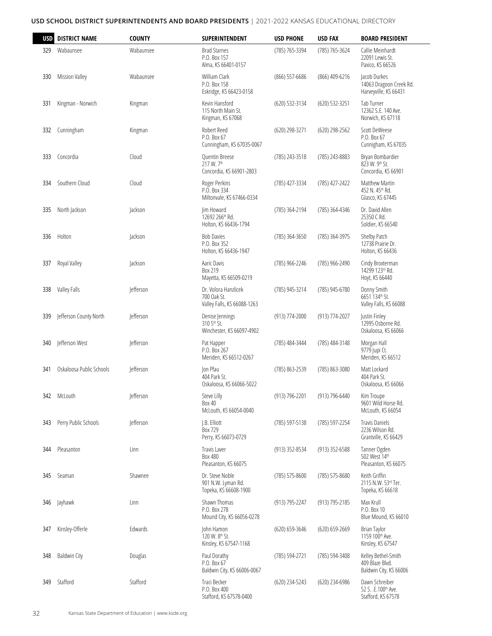| <b>USD</b> | <b>DISTRICT NAME</b>     | <b>COUNTY</b>    | SUPERINTENDENT                                                     | <b>USD PHONE</b> | <b>USD FAX</b> | <b>BOARD PRESIDENT</b>                                           |
|------------|--------------------------|------------------|--------------------------------------------------------------------|------------------|----------------|------------------------------------------------------------------|
| 329        | Wabaunsee                | Wabaunsee        | <b>Brad Starnes</b><br>P.O. Box 157<br>Alma, KS 66401-0157         | (785) 765-3394   | (785) 765-3624 | Callie Meinhardt<br>22091 Lewis St.<br>Paxico, KS 66526          |
| 330        | <b>Mission Valley</b>    | Wabaunsee        | William Clark<br>P.O. Box 158<br>Eskridge, KS 66423-0158           | (866) 557-6686   | (866) 409-6216 | Jacob Durkes<br>14063 Dragoon Creek Rd.<br>Harveyville, KS 66431 |
| 331        | Kingman - Norwich        | Kingman          | Kevin Hansford<br>115 North Main St.<br>Kingman, KS 67068          | (620) 532-3134   | (620) 532-3251 | Tab Turner<br>12362 S.E. 140 Ave.<br>Norwich, KS 67118           |
| 332        | Cunningham               | Kingman          | Robert Reed<br>P.O. Box 67<br>Cunningham, KS 67035-0067            | (620) 298-3271   | (620) 298-2562 | Scott DeWeese<br>P.O. Box 67<br>Cunnigham, KS 67035              |
| 333        | Concordia                | Cloud            | Quentin Breese<br>217 W. 7th<br>Concordia, KS 66901-2803           | (785) 243-3518   | (785) 243-8883 | Bryan Bombardier<br>823 W. 9th St.<br>Concordia, KS 66901        |
| 334        | Southern Cloud           | Cloud            | Roger Perkins<br>P.O. Box 334<br>Miltonvale, KS 67466-0334         | (785) 427-3334   | (785) 427-2422 | <b>Matthew Martin</b><br>452 N. 45th Rd.<br>Glasco, KS 67445     |
| 335        | North Jackson            | Jackson          | Jim Howard<br>12692 266th Rd.<br>Holton, KS 66436-1794             | (785) 364-2194   | (785) 364-4346 | Dr. David Allen<br>25350 C Rd.<br>Soldier, KS 66540              |
| 336        | Holton                   | Jackson          | <b>Bob Davies</b><br>P.O. Box 352<br>Holton, KS 66436-1947         | (785) 364-3650   | (785) 364-3975 | Shelby Patch<br>12738 Prairie Dr.<br>Holton, KS 66436            |
| 337        | Royal Valley             | Jackson          | Aaric Davis<br>Box 219<br>Mayetta, KS 66509-0219                   | (785) 966-2246   | (785) 966-2490 | Cindy Broxterman<br>14299 123rd Rd.<br>Hoyt, KS 66440            |
| 338        | Valley Falls             | <b>Jefferson</b> | Dr. Volora Hanzlicek<br>700 Oak St.<br>Valley Falls, KS 66088-1263 | (785) 945-3214   | (785) 945-6780 | Donny Smith<br>6651 134th St.<br>Valley Falls, KS 66088          |
| 339        | Jefferson County North   | <b>Jefferson</b> | Denise Jennings<br>310 5th St.<br>Winchester, KS 66097-4902        | (913) 774-2000   | (913) 774-2027 | Justin Finley<br>12995 Osborne Rd.<br>Oskaloosa, KS 66066        |
| 340        | Jefferson West           | <b>Jefferson</b> | Pat Happer<br>P.O. Box 267<br>Meriden, KS 66512-0267               | (785) 484-3444   | (785) 484-3148 | Morgan Hall<br>9779 Jupi Ct.<br>Meriden, KS 66512                |
| 341        | Oskaloosa Public Schools | <b>Jefferson</b> | Jon Pfau<br>404 Park St.<br>Oskaloosa, KS 66066-5022               | (785) 863-2539   | (785) 863-3080 | Matt Lockard<br>404 Park St.<br>Oskaloosa, KS 66066              |
| 342        | McLouth                  | Jefferson        | Steve Lilly<br>Box 40<br>McLouth, KS 66054-0040                    | (913) 796-2201   | (913) 796-6440 | Kim Troupe<br>9601 Wild Horse Rd.<br>McLouth, KS 66054           |
| 343        | Perry Public Schools     | Jefferson        | J.B. Elliott<br>Box 729<br>Perry, KS 66073-0729                    | (785) 597-5138   | (785) 597-2254 | <b>Travis Daniels</b><br>2236 Wilson Rd.<br>Grantville, KS 66429 |
| 344        | Pleasanton               | Linn             | Travis Laver<br><b>Box 480</b><br>Pleasanton, KS 66075             | (913) 352-8534   | (913) 352-6588 | Tanner Ogden<br>502 West 14th<br>Pleasanton, KS 66075            |
| 345        | Seaman                   | Shawnee          | Dr. Steve Noble<br>901 N.W. Lyman Rd.<br>Topeka, KS 66608-1900     | (785) 575-8600   | (785) 575-8680 | Keith Griffin<br>2115 N.W. 53rd Ter.<br>Topeka, KS 66618         |
| 346        | Jayhawk                  | Linn             | Shawn Thomas<br>P.O. Box 278<br>Mound City, KS 66056-0278          | (913) 795-2247   | (913) 795-2185 | Max Krull<br>P.O. Box 10<br>Blue Mound, KS 66010                 |
| 347        | Kinsley-Offerle          | Edwards          | John Hamon<br>120 W. 8 <sup>th</sup> St.<br>Kinsley, KS 67547-1168 | (620) 659-3646   | (620) 659-2669 | Brian Taylor<br>1159 100th Ave.<br>Kinsley, KS 67547             |
| 348        | <b>Baldwin City</b>      | Douglas          | Paul Dorathy<br>P.O. Box 67<br>Baldwin City, KS 66006-0067         | (785) 594-2721   | (785) 594-3408 | Kelley Bethel-Smith<br>409 Blaze Blvd.<br>Baldwin City, KS 66006 |
| 349        | Stafford                 | Stafford         | Traci Becker<br>P.O. Box 400<br>Stafford, KS 67578-0400            | (620) 234-5243   | (620) 234-6986 | Dawn Schreiber<br>52 S. .E.100th Ave.<br>Stafford, KS 67578      |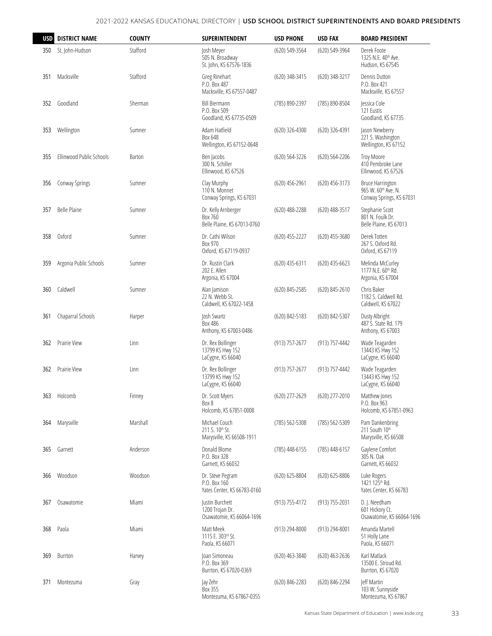| <b>USD</b> | <b>DISTRICT NAME</b>     | <b>COUNTY</b> | <b>SUPERINTENDENT</b>                                                     | <b>USD PHONE</b> | <b>USD FAX</b>   | <b>BOARD PRESIDENT</b>                                                     |
|------------|--------------------------|---------------|---------------------------------------------------------------------------|------------------|------------------|----------------------------------------------------------------------------|
| 350        | St. John-Hudson          | Stafford      | Josh Meyer<br>505 N. Broadway<br>St. John, KS 67576-1836                  | (620) 549-3564   | (620) 549-3964   | Derek Foote<br>1325 N.E. 40th Ave.<br>Hudson, KS 67545                     |
| 351        | Macksville               | Stafford      | Greg Rinehart<br>P.O. Box 487<br>Macksville, KS 67557-0487                | (620) 348-3415   | (620) 348-3217   | Dennis Dutton<br>P.O. Box 421<br>Macksville, KS 67557                      |
| 352        | Goodland                 | Sherman       | <b>Bill Biermann</b><br>P.O. Box 509<br>Goodland, KS 67735-0509           | (785) 890-2397   | (785) 890-8504   | Jessica Cole<br>121 Eustis<br>Goodland, KS 67735                           |
| 353        | Wellington               | Sumner        | Adam Hatfield<br>Box 648<br>Wellington, KS 67152-0648                     | (620) 326-4300   | (620) 326-4391   | Jason Newberry<br>221 S. Washington<br>Wellington, KS 67152                |
| 355        | Ellinwood Public Schools | Barton        | Ben Jacobs<br>300 N. Schiller<br>Ellinwood, KS 67526                      | (620) 564-3226   | (620) 564-2206   | Troy Moore<br>410 Pembroke Lane<br>Ellinwood, KS 67526                     |
| 356        | Conway Springs           | Sumner        | Clay Murphy<br>110 N. Monnet<br>Conway Springs, KS 67031                  | $(620)$ 456-2961 | (620) 456-3173   | <b>Bruce Harrington</b><br>965 W. 60th Ave. N.<br>Conway Springs, KS 67031 |
| 357        | <b>Belle Plaine</b>      | Sumner        | Dr. Kelly Arnberger<br>Box 760<br>Belle Plaine, KS 67013-0760             | (620) 488-2288   | (620) 488-3517   | Stephanie Scott<br>801 N. Foulk Dr.<br>Belle Plaine, KS 67013              |
| 358        | Oxford                   | Sumner        | Dr. Cathi Wilson<br>Box 970<br>Oxford, KS 67119-0937                      | (620) 455-2227   | (620) 455-3680   | Derek Totten<br>267 S. Oxford Rd.<br>Oxford, KS 67119                      |
| 359        | Argonia Public Schools   | Sumner        | Dr. Rustin Clark<br>202 E. Allen<br>Argonia, KS 67004                     | (620) 435-6311   | $(620)$ 435-6623 | Melinda McCurley<br>1177 N.E. 60th Rd.<br>Argonia, KS 67004                |
| 360        | Caldwell                 | Sumner        | Alan Jamison<br>22 N. Webb St.<br>Caldwell, KS 67022-1458                 | (620) 845-2585   | (620) 845-2610   | Chris Baker<br>1182 S. Caldwell Rd.<br>Caldwell, KS 67022                  |
| 361        | Chaparral Schools        | Harper        | Josh Swartz<br><b>Box 486</b><br>Anthony, KS 67003-0486                   | (620) 842-5183   | (620) 842-5307   | Dusty Albright<br>487 S. State Rd. 179<br>Anthony, KS 67003                |
| 362        | Prairie View             | Linn          | Dr. Rex Bollinger<br>13799 KS Hwy 152<br>LaCygne, KS 66040                | (913) 757-2677   | (913) 757-4442   | Wade Teagarden<br>13443 KS Hwy 152<br>LaCygne, KS 66040                    |
| 362        | Prairie View             | Linn          | Dr. Rex Bollinger<br>13799 KS Hwy 152<br>LaCygne, KS 66040                | (913) 757-2677   | (913) 757-4442   | Wade Teagarden<br>13443 KS Hwy 152<br>LaCygne, KS 66040                    |
| 363        | Holcomb                  | Finney        | Dr. Scott Myers<br>Box 8<br>Holcomb, KS 67851-0008                        | (620) 277-2629   | (620) 277-2010   | Matthew Jones<br>P.O. Box 963<br>Holcomb, KS 67851-0963                    |
| 364        | Marysville               | Marshall      | Michael Couch<br>211 S. 10 <sup>th</sup> St.<br>Marysville, KS 66508-1911 | (785) 562-5308   | (785) 562-5309   | Pam Dankenbring<br>211 South 10th<br>Marysville, KS 66508                  |
| 365        | Garnett                  | Anderson      | Donald Blome<br>P.O. Box 328<br>Garnett, KS 66032                         | (785) 448-6155   | (785) 448-6157   | Gaylene Comfort<br>305 N. Oak<br>Garnett, KS 66032                         |
| 366        | Woodson                  | Woodson       | Dr. Steve Pegram<br>P.O. Box 160<br>Yates Center, KS 66783-0160           | (620) 625-8804   | (620) 625-8806   | Luke Rogers<br>1421 125th Rd.<br>Yates Center, KS 66783                    |
| 367        | Osawatomie               | Miami         | Justin Burchett<br>1200 Trojan Dr.<br>Osawatomie, KS 66064-1696           | (913) 755-4172   | (913) 755-2031   | D. J. Needham<br>601 Hickory Ct.<br>Osawatomie, KS 66064-1696              |
| 368        | Paola                    | Miami         | Matt Meek<br>1115 E. 303rd St.<br>Paola, KS 66071                         | (913) 294-8000   | (913) 294-8001   | Amanda Martell<br>51 Holly Lane<br>Paola, KS 66071                         |
| 369        | Burrton                  | Harvey        | Joan Simoneau<br>P.O. Box 369<br>Burrton, KS 67020-0369                   | (620) 463-3840   | (620) 463-2636   | Karl Matlack<br>13500 E. Stroud Rd.<br>Burrton, KS 67020                   |
| 371        | Montezuma                | Gray          | Jay Zehr<br>Box 355<br>Montezuma, KS 67867-0355                           | (620) 846-2283   | (620) 846-2294   | Jeff Martin<br>103 W. Sunnyside<br>Montezuma, KS 67867                     |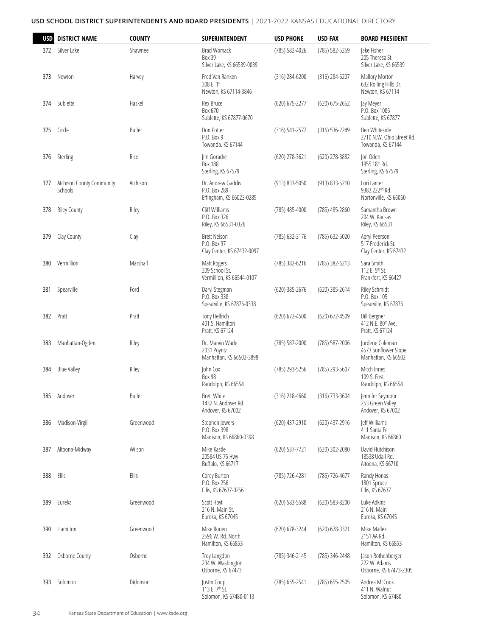| USD | <b>DISTRICT NAME</b>                 | <b>COUNTY</b> | SUPERINTENDENT                                                      | <b>USD PHONE</b>   | <b>USD FAX</b>     | <b>BOARD PRESIDENT</b>                                             |
|-----|--------------------------------------|---------------|---------------------------------------------------------------------|--------------------|--------------------|--------------------------------------------------------------------|
| 372 | Silver Lake                          | Shawnee       | Brad Womack<br>Box 39<br>Silver Lake, KS 66539-0039                 | (785) 582-4026     | (785) 582-5259     | Jake Fisher<br>205 Theresa St.<br>Silver Lake, KS 66539            |
| 373 | Newton                               | Harvey        | Fred Van Ranken<br>308 E. 1st<br>Newton, KS 67114-3846              | (316) 284-6200     | (316) 284-6207     | <b>Mallory Morton</b><br>632 Rolling Hills Dr.<br>Newton, KS 67114 |
| 374 | Sublette                             | Haskell       | Rex Bruce<br>Box 670<br>Sublette, KS 67877-0670                     | (620) 675-2277     | $(620) 675 - 2652$ | Jay Meyer<br>P.O. Box 1085<br>Sublette, KS 67877                   |
| 375 | Circle                               | <b>Butler</b> | Don Potter<br>P.O. Box 9<br>Towanda, KS 67144                       | $(316) 541 - 2577$ | (316) 536-2249     | Ben Whiteside<br>2710 N.W. Ohio Street Rd.<br>Towanda, KS 67144    |
| 376 | Sterling                             | Rice          | Jim Goracke<br><b>Box 188</b><br>Sterling, KS 67579                 | (620) 278-3621     | (620) 278-3882     | Jon Oden<br>1955 18th Rd.<br>Sterling, KS 67579                    |
| 377 | Atchison County Community<br>Schools | Atchison      | Dr. Andrew Gaddis<br>P.O. Box 289<br>Effingham, KS 66023-0289       | (913) 833-5050     | (913) 833-5210     | Lori Lanter<br>9383 222 <sup>nd</sup> Rd.<br>Nortonville, KS 66060 |
| 378 | <b>Riley County</b>                  | Riley         | Cliff Williams<br>P.O. Box 326<br>Riley, KS 66531-0326              | (785) 485-4000     | (785) 485-2860     | Samantha Brown<br>204 W. Kansas<br>Riley, KS 66531                 |
| 379 | Clay County                          | Clay          | <b>Brett Nelson</b><br>P.O. Box 97<br>Clay Center, KS 67432-0097    | (785) 632-3176     | (785) 632-5020     | Apryl Peerson<br>517 Frederick St.<br>Clay Center, KS 67432        |
| 380 | Vermillion                           | Marshall      | Matt Rogers<br>209 School St.<br>Vermillion, KS 66544-0107          | (785) 382-6216     | (785) 382-6213     | Sara Smith<br>112 E. 5th St.<br>Frankfort, KS 66427                |
| 381 | Spearville                           | Ford          | Daryl Stegman<br>P.O. Box 338<br>Spearville, KS 67876-0338          | (620) 385-2676     | (620) 385-2614     | Riley Schmidt<br>P.O. Box 105<br>Spearville, KS 67876              |
| 382 | Pratt                                | Pratt         | Tony Helfrich<br>401 S. Hamilton<br>Pratt, KS 67124                 | (620) 672-4500     | (620) 672-4509     | <b>Bill Bergner</b><br>412 N.E. 80th Ave.<br>Pratt, KS 67124       |
| 383 | Manhattan-Ogden                      | Riley         | Dr. Marvin Wade<br>2031 Poyntz<br>Manhattan, KS 66502-3898          | (785) 587-2000     | (785) 587-2006     | Jurdene Coleman<br>4573 Sunflower Slope<br>Manhattan, KS 66502     |
| 384 | <b>Blue Valley</b>                   | Riley         | John Cox<br><b>Box 98</b><br>Randolph, KS 66554                     | (785) 293-5256     | (785) 293-5607     | Mitch Innes<br>109 S. First<br>Randolph, KS 66554                  |
| 385 | Andover                              | Butler        | <b>Brett White</b><br>1432 N. Andover Rd.<br>Andover, KS 67002      | (316) 218-4660     | (316) 733-3604     | Jennifer Seymour<br>253 Green Valley<br>Andover, KS 67002          |
| 386 | Madison-Virgil                       | Greenwood     | Stephen Jowers<br>P.O. Box 398<br>Madison, KS 66860-0398            | (620) 437-2910     | (620) 437-2916     | Jeff Williams<br>411 Santa Fe<br>Madison, KS 66860                 |
| 387 | Altoona-Midway                       | Wilson        | Mike Kastle<br>20584 US 75 Hwy<br>Buffalo, KS 66717                 | (620) 537-7721     | $(620)$ 302-2080   | David Hutchison<br>18538 Udall Rd.<br>Altoona, KS 66710            |
| 388 | Ellis                                | Ellis         | Corey Burton<br>P.O. Box 256<br>Ellis, KS 67637-0256                | (785) 726-4281     | (785) 726-4677     | Randy Honas<br>1801 Spruce<br>Ellis, KS 67637                      |
| 389 | Eureka                               | Greenwood     | Scott Hoyt<br>216 N. Main St.<br>Eureka, KS 67045                   | $(620)$ 583-5588   | $(620)$ 583-8200   | Luke Adkins<br>216 N. Main<br>Eureka, KS 67045                     |
| 390 | Hamilton                             | Greenwood     | Mike Ronen<br>2596 W. Rd. North<br>Hamilton, KS 66853               | (620) 678-3244     | (620) 678-3321     | Mike Mallek<br>2151 AA Rd.<br>Hamilton, KS 66853                   |
| 392 | Osborne County                       | Osborne       | Troy Langdon<br>234 W. Washington<br>Osborne, KS 67473              | (785) 346-2145     | (785) 346-2448     | Jason Rothenberger<br>222 W. Adams<br>Osborne, KS 67473-2305       |
| 393 | Solomon                              | Dickinson     | Justin Coup<br>113 E. 7 <sup>th</sup> St.<br>Solomon, KS 67480-0113 | (785) 655-2541     | $(785)$ 655-2505   | Andrea McCook<br>411 N. Walnut<br>Solomon, KS 67480                |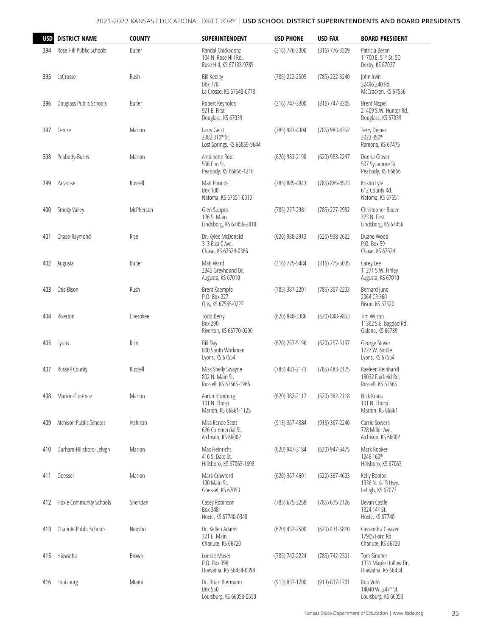| <b>USD</b> | <b>DISTRICT NAME</b>     | <b>COUNTY</b> | SUPERINTENDENT                                                        | <b>USD PHONE</b> | <b>USD FAX</b>   | <b>BOARD PRESIDENT</b>                                                |
|------------|--------------------------|---------------|-----------------------------------------------------------------------|------------------|------------------|-----------------------------------------------------------------------|
| 394        | Rose Hill Public Schools | Butler        | Randal Chickadonz<br>104 N. Rose Hill Rd.<br>Rose Hill, KS 67133-9785 | (316) 776-3300   | (316) 776-3309   | Patricia Beran<br>11700 E. 51 <sup>st</sup> St. SO<br>Derby, KS 67037 |
| 395        | LaCrosse                 | Rush          | <b>Bill Keeley</b><br>Box 778<br>La Crosse, KS 67548-0778             | (785) 222-2505   | (785) 222-3240   | John Irvin<br>32496 240 Rd.<br>McCracken, KS 67556                    |
| 396        | Douglass Public Schools  | <b>Butler</b> | Robert Reynolds<br>921 E. First<br>Douglass, KS 67039                 | (316) 747-3300   | (316) 747-3305   | <b>Brent Nispel</b><br>21409 S.W. Hunter Rd.<br>Douglass, KS 67039    |
| 397        | Centre                   | Marion        | Larry Geist<br>2382 310th St.<br>Lost Springs, KS 66859-9644          | (785) 983-4304   | (785) 983-4352   | <b>Terry Deines</b><br>2023 350th<br>Ramona, KS 67475                 |
| 398        | Peabody-Burns            | Marion        | Antoinette Root<br>506 Elm St.<br>Peabody, KS 66866-1216              | (620) 983-2198   | (620) 983-2247   | Donna Glover<br>507 Sycamore St.<br>Peabody, KS 66866                 |
| 399        | Paradise                 | Russell       | Matt Pounds<br><b>Box 100</b><br>Natoma, KS 67651-0010                | (785) 885-4843   | (785) 885-4523   | Kristin Lyle<br>612 County Rd.<br>Natoma, KS 67651                    |
| 400        | Smoky Valley             | McPherson     | Glen Suppes<br>126 S. Main<br>Lindsborg, KS 67456-2418                | (785) 227-2981   | (785) 227-2982   | Christopher Bauer<br>323 N. First<br>Lindsborg, KS 67456              |
| 401        | Chase-Raymond            | Rice          | Dr. Kylee McDonald<br>313 East C Ave.<br>Chase, KS 67524-0366         | (620) 938-2913   | (620) 938-2622   | Duane Wood<br>P.O. Box 59<br>Chase, KS 67524                          |
| 402        | Augusta                  | <b>Butler</b> | Matt Ward<br>2345 Greyhound Dr.<br>Augusta, KS 67010                  | (316) 775-5484   | (316) 775-5035   | Carey Lee<br>11271 S.W. Finley<br>Augusta, KS 67010                   |
| 403        | Otis-Bison               | Rush          | Brent Kaempfe<br>P.O. Box 227<br>Otis, KS 67565-0227                  | (785) 387-2201   | (785) 387-2203   | Bernard Juno<br>2064 CR 360<br>Bison, KS 67520                        |
| 404        | Riverton                 | Cherokee      | Todd Berry<br>Box 290<br>Riverton, KS 66770-0290                      | (620) 848-3386   | (620) 848-9853   | Tim Wilson<br>11362 S.E. Bagdad Rd.<br>Galena, KS 66739               |
| 405        | Lyons                    | Rice          | <b>Bill Day</b><br>800 South Workman<br>Lyons, KS 67554               | (620) 257-5196   | (620) 257-5197   | George Stover<br>1227 W. Noble<br>Lyons, KS 67554                     |
| 407        | Russell County           | Russell       | Miss Shelly Swayne<br>802 N. Main St.<br>Russell, KS 67665-1966       | (785) 483-2173   | (785) 483-2175   | Raeleen Reinhardt<br>18032 Fairfield Rd.<br>Russell, KS 67665         |
| 408        | Marion-Florence          | Marion        | Aaron Homburg<br>101 N. Thorp<br>Marion, KS 66861-1125                | (620) 382-2117   | (620) 382-2118   | Nick Kraus<br>101 N. Thorp<br>Marion, KS 66861                        |
| 409        | Atchison Public Schools  | Atchison      | Miss Renee Scott<br>626 Commercial St.<br>Atchison, KS 66002          | (913) 367-4384   | (913) 367-2246   | Carrie Sowers<br>728 Miller Ave.<br>Atchison, KS 66002                |
| 410        | Durham-Hillsboro-Lehigh  | Marion        | Max Heinrichs<br>416 S. Date St.<br>Hillsboro, KS 67063-1698          | (620) 947-3184   | (620) 947-3475   | Mark Rooker<br>1246 160th<br>Hillsboro, KS 67063                      |
| 411        | Goessel                  | Marion        | Mark Crawford<br>100 Main St.<br>Goessel, KS 67053                    | $(620)$ 367-4601 | $(620)$ 367-4603 | Kelly Booton<br>1936 N. K-15 Hwy.<br>Lehigh, KS 67073                 |
| 412        | Hoxie Community Schools  | Sheridan      | Casey Robinson<br>Box 348<br>Hoxie, KS 67740-0348                     | (785) 675-3258   | (785) 675-2126   | Devan Castle<br>1324 14th St.<br>Hoxie, KS 67740                      |
| 413        | Chanute Public Schools   | Neosho        | Dr. Kellen Adams<br>321 E. Main<br>Chanute, KS 66720                  | (620) 432-2500   | (620) 431-6810   | Cassandra Cleaver<br>17905 Ford Rd.<br>Chanute, KS 66720              |
| 415        | Hiawatha                 | Brown         | Lonnie Moser<br>P.O. Box 398<br>Hiawatha, KS 66434-0398               | (785) 742-2224   | (785) 742-2301   | Tom Simmer<br>1331 Maple Hollow Dr.<br>Hiawatha, KS 66434             |
| 416        | Louisburg                | Miami         | Dr. Brian Biermann<br>Box 550<br>Louisburg, KS 66053-0550             | (913) 837-1700   | (913) 837-1701   | Rob Vohs<br>14040 W. 247th St.<br>Louisburg, KS 66053                 |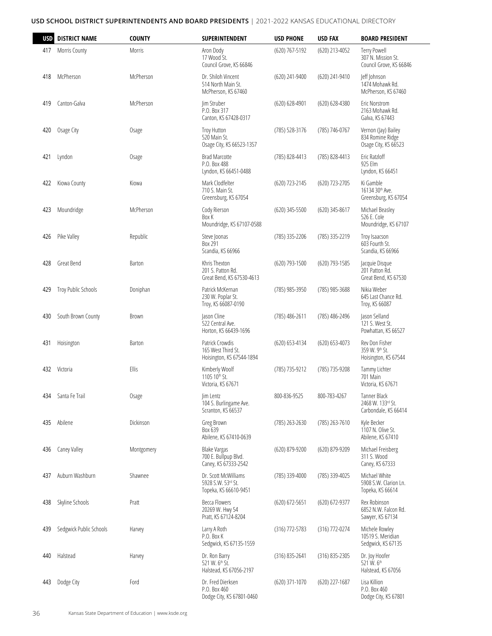| <b>USD</b> | <b>DISTRICT NAME</b>    | <b>COUNTY</b> | SUPERINTENDENT                                                         | <b>USD PHONE</b>   | <b>USD FAX</b>     | <b>BOARD PRESIDENT</b>                                           |
|------------|-------------------------|---------------|------------------------------------------------------------------------|--------------------|--------------------|------------------------------------------------------------------|
| 417        | Morris County           | Morris        | Aron Dody<br>17 Wood St.<br>Council Grove, KS 66846                    | (620) 767-5192     | (620) 213-4052     | Terry Powell<br>307 N. Mission St.<br>Council Grove, KS 66846    |
| 418        | McPherson               | McPherson     | Dr. Shiloh Vincent<br>514 North Main St.<br>McPherson, KS 67460        | (620) 241-9400     | (620) 241-9410     | Jeff Johnson<br>1474 Mohawk Rd.<br>McPherson, KS 67460           |
| 419        | Canton-Galva            | McPherson     | lim Struber<br>P.O. Box 317<br>Canton, KS 67428-0317                   | (620) 628-4901     | (620) 628-4380     | Eric Norstrom<br>2163 Mohawk Rd.<br>Galva, KS 67443              |
| 420        | Osage City              | Osage         | Troy Hutton<br>520 Main St.<br>Osage City, KS 66523-1357               | (785) 528-3176     | (785) 746-0767     | Vernon (Jay) Bailey<br>834 Romine Ridge<br>Osage City, KS 66523  |
| 421        | Lyndon                  | Osage         | <b>Brad Marcotte</b><br>P.O. Box 488<br>Lyndon, KS 66451-0488          | (785) 828-4413     | (785) 828-4413     | Eric Ratzloff<br>925 Elm<br>Lyndon, KS 66451                     |
| 422        | Kiowa County            | Kiowa         | Mark Clodfelter<br>710 S. Main St.<br>Greensburg, KS 67054             | (620) 723-2145     | (620) 723-2705     | Ki Gamble<br>16134 30 <sup>th</sup> Ave.<br>Greensburg, KS 67054 |
| 423        | Moundridge              | McPherson     | Cody Rierson<br>Box K<br>Moundridge, KS 67107-0588                     | (620) 345-5500     | (620) 345-8617     | Michael Beasley<br>526 E. Cole<br>Moundridge, KS 67107           |
| 426        | Pike Valley             | Republic      | Steve Joonas<br>Box 291<br>Scandia, KS 66966                           | (785) 335-2206     | (785) 335-2219     | Troy Isaacson<br>603 Fourth St.<br>Scandia, KS 66966             |
| 428        | Great Bend              | <b>Barton</b> | Khris Thexton<br>201 S. Patton Rd.<br>Great Bend, KS 67530-4613        | (620) 793-1500     | (620) 793-1585     | Jacquie Disque<br>201 Patton Rd.<br>Great Bend, KS 67530         |
| 429        | Troy Public Schools     | Doniphan      | Patrick McKernan<br>230 W. Poplar St.<br>Troy, KS 66087-0190           | (785) 985-3950     | (785) 985-3688     | Nikia Weber<br>645 Last Chance Rd.<br>Troy, KS 66087             |
| 430        | South Brown County      | Brown         | Jason Cline<br>522 Central Ave.<br>Horton, KS 66439-1696               | (785) 486-2611     | (785) 486-2496     | Jason Selland<br>121 S. West St.<br>Powhattan, KS 66527          |
| 431        | Hoisington              | Barton        | Patrick Crowdis<br>165 West Third St.<br>Hoisington, KS 67544-1894     | (620) 653-4134     | (620) 653-4073     | Rev Don Fisher<br>359 W. 9th St.<br>Hoisington, KS 67544         |
| 432        | Victoria                | Ellis         | Kimberly Woolf<br>1105 10th St.<br>Victoria, KS 67671                  | (785) 735-9212     | (785) 735-9208     | Tammy Lichter<br>701 Main<br>Victoria, KS 67671                  |
| 434        | Santa Fe Trail          | Osage         | Jim Lentz<br>104 S. Burlingame Ave.<br>Scranton, KS 66537              | 800-836-9525       | 800-783-4267       | Tanner Black<br>2468 W. 133rd St.<br>Carbondale, KS 66414        |
| 435        | Abilene                 | Dickinson     | Greg Brown<br>Box 639<br>Abilene, KS 67410-0639                        | (785) 263-2630     | (785) 263-7610     | Kyle Becker<br>1107 N. Olive St.<br>Abilene, KS 67410            |
| 436        | Caney Valley            | Montgomery    | <b>Blake Vargas</b><br>700 E. Bullpup Blvd.<br>Caney, KS 67333-2542    | (620) 879-9200     | (620) 879-9209     | Michael Freisberg<br>311 S. Wood<br>Caney, KS 67333              |
| 437        | Auburn Washburn         | Shawnee       | Dr. Scott McWilliams<br>5928 S.W. 53rd St.<br>Topeka, KS 66610-9451    | (785) 339-4000     | (785) 339-4025     | Michael White<br>5908 S.W. Clarion Ln.<br>Topeka, KS 66614       |
| 438        | Skyline Schools         | Pratt         | Becca Flowers<br>20269 W. Hwy 54<br>Pratt, KS 67124-8204               | $(620) 672 - 5651$ | (620) 672-9377     | Rex Robinson<br>6852 N.W. Falcon Rd.<br>Sawyer, KS 67134         |
| 439        | Sedgwick Public Schools | Harvey        | Larry A Roth<br>P.O. Box K<br>Sedgwick, KS 67135-1559                  | $(316) 772 - 5783$ | $(316) 772 - 0274$ | Michele Rowley<br>10519 S. Meridian<br>Sedgwick, KS 67135        |
| 440        | Halstead                | Harvey        | Dr. Ron Barry<br>521 W. 6 <sup>th</sup> St.<br>Halstead, KS 67056-2197 | (316) 835-2641     | (316) 835-2305     | Dr. Joy Hoofer<br>521 W. 6 <sup>th</sup><br>Halstead, KS 67056   |
| 443        | Dodge City              | Ford          | Dr. Fred Dierksen<br>P.O. Box 460<br>Dodge City, KS 67801-0460         | (620) 371-1070     | (620) 227-1687     | Lisa Killion<br>P.O. Box 460<br>Dodge City, KS 67801             |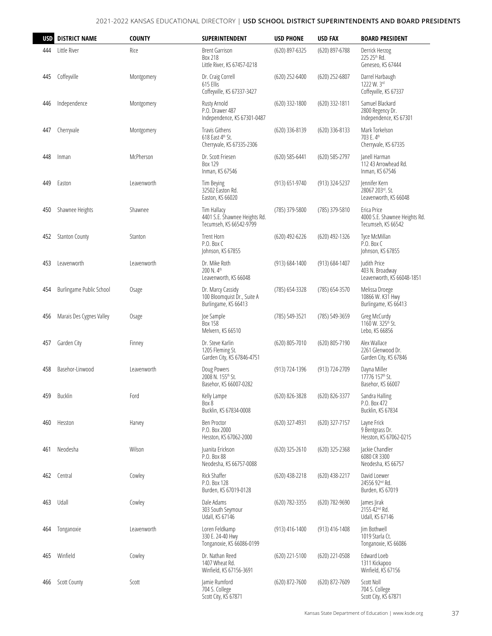| <b>USD</b> | <b>DISTRICT NAME</b>     | <b>COUNTY</b> | <b>SUPERINTENDENT</b>                                                    | USD PHONE      | <b>USD FAX</b> | <b>BOARD PRESIDENT</b>                                             |
|------------|--------------------------|---------------|--------------------------------------------------------------------------|----------------|----------------|--------------------------------------------------------------------|
| 444        | Little River             | Rice          | <b>Brent Garrison</b><br>Box 218<br>Little River, KS 67457-0218          | (620) 897-6325 | (620) 897-6788 | Derrick Herzog<br>225 25th Rd.<br>Geneseo, KS 67444                |
| 445        | Coffeyville              | Montgomery    | Dr. Craig Correll<br>615 Ellis<br>Coffeyville, KS 67337-3427             | (620) 252-6400 | (620) 252-6807 | Darrel Harbaugh<br>1222 W. 3rd<br>Coffeyville, KS 67337            |
| 446        | Independence             | Montgomery    | Rusty Arnold<br>P.O. Drawer 487<br>Independence, KS 67301-0487           | (620) 332-1800 | (620) 332-1811 | Samuel Blackard<br>2800 Regency Dr.<br>Independence, KS 67301      |
| 447        | Cherryvale               | Montgomery    | <b>Travis Githens</b><br>618 East 4th St.<br>Cherryvale, KS 67335-2306   | (620) 336-8139 | (620) 336-8133 | Mark Torkelson<br>703 E. 4th<br>Cherryvale, KS 67335               |
| 448        | Inman                    | McPherson     | Dr. Scott Friesen<br>Box 129<br>Inman, KS 67546                          | (620) 585-6441 | (620) 585-2797 | Janell Harman<br>112 43 Arrowhead Rd.<br>Inman, KS 67546           |
| 449        | Easton                   | Leavenworth   | Tim Beying<br>32502 Easton Rd.<br>Easton, KS 66020                       | (913) 651-9740 | (913) 324-5237 | Jennifer Kern<br>28067 203rd, St.<br>Leavenworth, KS 66048         |
| 450        | Shawnee Heights          | Shawnee       | Tim Hallacy<br>4401 S.E. Shawnee Heights Rd.<br>Tecumseh, KS 66542-9799  | (785) 379-5800 | (785) 379-5810 | Erica Price<br>4000 S.E. Shawnee Heights Rd.<br>Tecumseh, KS 66542 |
| 452        | <b>Stanton County</b>    | Stanton       | <b>Trent Horn</b><br>P.O. Box C<br>Johnson, KS 67855                     | (620) 492-6226 | (620) 492-1326 | Tyce McMillan<br>P.O. Box C<br>Johnson, KS 67855                   |
| 453        | Leavenworth              | Leavenworth   | Dr. Mike Roth<br>200 N. 4th<br>Leavenworth, KS 66048                     | (913) 684-1400 | (913) 684-1407 | Judith Price<br>403 N. Broadway<br>Leavenworth, KS 66048-1851      |
| 454        | Burlingame Public School | Osage         | Dr. Marcy Cassidy<br>100 Bloomquist Dr., Suite A<br>Burlingame, KS 66413 | (785) 654-3328 | (785) 654-3570 | Melissa Droege<br>10866 W. K31 Hwy<br>Burlingame, KS 66413         |
| 456        | Marais Des Cygnes Valley | Osage         | Joe Sample<br><b>Box 158</b><br>Melvern, KS 66510                        | (785) 549-3521 | (785) 549-3659 | Greg McCurdy<br>1160 W. 325th St.<br>Lebo, KS 66856                |
| 457        | Garden City              | Finney        | Dr. Steve Karlin<br>1205 Fleming St.<br>Garden City, KS 67846-4751       | (620) 805-7010 | (620) 805-7190 | Alex Wallace<br>2261 Glenwood Dr.<br>Garden City, KS 67846         |
| 458        | Basehor-Linwood          | Leavenworth   | Doug Powers<br>2008 N. 155th St.<br>Basehor, KS 66007-0282               | (913) 724-1396 | (913) 724-2709 | Dayna Miller<br>17776 157th St.<br>Basehor, KS 66007               |
| 459        | Bucklin                  | Ford          | Kelly Lampe<br>Box 8<br>Bucklin, KS 67834-0008                           | (620) 826-3828 | (620) 826-3377 | Sandra Halling<br>P.O. Box 472<br>Bucklin, KS 67834                |
| 460        | Hesston                  | Harvey        | Ben Proctor<br>P.O. Box 2000<br>Hesston, KS 67062-2000                   | (620) 327-4931 | (620) 327-7157 | Layne Frick<br>9 Bentgrass Dr.<br>Hesston, KS 67062-0215           |
| 461        | Neodesha                 | Wilson        | Juanita Erickson<br>P.O. Box 88<br>Neodesha, KS 66757-0088               | (620) 325-2610 | (620) 325-2368 | Jackie Chandler<br>6080 CR 3300<br>Neodesha, KS 66757              |
| 462        | Central                  | Cowley        | Rick Shaffer<br>P.O. Box 128<br>Burden, KS 67019-0128                    | (620) 438-2218 | (620) 438-2217 | David Loewer<br>24556 92 <sup>nd</sup> Rd.<br>Burden, KS 67019     |
| 463        | Udall                    | Cowley        | Dale Adams<br>303 South Seymour<br>Udall, KS 67146                       | (620) 782-3355 | (620) 782-9690 | James Jirak<br>2155 42 <sup>nd</sup> Rd.<br>Udall, KS 67146        |
| 464        | Tonganoxie               | Leavenworth   | Loren Feldkamp<br>330 E. 24-40 Hwy<br>Tonganoxie, KS 66086-0199          | (913) 416-1400 | (913) 416-1408 | Jim Bothwell<br>1019 Starla Ct.<br>Tonganoxie, KS 66086            |
| 465        | Winfield                 | Cowley        | Dr. Nathan Reed<br>1407 Wheat Rd.<br>Winfield, KS 67156-3691             | (620) 221-5100 | (620) 221-0508 | Edward Loeb<br>1311 Kickapoo<br>Winfield, KS 67156                 |
| 466        | <b>Scott County</b>      | Scott         | Jamie Rumford<br>704 S. College<br>Scott City, KS 67871                  | (620) 872-7600 | (620) 872-7609 | Scott Noll<br>704 S. College<br>Scott City, KS 67871               |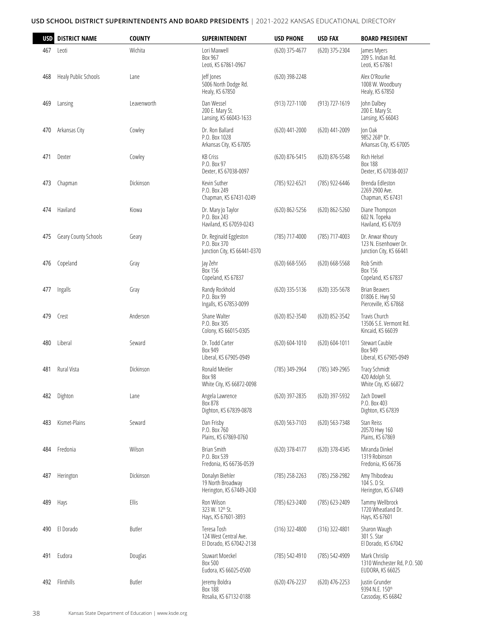| USD | <b>DISTRICT NAME</b> | <b>COUNTY</b> | <b>SUPERINTENDENT</b>                                                  | <b>USD PHONE</b>   | <b>USD FAX</b>     | <b>BOARD PRESIDENT</b>                                               |
|-----|----------------------|---------------|------------------------------------------------------------------------|--------------------|--------------------|----------------------------------------------------------------------|
| 467 | Leoti                | Wichita       | Lori Maxwell<br>Box 967<br>Leoti, KS 67861-0967                        | (620) 375-4677     | (620) 375-2304     | James Myers<br>209 S. Indian Rd.<br>Leoti, KS 67861                  |
| 468 | Healy Public Schools | Lane          | leff lones<br>5006 North Dodge Rd.<br>Healy, KS 67850                  | (620) 398-2248     |                    | Alex O'Rourke<br>1008 W. Woodbury<br>Healy, KS 67850                 |
| 469 | Lansing              | Leavenworth   | Dan Wessel<br>200 E. Mary St.<br>Lansing, KS 66043-1633                | (913) 727-1100     | (913) 727-1619     | John Dalbey<br>200 E. Mary St.<br>Lansing, KS 66043                  |
| 470 | Arkansas City        | Cowley        | Dr. Ron Ballard<br>P.O. Box 1028<br>Arkansas City, KS 67005            | (620) 441-2000     | $(620)$ 441-2009   | Jon Oak<br>9852 268th Dr.<br>Arkansas City, KS 67005                 |
| 471 | Dexter               | Cowley        | <b>KB Criss</b><br>P.O. Box 97<br>Dexter, KS 67038-0097                | (620) 876-5415     | (620) 876-5548     | Rich Helsel<br><b>Box 188</b><br>Dexter, KS 67038-0037               |
| 473 | Chapman              | Dickinson     | Kevin Suther<br>P.O. Box 249<br>Chapman, KS 67431-0249                 | (785) 922-6521     | (785) 922-6446     | Brenda Edleston<br>2269 2900 Ave.<br>Chapman, KS 67431               |
| 474 | Haviland             | Kiowa         | Dr. Mary Jo Taylor<br>P.O. Box 243<br>Haviland, KS 67059-0243          | (620) 862-5256     | (620) 862-5260     | Diane Thompson<br>602 N. Topeka<br>Haviland, KS 67059                |
| 475 | Geary County Schools | Geary         | Dr. Reginald Eggleston<br>P.O. Box 370<br>Junction City, KS 66441-0370 | (785) 717-4000     | (785) 717-4003     | Dr. Anwar Khoury<br>123 N. Eisenhower Dr.<br>Junction City, KS 66441 |
| 476 | Copeland             | Gray          | Jay Zehr<br>Box 156<br>Copeland, KS 67837                              | (620) 668-5565     | $(620)$ 668-5568   | Rob Smith<br>Box 156<br>Copeland, KS 67837                           |
| 477 | Ingalls              | Gray          | Randy Rockhold<br>P.O. Box 99<br>Ingalls, KS 67853-0099                | $(620)$ 335-5136   | (620) 335-5678     | <b>Brian Beavers</b><br>01806 E. Hwy 50<br>Pierceville, KS 67868     |
| 479 | Crest                | Anderson      | Shane Walter<br>P.O. Box 305<br>Colony, KS 66015-0305                  | (620) 852-3540     | (620) 852-3542     | Travis Church<br>13506 S.E. Vermont Rd.<br>Kincaid, KS 66039         |
| 480 | Liberal              | Seward        | Dr. Todd Carter<br><b>Box 949</b><br>Liberal, KS 67905-0949            | $(620) 604 - 1010$ | $(620) 604 - 1011$ | Stewart Cauble<br>Box 949<br>Liberal, KS 67905-0949                  |
| 481 | Rural Vista          | Dickinson     | Ronald Meitler<br>Box 98<br>White City, KS 66872-0098                  | (785) 349-2964     | (785) 349-2965     | <b>Tracy Schmidt</b><br>420 Adolph St.<br>White City, KS 66872       |
| 482 | Dighton              | Lane          | Angela Lawrence<br>Box 878<br>Dighton, KS 67839-0878                   | (620) 397-2835     | (620) 397-5932     | Zach Dowell<br>P.O. Box 403<br>Dighton, KS 67839                     |
| 483 | Kismet-Plains        | Seward        | Dan Frisby<br>P.O. Box 760<br>Plains, KS 67869-0760                    | (620) 563-7103     | (620) 563-7348     | Stan Reiss<br>20570 Hwy 160<br>Plains, KS 67869                      |
| 484 | Fredonia             | Wilson        | Brian Smith<br>P.O. Box 539<br>Fredonia, KS 66736-0539                 | (620) 378-4177     | (620) 378-4345     | Miranda Dinkel<br>1319 Robinson<br>Fredonia, KS 66736                |
| 487 | Herington            | Dickinson     | Donalyn Biehler<br>19 North Broadway<br>Herington, KS 67449-2430       | (785) 258-2263     | (785) 258-2982     | Amy Thibodeau<br>104 S. D St.<br>Herington, KS 67449                 |
| 489 | Hays                 | Ellis         | Ron Wilson<br>323 W. 12 <sup>th</sup> St.<br>Hays, KS 67601-3893       | (785) 623-2400     | (785) 623-2409     | Tammy Wellbrock<br>1720 Wheatland Dr.<br>Hays, KS 67601              |
| 490 | El Dorado            | Butler        | Teresa Tosh<br>124 West Central Ave.<br>El Dorado, KS 67042-2138       | $(316)$ 322-4800   | $(316)$ 322-4801   | Sharon Waugh<br>301 S. Star<br>El Dorado, KS 67042                   |
| 491 | Eudora               | Douglas       | Stuwart Moeckel<br>Box 500<br>Eudora, KS 66025-0500                    | (785) 542-4910     | (785) 542-4909     | Mark Chrislip<br>1310 Winchester Rd, P.O. 500<br>EUDORA, KS 66025    |
| 492 | Flinthills           | Butler        | Jeremy Boldra<br><b>Box 188</b><br>Rosalia, KS 67132-0188              | (620) 476-2237     | (620) 476-2253     | Justin Grunder<br>9394 N.E. 150th<br>Cassoday, KS 66842              |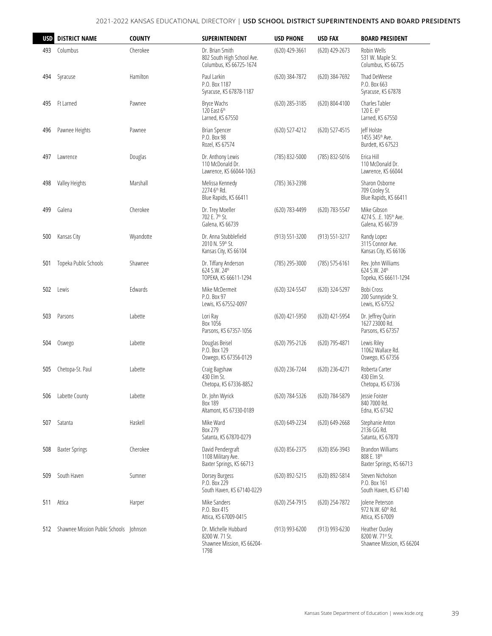| <b>USD</b> | <b>DISTRICT NAME</b>  | <b>COUNTY</b> | SUPERINTENDENT                                                               | <b>USD PHONE</b> | <b>USD FAX</b>     | <b>BOARD PRESIDENT</b>                                                 |
|------------|-----------------------|---------------|------------------------------------------------------------------------------|------------------|--------------------|------------------------------------------------------------------------|
| 493        | Columbus              | Cherokee      | Dr. Brian Smith<br>802 South High School Ave.<br>Columbus, KS 66725-1674     | (620) 429-3661   | (620) 429-2673     | Robin Wells<br>531 W. Maple St.<br>Columbus, KS 66725                  |
| 494        | Syracuse              | Hamilton      | Paul Larkin<br>P.O. Box 1187<br>Syracuse, KS 67878-1187                      | (620) 384-7872   | (620) 384-7692     | Thad DeWeese<br>P.O. Box 663<br>Syracuse, KS 67878                     |
| 495        | Ft Larned             | Pawnee        | <b>Bryce Wachs</b><br>120 East 6th<br>Larned, KS 67550                       | (620) 285-3185   | (620) 804-4100     | Charles Tabler<br>120 E. 6th<br>Larned, KS 67550                       |
| 496        | Pawnee Heights        | Pawnee        | <b>Brian Spencer</b><br>P.O. Box 98<br>Rozel, KS 67574                       | (620) 527-4212   | (620) 527-4515     | Jeff Holste<br>1455 345th Ave.<br>Burdett, KS 67523                    |
| 497        | Lawrence              | Douglas       | Dr. Anthony Lewis<br>110 McDonald Dr.<br>Lawrence, KS 66044-1063             | (785) 832-5000   | (785) 832-5016     | Erica Hill<br>110 McDonald Dr.<br>Lawrence, KS 66044                   |
| 498        | Valley Heights        | Marshall      | Melissa Kennedy<br>2274 6th Rd.<br>Blue Rapids, KS 66411                     | (785) 363-2398   |                    | Sharon Osborne<br>709 Cooley St.<br>Blue Rapids, KS 66411              |
| 499        | Galena                | Cherokee      | Dr. Trey Moeller<br>702 E. 7th St.<br>Galena, KS 66739                       | (620) 783-4499   | (620) 783-5547     | Mike Gibson<br>4274 S. .E. 105th Ave.<br>Galena, KS 66739              |
| 500        | Kansas City           | Wyandotte     | Dr. Anna Stubblefield<br>2010 N. 59th St.<br>Kansas City, KS 66104           | (913) 551-3200   | (913) 551-3217     | Randy Lopez<br>3115 Connor Ave.<br>Kansas City, KS 66106               |
| 501        | Topeka Public Schools | Shawnee       | Dr. Tiffany Anderson<br>624 S.W. 24th<br>TOPEKA, KS 66611-1294               | (785) 295-3000   | (785) 575-6161     | Rev. John Williams<br>624 S.W. 24th<br>Topeka, KS 66611-1294           |
| 502        | Lewis                 | Edwards       | Mike McDermeit<br>P.O. Box 97<br>Lewis, KS 67552-0097                        | (620) 324-5547   | (620) 324-5297     | Bobi Cross<br>200 Sunnyside St.<br>Lewis, KS 67552                     |
| 503        | Parsons               | Labette       | Lori Ray<br>Box 1056<br>Parsons, KS 67357-1056                               | (620) 421-5950   | (620) 421-5954     | Dr. Jeffrey Quirin<br>1627 23000 Rd.<br>Parsons, KS 67357              |
| 504        | Oswego                | Labette       | Douglas Beisel<br>P.O. Box 129<br>Oswego, KS 67356-0129                      | (620) 795-2126   | (620) 795-4871     | Lewis Riley<br>11062 Wallace Rd.<br>Oswego, KS 67356                   |
| 505        | Chetopa-St. Paul      | Labette       | Craig Bagshaw<br>430 Elm St.<br>Chetopa, KS 67336-8852                       | (620) 236-7244   | (620) 236-4271     | Roberta Carter<br>430 Elm St.<br>Chetopa, KS 67336                     |
| 506        | Labette County        | Labette       | Dr. John Wyrick<br>Box 189<br>Altamont, KS 67330-0189                        | (620) 784-5326   | (620) 784-5879     | Jessie Foister<br>840 7000 Rd.<br>Edna, KS 67342                       |
| 507        | Satanta               | Haskell       | Mike Ward<br>Box 279<br>Satanta, KS 67870-0279                               | (620) 649-2234   | $(620) 649 - 2668$ | Stephanie Anton<br>2136 GG Rd.<br>Satanta, KS 67870                    |
| 508        | <b>Baxter Springs</b> | Cherokee      | David Pendergraft<br>1108 Military Ave.<br>Baxter Springs, KS 66713          | (620) 856-2375   | (620) 856-3943     | <b>Brandon Williams</b><br>808 E. 18th<br>Baxter Springs, KS 66713     |
| 509        | South Haven           | Sumner        | Dorsey Burgess<br>P.O. Box 229<br>South Haven, KS 67140-0229                 | (620) 892-5215   | (620) 892-5814     | Steven Nicholson<br>P.O. Box 161<br>South Haven, KS 67140              |
| 511        | Attica                | Harper        | Mike Sanders<br>P.O. Box 415<br>Attica, KS 67009-0415                        | (620) 254-7915   | (620) 254-7872     | Jolene Peterson<br>972 N.W. 60th Rd.<br>Attica, KS 67009               |
| 512        |                       |               | Dr. Michelle Hubbard<br>8200 W. 71 St.<br>Shawnee Mission, KS 66204-<br>1798 | (913) 993-6200   | (913) 993-6230     | <b>Heather Ousley</b><br>8200 W. 71st St.<br>Shawnee Mission, KS 66204 |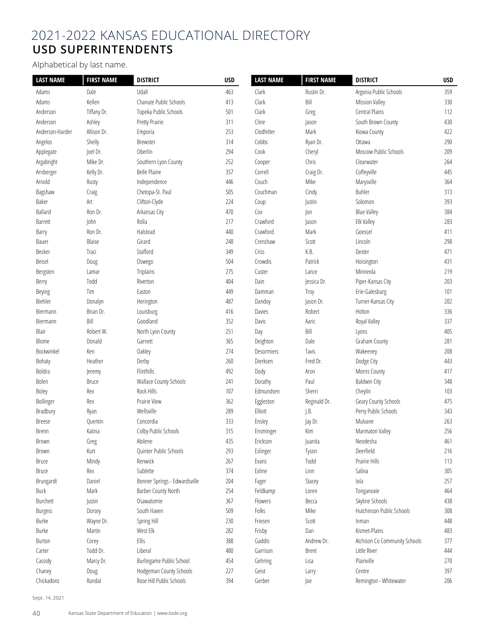# 2021-2022 KANSAS EDUCATIONAL DIRECTORY **USD SUPERINTENDENTS**

Alphabetical by last name.

| <b>LAST NAME</b> | <b>FIRST NAME</b> | <b>DISTRICT</b>               | <b>USD</b> | <b>LAST NAME</b> | <b>FIRST NAME</b> | <b>DISTRICT</b>               | <b>USD</b> |
|------------------|-------------------|-------------------------------|------------|------------------|-------------------|-------------------------------|------------|
| Adams            | Dale              | Udall                         | 463        | Clark            | Rustin Dr.        | Argonia Public Schools        | 359        |
| Adams            | Kellen            | Chanute Public Schools        | 413        | Clark            | Bill              | <b>Mission Valley</b>         | 330        |
| Anderson         | Tiffany Dr.       | Topeka Public Schools         | 501        | Clark            | Greg              | Central Plains                | 112        |
| Anderson         | Ashley            | Pretty Prairie                | 311        | Cline            | Jason             | South Brown County            | 430        |
| Anderson-Harder  | Allison Dr.       | Emporia                       | 253        | Clodfelter       | Mark              | Kiowa County                  | 422        |
| Angelos          | Shelly            | Brewster                      | 314        | Cobbs            | Ryan Dr.          | Ottawa                        | 290        |
| Applegate        | Joel Dr.          | Oberlin                       | 294        | Cook             | Cheryl            | Moscow Public Schools         | 209        |
| Argabright       | Mike Dr.          | Southern Lyon County          | 252        | Cooper           | Chris             | Clearwater                    | 264        |
| Arnberger        | Kelly Dr.         | <b>Belle Plaine</b>           | 357        | Correll          | Craig Dr.         | Coffeyville                   | 445        |
| Arnold           | Rusty             | Independence                  | 446        | Couch            | Mike              | Marysville                    | 364        |
| Bagshaw          | Craig             | Chetopa-St. Paul              | 505        | Couchman         | Cindy             | Buhler                        | 313        |
| Baker            | Art               | Clifton-Clyde                 | 224        | Coup             | Justin            | Solomon                       | 393        |
| Ballard          | Ron Dr.           | Arkansas City                 | 470        | Cox              | Jon               | <b>Blue Valley</b>            | 384        |
| Barrett          | John              | Rolla                         | 217        | Crawford         | Jason             | Elk Valley                    | 283        |
| Barry            | Ron Dr.           | Halstead                      | 440        | Crawford         | Mark              | Goessel                       | 411        |
| Bauer            | Blaise            | Girard                        | 248        | Crenshaw         | Scott             | Lincoln                       | 298        |
| Becker           | Traci             | Stafford                      | 349        | Criss            | K.B.              | Dexter                        | 471        |
| Beisel           | Doug              | Oswego                        | 504        | Crowdis          | Patrick           | Hoisington                    | 431        |
| Bergsten         | Lamar             | <b>Triplains</b>              | 275        | Custer           | Lance             | Minneola                      | 219        |
| Berry            | Todd              | Riverton                      | 404        | Dain             | Jessica Dr.       | Piper-Kansas City             | 203        |
| Beying           | Tim               | Easton                        | 449        | Damman           | Troy              | Erie-Galesburg                | 101        |
| Biehler          | Donalyn           | Herington                     | 487        | Dandoy           | Jason Dr.         | Turner-Kansas City            | 202        |
| Biermann         | Brian Dr.         | Louisburg                     | 416        | Davies           | Robert            | Holton                        | 336        |
| Biermann         | Bill              | Goodland                      | 352        | Davis            | Aaric             | Royal Valley                  | 337        |
| Blair            | Robert W.         | North Lyon County             | 251        | Day              | Bill              | Lyons                         | 405        |
| Blome            | Donald            | Garnett                       | 365        | Deighton         | Dale              | Graham County                 | 281        |
| Bockwinkel       | Ken               | Oakley                        | 274        | Desormiers       | Tavis             | Wakeeney                      | 208        |
| Bohaty           | Heather           | Derby                         | 260        | Dierksen         | Fred Dr.          | Dodge City                    | 443        |
| Boldra           | Jeremy            | Flinthills                    | 492        | Dody             | Aron              | Morris County                 | 417        |
| Bolen            | <b>Bruce</b>      | Wallace County Schools        | 241        | Dorathy          | Paul              | <b>Baldwin City</b>           | 348        |
| Boley            | Rex               | Rock Hills                    | 107        | Edmundsen        | Sherri            | Cheylin                       | 103        |
| Bollinger        | Rex               | Prairie View                  | 362        | Eggleston        | Reginald Dr.      | Geary County Schools          | 475        |
| Bradbury         | Ryan              | Wellsville                    | 289        | Elliott          | J.B.              | Perry Public Schools          | 343        |
| <b>Breese</b>    | Quentin           | Concordia                     | 333        | Ensley           | Jay Dr.           | Mulvane                       | 263        |
| <b>Brenn</b>     | Katina            | Colby Public Schools          | 315        | Ensminger        | Kim               | Marmaton Valley               | 256        |
| Brown            | Greg              | Abilene                       | 435        | Erickson         | Juanita           | Neodesha                      | 461        |
| Brown            | Kurt              | Quinter Public Schools        | 293        | Eslinger         | Tyson             | Deerfield                     | 216        |
| <b>Bruce</b>     | Mindy             | Renwick                       | 267        | Evans            | Todd              | Prairie Hills                 | 113        |
| <b>Bruce</b>     | Rex               | Sublette                      | 374        | Exline           | Linn              | Salina                        | 305        |
| Brungardt        | Daniel            | Bonner Springs - Edwardsville | 204        | Fager            | Stacey            | Iola                          | 257        |
| Buck             | Mark              | Barber County North           | 254        | Feldkamp         | Loren             | Tonganoxie                    | 464        |
| Burchett         | Justin            | Osawatomie                    | 367        | Flowers          | Becca             | Skyline Schools               | 438        |
| Burgess          | Dorsey            | South Haven                   | 509        | Folks            | Mike              | Hutchinson Public Schools     | 308        |
| Burke            | Wayne Dr.         | Spring Hill                   | 230        | Friesen          | Scott             | Inman                         | 448        |
| Burke            | Martin            | West Elk                      | 282        | Frisby           | Dan               | Kismet-Plains                 | 483        |
| Burton           | Corey             | Ellis                         | 388        | Gaddis           | Andrew Dr.        | Atchison Co Community Schools | 377        |
| Carter           | Todd Dr.          | Liberal                       | 480        | Garrison         | <b>Brent</b>      | Little River                  | 444        |
| Cassidy          | Marcy Dr.         | Burlingame Public School      | 454        | Gehring          | Lisa              | Plainville                    | 270        |
| Chaney           | Doug              | Hodgeman County Schools       | 227        | Geist            | Larry             | Centre                        | 397        |
| Chickadonz       | Randal            | Rose Hill Public Schools      | 394        | Gerber           | Joe               | Remington - Whitewater        | 206        |

Sept. 14, 2021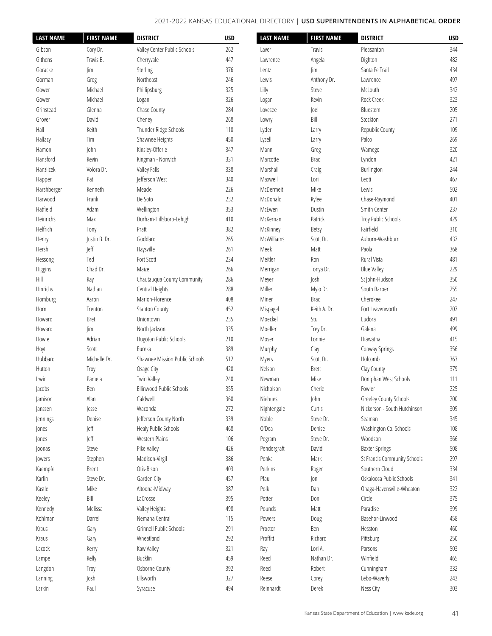#### 2021-2022 KANSAS EDUCATIONAL DIRECTORY | **USD Superintendents in Alphabetical Order**

| <b>LAST NAME</b> | <b>FIRST NAME</b> | <b>DISTRICT</b>                                | <b>USD</b> | <b>LAST NAME</b> | <b>FIRST NAME</b> | <b>DISTRICT</b>                                | <b>USD</b> |
|------------------|-------------------|------------------------------------------------|------------|------------------|-------------------|------------------------------------------------|------------|
| Gibson           | Cory Dr.          | Valley Center Public Schools                   | 262        | Laver            | Travis            | Pleasanton                                     | 344        |
| Githens          | Travis B.         | Cherryvale                                     | 447        | Lawrence         | Angela            | Dighton                                        | 482        |
| Goracke          | im                | Sterling                                       | 376        | Lentz            | im                | Santa Fe Trail                                 | 434        |
| Gorman           | Greg              | Northeast                                      | 246        | Lewis            | Anthony Dr.       | Lawrence                                       | 497        |
| Gower            | Michael           | Phillipsburg                                   | 325        | Lilly            | Steve             | McLouth                                        | 342        |
| Gower            | Michael           | Logan                                          | 326        | Logan            | Kevin             | Rock Creek                                     | 323        |
| Grinstead        | Glenna            | Chase County                                   | 284        | Lovesee          | Joel              | Bluestem                                       | 205        |
| Grover           | David             | Cheney                                         | 268        | Lowry            | Bill              | Stockton                                       | 271        |
| Hall             | Keith             | Thunder Ridge Schools                          | 110        | Lyder            | Larry             | Republic County                                | 109        |
| Hallacy          | Tim               | Shawnee Heights                                | 450        | Lysell           | Larry             | Palco                                          | 269        |
| Hamon            | John              | Kinsley-Offerle                                | 347        | Mann             | Greg              | Wamego                                         | 320        |
| Hansford         | Kevin             | Kingman - Norwich                              | 331        | Marcotte         | Brad              | Lyndon                                         | 421        |
| Hanzlicek        | Volora Dr.        | Valley Falls                                   | 338        | Marshall         | Craig             | Burlington                                     | 244        |
| Happer           | Pat               | Jefferson West                                 | 340        | Maxwell          | Lori              | Leoti                                          | 467        |
| Harshberger      | Kenneth           | Meade                                          | 226        | McDermeit        | Mike              | Lewis                                          | 502        |
| Harwood          | Frank             | De Soto                                        | 232        | McDonald         | Kylee             | Chase-Raymond                                  | 401        |
| Hatfield         | Adam              | Wellington                                     | 353        | McEwen           | Dustin            | Smith Center                                   | 237        |
| Heinrichs        | Max               | Durham-Hillsboro-Lehigh                        | 410        | McKernan         | Patrick           | Troy Public Schools                            | 429        |
| Helfrich         | Tony              | Pratt                                          | 382        | McKinney         | <b>Betsy</b>      | Fairfield                                      | 310        |
| Henry            | Justin B. Dr.     | Goddard                                        | 265        | McWilliams       | Scott Dr.         | Auburn-Washburn                                | 437        |
| Hersh            | Jeff              | Haysville                                      | 261        | Meek             | Matt              | Paola                                          | 368        |
| Hessong          | Ted               | Fort Scott                                     | 234        | Meitler          | Ron               | Rural Vista                                    | 481        |
| Higgins          | Chad Dr.          | Maize                                          | 266        | Merrigan         | Tonya Dr.         | <b>Blue Valley</b>                             | 229        |
| Hill             | Kay               | Chautauqua County Community                    | 286        | Meyer            | Josh              | St John-Hudson                                 | 350        |
| Hinrichs         | Nathan            | Central Heights                                | 288        | Miller           | Mylo Dr.          | South Barber                                   | 255        |
| Homburg          | Aaron             | Marion-Florence                                | 408        | Miner            | Brad              | Cherokee                                       | 247        |
| Horn             | Trenton           | <b>Stanton County</b>                          | 452        | Mispagel         | Keith A. Dr.      | Fort Leavenworth                               | 207        |
| Howard           | <b>Bret</b>       | Uniontown                                      | 235        | Moeckel          | Stu               | Eudora                                         | 491        |
| Howard           | im                | North Jackson                                  | 335        | Moeller          | Trey Dr.          | Galena                                         | 499        |
| Howie            | Adrian            | Hugoton Public Schools                         | 210        | Moser            | Lonnie            | Hiawatha                                       | 415        |
| Hoyt             | Scott             | Eureka                                         | 389        | Murphy           | Clay              | Conway Springs                                 | 356        |
| Hubbard          | Michelle Dr.      | Shawnee Mission Public Schools                 | 512        | Myers            | Scott Dr.         | Holcomb                                        | 363        |
| Hutton           | Troy              | Osage City                                     | 420        | Nelson           | Brett             | Clay County                                    | 379        |
| Irwin            | Pamela            | Twin Valley                                    | 240        | Newman           | Mike              | Doniphan West Schools                          | 111        |
| Jacobs           | Ben               | Ellinwood Public Schools                       | 355        | Nicholson        | Cherie            | Fowler                                         | 225        |
| Jamison          | Alan              | Caldwell                                       | 360        | Niehues          | John              | Greeley County Schools                         | 200        |
|                  |                   | Waconda                                        | 272        | Nightengale      | Curtis            | Nickerson - South Hutchinson                   | 309        |
| Janssen          | Jesse<br>Denise   |                                                | 339        | Noble            | Steve Dr.         | Seaman                                         | 345        |
| Jennings         | Jeff              | Jefferson County North<br>Healy Public Schools | 468        | O'Dea            | Denise            | Washington Co. Schools                         | 108        |
| Jones            | Jeff              | Western Plains                                 | 106        |                  | Steve Dr.         | Woodson                                        | 366        |
| Jones            |                   |                                                |            | Pegram           |                   |                                                |            |
| Joonas           | Steve             | Pike Valley                                    | 426        | Pendergraft      | David             | <b>Baxter Springs</b>                          | 508        |
| <b>lowers</b>    | Stephen           | Madison-Virgil                                 | 386        | Penka            | Mark              | St Francis Community Schools<br>Southern Cloud | 297        |
| Kaempfe          | Brent             | Otis-Bison                                     | 403        | Perkins          | Roger             | Oskaloosa Public Schools                       | 334        |
| Karlin           | Steve Dr.         | Garden City                                    | 457        | Pfau             | Jon               |                                                | 341        |
| Kastle           | Mike              | Altoona-Midway                                 | 387        | Polk             | Dan               | Onaga-Havensville-Wheaton                      | 322        |
| Keeley           | Bill              | LaCrosse                                       | 395        | Potter           | Don               | Circle                                         | 375        |
| Kennedy          | Melissa           | Valley Heights                                 | 498        | Pounds           | Matt              | Paradise                                       | 399        |
| Kohlman          | Darrel            | Nemaha Central                                 | 115        | Powers           | Doug              | Basehor-Linwood                                | 458        |
| Kraus            | Gary              | Grinnell Public Schools                        | 291        | Proctor          | Ben               | Hesston                                        | 460        |
| Kraus            | Gary              | Wheatland                                      | 292        | Proffitt         | Richard           | Pittsburg                                      | 250        |
| Lacock           | Kerry             | Kaw Valley                                     | 321        | Ray              | Lori A.           | Parsons                                        | 503        |
| Lampe            | Kelly             | Bucklin                                        | 459        | Reed             | Nathan Dr.        | Winfield                                       | 465        |
| Langdon          | Troy              | Osborne County                                 | 392        | Reed             | Robert            | Cunningham                                     | 332        |
| Lanning          | Josh              | Ellsworth                                      | 327        | Reese            | Corey             | Lebo-Waverly                                   | 243        |
| Larkin           | Paul              | Syracuse                                       | 494        | Reinhardt        | Derek             | Ness City                                      | 303        |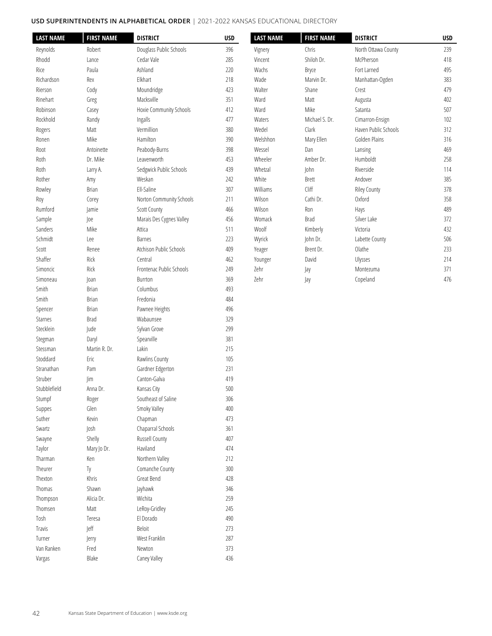## **USD Superintendents in Alphabetical Order** | 2021-2022 KANSAS EDUCATIONAL DIRECTORY

| <b>LAST NAME</b> | <b>FIRST NAME</b> | <b>DISTRICT</b>          | <b>USD</b> | <b>LAST NAME</b> | <b>FIRST NAME</b> | <b>DISTRICT</b>      | USD |
|------------------|-------------------|--------------------------|------------|------------------|-------------------|----------------------|-----|
| Reynolds         | Robert            | Douglass Public Schools  | 396        | Vignery          | Chris             | North Ottawa County  | 239 |
| Rhodd            | Lance             | Cedar Vale               | 285        | Vincent          | Shiloh Dr.        | McPherson            | 418 |
| Rice             | Paula             | Ashland                  | 220        | Wachs            | Bryce             | Fort Larned          | 495 |
| Richardson       | Rex               | Elkhart                  | 218        | Wade             | Marvin Dr.        | Manhattan-Ogden      | 383 |
| Rierson          | Cody              | Moundridge               | 423        | Walter           | Shane             | Crest                | 479 |
| Rinehart         | Greg              | Macksville               | 351        | Ward             | Matt              | Augusta              | 402 |
| Robinson         | Casey             | Hoxie Community Schools  | 412        | Ward             | Mike              | Satanta              | 507 |
| Rockhold         | Randy             | Ingalls                  | 477        | Waters           | Michael S. Dr.    | Cimarron-Ensign      | 102 |
| Rogers           | Matt              | Vermillion               | 380        | Wedel            | Clark             | Haven Public Schools | 312 |
| Ronen            | Mike              | Hamilton                 | 390        | Welshhon         | Mary Ellen        | Golden Plains        | 316 |
| Root             | Antoinette        | Peabody-Burns            | 398        | Wessel           | Dan               | Lansing              | 469 |
| Roth             | Dr. Mike          | Leavenworth              | 453        | Wheeler          | Amber Dr.         | Humboldt             | 258 |
| Roth             | Larry A.          | Sedgwick Public Schools  | 439        | Whetzal          | John              | Riverside            | 114 |
| Rother           | Amy               | Weskan                   | 242        | White            | <b>Brett</b>      | Andover              | 385 |
| Rowley           | <b>Brian</b>      | Ell-Saline               | 307        | Williams         | Cliff             | <b>Riley County</b>  | 378 |
| Roy              | Corey             | Norton Community Schools | 211        | Wilson           | Cathi Dr.         | Oxford               | 358 |
| Rumford          | Jamie             | <b>Scott County</b>      | 466        | Wilson           | Ron               | Hays                 | 489 |
| Sample           | Joe               | Marais Des Cygnes Valley | 456        | Womack           | <b>Brad</b>       | Silver Lake          | 372 |
| Sanders          | Mike              | Attica                   | 511        | Woolf            | Kimberly          | Victoria             | 432 |
| Schmidt          | Lee               | <b>Barnes</b>            | 223        | Wyrick           | John Dr.          | Labette County       | 506 |
| Scott            | Renee             | Atchison Public Schools  | 409        | Yeager           | Brent Dr.         | Olathe               | 233 |
| Shaffer          | Rick              | Central                  | 462        | Younger          | David             | Ulysses              | 214 |
| Simoncic         | Rick              | Frontenac Public Schools | 249        | Zehr             | Jay               | Montezuma            | 371 |
| Simoneau         | Joan              | Burrton                  | 369        | Zehr             | Jay               | Copeland             | 476 |
| Smith            | Brian             | Columbus                 | 493        |                  |                   |                      |     |
| Smith            | <b>Brian</b>      | Fredonia                 | 484        |                  |                   |                      |     |
| Spencer          | <b>Brian</b>      | Pawnee Heights           | 496        |                  |                   |                      |     |
| Starnes          | <b>Brad</b>       | Wabaunsee                | 329        |                  |                   |                      |     |
| Stecklein        | Jude              | Sylvan Grove             | 299        |                  |                   |                      |     |
| Stegman          | Daryl             | Spearville               | 381        |                  |                   |                      |     |
| Stessman         | Martin R. Dr.     | Lakin                    | 215        |                  |                   |                      |     |
| Stoddard         | Eric              | Rawlins County           | 105        |                  |                   |                      |     |
| Stranathan       | Pam               | Gardner Edgerton         | 231        |                  |                   |                      |     |
| Struber          | im                | Canton-Galva             | 419        |                  |                   |                      |     |
| Stubblefield     | Anna Dr.          | Kansas City              | $500\,$    |                  |                   |                      |     |
| Stumpf           | Roger             | Southeast of Saline      | 306        |                  |                   |                      |     |
| Suppes           | Glen              | Smoky Valley             | 400        |                  |                   |                      |     |
| Suther           | Kevin             | Chapman                  | 473        |                  |                   |                      |     |
| Swartz           | Josh              | Chaparral Schools        | 361        |                  |                   |                      |     |
| Swayne           | Shelly            | Russell County           | 407        |                  |                   |                      |     |
| Taylor           | Mary Jo Dr.       | Haviland                 | 474        |                  |                   |                      |     |
| Tharman          | Ken               | Northern Valley          | 212        |                  |                   |                      |     |
| Theurer          | Ty                | Comanche County          | 300        |                  |                   |                      |     |
| Thexton          | Khris             | Great Bend               | 428        |                  |                   |                      |     |
| Thomas           | Shawn             | Jayhawk                  | 346        |                  |                   |                      |     |
| Thompson         | Alicia Dr.        | Wichita                  | 259        |                  |                   |                      |     |
| Thomsen          | Matt              | LeRoy-Gridley            | 245        |                  |                   |                      |     |
| Tosh             | Teresa            | El Dorado                | 490        |                  |                   |                      |     |
| Travis           | Jeff              | Beloit                   | 273        |                  |                   |                      |     |
| Turner           | Jerry             | West Franklin            | 287        |                  |                   |                      |     |
| Van Ranken       | Fred              | Newton                   | 373        |                  |                   |                      |     |
| Vargas           | Blake             | Caney Valley             | 436        |                  |                   |                      |     |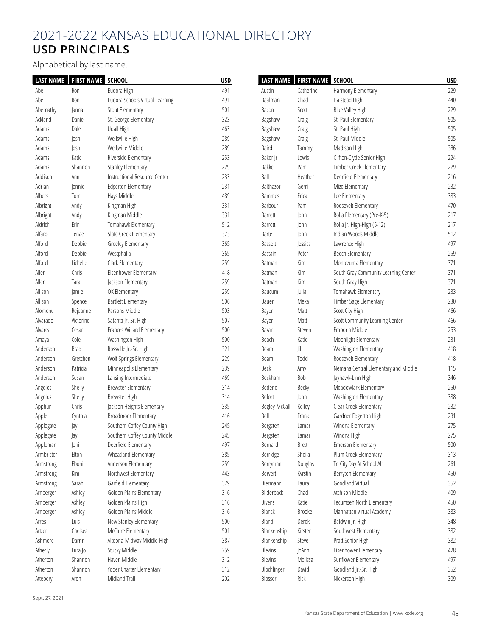# 2021-2022 KANSAS EDUCATIONAL DIRECTORY **USD PRINCIPALS**

Alphabetical by last name.

| <b>LAST NAME</b> | <b>FIRST NAME SCHOOL</b> |                                 | <b>USD</b> |                | LAST NAME   FIRST NAME SCHOOL |                                      | <b>USD</b> |
|------------------|--------------------------|---------------------------------|------------|----------------|-------------------------------|--------------------------------------|------------|
| Abel             | Ron                      | Eudora High                     | 491        | Austin         | Catherine                     | Harmony Elementary                   | 229        |
| Abel             | Ron                      | Eudora Schools Virtual Learning | 491        | Baalman        | Chad                          | Halstead High                        | 440        |
| Abernathy        | Janna                    | Stout Elementary                | 501        | Bacon          | Scott                         | <b>Blue Valley High</b>              | 229        |
| Ackland          | Daniel                   | St. George Elementary           | 323        | Bagshaw        | Craig                         | St. Paul Elementary                  | 505        |
| Adams            | Dale                     | Udall High                      | 463        | Bagshaw        | Craig                         | St. Paul High                        | 505        |
| Adams            | Josh                     | Wellsville High                 | 289        | Bagshaw        | Craig                         | St. Paul Middle                      | 505        |
| Adams            | Josh                     | Wellsville Middle               | 289        | Baird          | Tammy                         | Madison High                         | 386        |
| Adams            | Katie                    | Riverside Elementary            | 253        | Baker Jr       | Lewis                         | Clifton-Clyde Senior High            | 224        |
| Adams            | Shannon                  | <b>Stanley Elementary</b>       | 229        | Bakke          | Pam                           | Timber Creek Elementary              | 229        |
| Addison          | Ann                      | Instructional Resource Center   | 233        | Ball           | Heather                       | Deerfield Elementary                 | 216        |
| Adrian           | Jennie                   | <b>Edgerton Elementary</b>      | 231        | Balthazor      | Gerri                         | Mize Elementary                      | 232        |
| Albers           | Tom                      | Hays Middle                     | 489        | <b>Bammes</b>  | Erica                         | Lee Elementary                       | 383        |
| Albright         | Andy                     | Kingman High                    | 331        | Barbour        | Pam                           | Roosevelt Elementary                 | 470        |
| Albright         | Andy                     | Kingman Middle                  | 331        | Barrett        | John                          | Rolla Elementary (Pre-K-5)           | 217        |
| Aldrich          | Erin                     | Tomahawk Elementary             | 512        | Barrett        | John                          | Rolla Jr. High-High (6-12)           | 217        |
| Alfaro           | Tenae                    | Slate Creek Elementary          | 373        | Bartel         | John                          | Indian Woods Middle                  | 512        |
| Alford           | Debbie                   | Greeley Elementary              | 365        | <b>Bassett</b> | Jessica                       | Lawrence High                        | 497        |
| Alford           | Debbie                   | Westphalia                      | 365        | Bastain        | Peter                         | Beech Elementary                     | 259        |
| Alford           | Lichelle                 | Clark Elementary                | 259        | Batman         | Kim                           | Montezuma Elementary                 | 371        |
| Allen            | Chris                    | Eisenhower Elementary           | 418        | <b>Batman</b>  | Kim                           | South Gray Community Learning Center | 371        |
| Allen            | Tara                     | Jackson Elementary              | 259        | Batman         | Kim                           | South Gray High                      | 371        |
| Allison          | Jamie                    | OK Elementary                   | 259        | Baucum         | Julia                         | Tomahawk Elementary                  | 233        |
| Allison          | Spence                   | <b>Bartlett Elementary</b>      | 506        | Bauer          | Meka                          | Timber Sage Elementary               | 230        |
| Alomenu          | Rejeanne                 | Parsons Middle                  | 503        | Bayer          | Matt                          | Scott City High                      | 466        |
| Alvarado         | Victorino                | Satanta Jr.-Sr. High            | 507        | Bayer          | Matt                          | Scott Community Learning Center      | 466        |
| Alvarez          | Cesar                    | Frances Willard Elementary      | 500        | Bazan          | Steven                        | Emporia Middle                       | 253        |
| Amaya            | Cole                     | Washington High                 | 500        | Beach          | Katie                         | Moonlight Elementary                 | 231        |
| Anderson         | <b>Brad</b>              | Rossville Jr.-Sr. High          | 321        | Beam           | Jill                          | Washington Elementary                | 418        |
| Anderson         | Gretchen                 | Wolf Springs Elementary         | 229        | Beam           | Todd                          | Roosevelt Elementary                 | 418        |
| Anderson         | Patricia                 | Minneapolis Elementary          | 239        | Beck           | Amy                           | Nemaha Central Elementary and Middle | 115        |
| Anderson         | Susan                    | Lansing Intermediate            | 469        | Beckham        | Bob                           | Jayhawk-Linn High                    | 346        |
| Angelos          | Shelly                   | <b>Brewster Elementary</b>      | 314        | Bedene         | Becky                         | Meadowlark Elementary                | 250        |
| Angelos          | Shelly                   | Brewster High                   | 314        | Befort         | John                          | Washington Elementary                | 388        |
| Apphun           | Chris                    | Jackson Heights Elementary      | 335        | Begley-McCall  | Kelley                        | Clear Creek Elementary               | 232        |
| Apple            | Cynthia                  | Broadmoor Elementary            | 416        | Bell           | Frank                         | Gardner Edgerton High                | 231        |
| Applegate        | Jay                      | Southern Coffey County High     | 245        | Bergsten       | Lamar                         | Winona Elementary                    | 275        |
| Applegate        | Jay                      | Southern Coffey County Middle   | 245        | Bergsten       | Lamar                         | Winona High                          | 275        |
| Appleman         | Joni                     | Deerfield Elementary            | 497        | Bernard        | Brett                         | <b>Emerson Elementary</b>            | 500        |
| Armbrister       | Elton                    | Wheatland Elementary            | 385        | Berridge       | Sheila                        | Plum Creek Elementary                | 313        |
| Armstrong        | Eboni                    | Anderson Elementary             | 259        | Berryman       | Douglas                       | Tri City Day At School Alt           | 261        |
| Armstrong        | Kim                      | Northwest Elementary            | 443        | Bervert        | Kyrstin                       | Berryton Elementary                  | 450        |
| Armstrong        | Sarah                    | Garfield Elementary             | 379        | Biermann       | Laura                         | Goodland Virtual                     | 352        |
| Arnberger        | Ashley                   | Golden Plains Elementary        | 316        | Bilderback     | Chad                          | Atchison Middle                      | 409        |
| Arnberger        | Ashley                   | Golden Plains High              | 316        | <b>Bivens</b>  | Katie                         | Tecumseh North Elementary            | 450        |
| Arnberger        | Ashley                   | Golden Plains Middle            | 316        | Blanck         | Brooke                        | Manhattan Virtual Academy            | 383        |
| Arres            | Luis                     | New Stanley Elementary          | 500        | Bland          | Derek                         | Baldwin Jr. High                     | 348        |
| Artzer           | Chelsea                  | McClure Elementary              | 501        | Blankenship    | Kirsten                       | Southwest Elementary                 | 382        |
| Ashmore          | Darrin                   | Altoona-Midway Middle-High      | 387        | Blankenship    | Steve                         | Pratt Senior High                    | 382        |
| Atherly          | Lura Jo                  | Stucky Middle                   | 259        | Blevins        | JoAnn                         | Eisenhower Elementary                | 428        |
| Atherton         | Shannon                  | Haven Middle                    | 312        | Blevins        | Melissa                       | Sunflower Elementary                 | 497        |
| Atherton         | Shannon                  | Yoder Charter Elementary        | 312        | Blochlinger    | David                         | Goodland Jr.-Sr. High                | 352        |
|                  |                          | Midland Trail                   |            | Blosser        | Rick                          | Nickerson High                       | 309        |
| Attebery         | Aron                     |                                 | 202        |                |                               |                                      |            |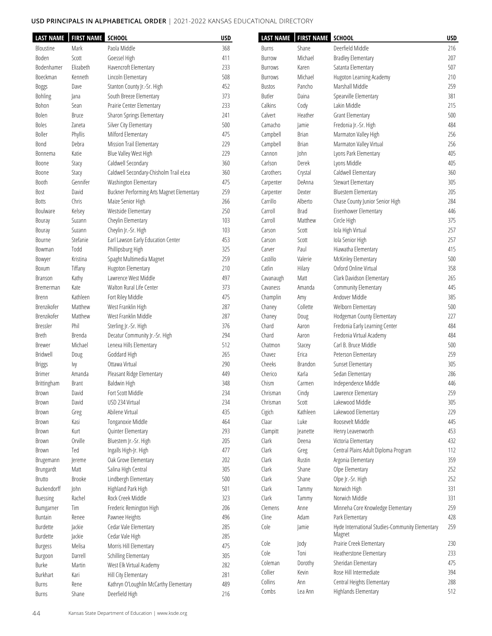| <b>LAST NAME</b> | <b>FIRST NAME SCHOOL</b> |                                           | <b>USD</b> | <b>LAST NAME</b> | FIRST NAME SCHOOL |                                                 | <b>USD</b> |
|------------------|--------------------------|-------------------------------------------|------------|------------------|-------------------|-------------------------------------------------|------------|
| Bloustine        | Mark                     | Paola Middle                              | 368        | Burns            | Shane             | Deerfield Middle                                | 216        |
| Boden            | Scott                    | Goessel High                              | 411        | Burrow           | Michael           | <b>Bradley Elementary</b>                       | 207        |
| Bodenhamer       | Elizabeth                | Havencroft Elementary                     | 233        | <b>Burrows</b>   | Karen             | Satanta Elementary                              | 507        |
| Boeckman         | Kenneth                  | Lincoln Elementary                        | 508        | <b>Burrows</b>   | Michael           | Hugoton Learning Academy                        | 210        |
| Boggs            | Dave                     | Stanton County Jr.-Sr. High               | 452        | <b>Bustos</b>    | Pancho            | Marshall Middle                                 | 259        |
| Bohling          | Jana                     | South Breeze Elementary                   | 373        | Butler           | Daina             | Spearville Elementary                           | 381        |
| Bohon            | Sean                     | Prairie Center Elementary                 | 233        | Calkins          | Cody              | Lakin Middle                                    | 215        |
| Bolen            | <b>Bruce</b>             | Sharon Springs Elementary                 | 241        | Calvert          | Heather           | Grant Elementary                                | 500        |
| Boles            | Zaneta                   | Silver City Elementary                    | 500        | Camacho          | Jamie             | Fredonia Jr.-Sr. High                           | 484        |
| Boller           | Phyllis                  | Milford Elementary                        | 475        | Campbell         | <b>Brian</b>      | Marmaton Valley High                            | 256        |
| Bond             | Debra                    | Mission Trail Elementary                  | 229        | Campbell         | <b>Brian</b>      | Marmaton Valley Virtual                         | 256        |
| Bonnema          | Katie                    | Blue Valley West High                     | 229        | Cannon           | John              | Lyons Park Elementary                           | 405        |
| Boone            | Stacy                    | Caldwell Secondary                        | 360        | Carlson          | Derek             | Lyons Middle                                    | 405        |
| Boone            | Stacy                    | Caldwell Secondary-Chisholm Trail eLea    | 360        | Carothers        | Crystal           | Caldwell Elementary                             | 360        |
| Booth            | Gennifer                 | Washington Elementary                     | 475        | Carpenter        | DeAnna            | Stewart Elementary                              | 305        |
| Bost             | David                    | Buckner Performing Arts Magnet Elementary | 259        | Carpenter        | Dexter            | <b>Bluestem Elementary</b>                      | 205        |
| <b>Botts</b>     | Chris                    | Maize Senior High                         | 266        | Carrillo         | Alberto           | Chase County Junior Senior High                 | 284        |
| Boulware         | Kelsey                   | Westside Elementary                       | 250        | Carroll          | Brad              | Eisenhower Elementary                           | 446        |
| Bouray           | Suzann                   | Cheylin Elementary                        | 103        | Carroll          | Matthew           | Circle High                                     | 375        |
| Bouray           | Suzann                   | Cheylin Jr.-Sr. High                      | 103        | Carson           | Scott             | Iola High Virtual                               | 257        |
| Bourne           | Stefanie                 | Earl Lawson Early Education Center        | 453        | Carson           | Scott             | Iola Senior High                                | 257        |
| Bowman           | Todd                     | Phillipsburg High                         | 325        | Carver           | Paul              | Hiawatha Elementary                             | 415        |
| Bowyer           | Kristina                 | Spaght Multimedia Magnet                  | 259        | Castillo         | Valerie           | McKinley Elementary                             | 500        |
| Boxum            | Tiffany                  | Hugoton Elementary                        | 210        | Catlin           | Hilary            | Oxford Online Virtual                           | 358        |
| <b>Branson</b>   | Kathy                    | Lawrence West Middle                      | 497        | Cavanaugh        | Matt              | Clark Davidson Elementary                       | 265        |
| Bremerman        | Kate                     | Walton Rural Life Center                  | 373        | Cavaness         | Amanda            | Community Elementary                            | 445        |
| Brenn            | Kathleen                 | Fort Riley Middle                         | 475        | Champlin         | Amy               | Andover Middle                                  | 385        |
| Brenzikofer      | Matthew                  | West Franklin High                        | 287        | Chaney           | Collette          | Welborn Elementary                              | 500        |
| Brenzikofer      | Matthew                  | West Franklin Middle                      | 287        | Chaney           | Doug              | Hodgeman County Elementary                      | 227        |
| Bressler         | Phil                     | Sterling Jr.-Sr. High                     | 376        | Chard            | Aaron             | Fredonia Early Learning Center                  | 484        |
| <b>Breth</b>     | Brenda                   | Decatur Community Jr.-Sr. High            | 294        | Chard            | Aaron             | Fredonia Virtual Academy                        | 484        |
| <b>Brewer</b>    | Michael                  | Lenexa Hills Elementary                   | 512        | Chatmon          | Stacey            | Carl B. Bruce Middle                            | 500        |
| Bridwell         | Doug                     | Goddard High                              | 265        | Chavez           | Erica             | Peterson Elementary                             | 259        |
| <b>Briggs</b>    | Ivy                      | Ottawa Virtual                            | 290        | Cheeks           | Brandon           | Sunset Elementary                               | 305        |
| <b>Brimer</b>    | Amanda                   | Pleasant Ridge Elementary                 | 449        | Cherico          | Karla             | Sedan Elementary                                | 286        |
| Brittingham      | <b>Brant</b>             | Baldwin High                              | 348        | Chism            | Carmen            | Independence Middle                             | 446        |
| Brown            | David                    | Fort Scott Middle                         | 234        | Chrisman         | Cindy             | Lawrence Elementary                             | 259        |
| Brown            | David                    | USD 234 Virtual                           | 234        | Chrisman         | Scott             | Lakewood Middle                                 | 305        |
| Brown            | Greg                     | Abilene Virtual                           | 435        | Cigich           | Kathleen          | Lakewood Elementary                             | 229        |
| Brown            | Kasi                     | Tonganoxie Middle                         | 464        | Claar            | Luke              | Roosevelt Middle                                | 445        |
| Brown            | Kurt                     | Quinter Elementary                        | 293        | Clampitt         | Jeanette          | Henry Leavenworth                               | 453        |
| Brown            | Orville                  | Bluestem Jr.-Sr. High                     | 205        | Clark            | Deena             | Victoria Elementary                             | 432        |
| Brown            | Ted                      | Ingalls High-Jr. High                     | 477        | Clark            | Greg              | Central Plains Adult Diploma Program            | 112        |
| Brugemann        | Jereme                   | Oak Grove Elementary                      | 202        | Clark            | Rustin            | Argonia Elementary                              | 359        |
| Brungardt        | Matt                     | Salina High Central                       | 305        | Clark            | Shane             | Olpe Elementary                                 | 252        |
| Brutto           | Brooke                   | Lindbergh Elementary                      | 500        | Clark            | Shane             | Olpe Jr.-Sr. High                               | 252        |
| Buckendorff      | John                     | Highland Park High                        | 501        | Clark            | Tammy             | Norwich High                                    | 331        |
| <b>Buessing</b>  | Rachel                   | Rock Creek Middle                         | 323        | Clark            | Tammy             | Norwich Middle                                  | 331        |
| Bumgarner        | Tim                      | Frederic Remington High                   | 206        | Clemens          | Anne              | Minneha Core Knowledge Elementary               | 259        |
| Buntain          | Renee                    | Pawnee Heights                            | 496        | Cline            | Adam              | Park Elementary                                 | 428        |
| Burdette         | Jackie                   | Cedar Vale Elementary                     | 285        | Cole             | Jamie             | Hyde International Studies-Community Elementary | 259        |
| Burdette         | Jackie                   | Cedar Vale High                           | 285        |                  |                   | Magnet                                          |            |
| <b>Burgess</b>   | Melisa                   | Morris Hill Elementary                    | 475        | Cole             | Jody              | Prairie Creek Elementary                        | 230        |
| Burgoon          | Darrell                  | Schilling Elementary                      | 305        | Cole             | Toni              | Heatherstone Elementary                         | 233        |
| Burke            | Martin                   | West Elk Virtual Academy                  | 282        | Coleman          | Dorothy           | Sheridan Elementary                             | 475        |
| Burkhart         | Kari                     | Hill City Elementary                      | 281        | Collier          | Kevin             | Rose Hill Intermediate                          | 394        |
| <b>Burns</b>     | Rene                     | Kathryn O'Loughlin McCarthy Elementary    | 489        | Collins          | Ann               | Central Heights Elementary                      | 288        |
| <b>Burns</b>     | Shane                    | Deerfield High                            | 216        | Combs            | Lea Ann           | Highlands Elementary                            | 512        |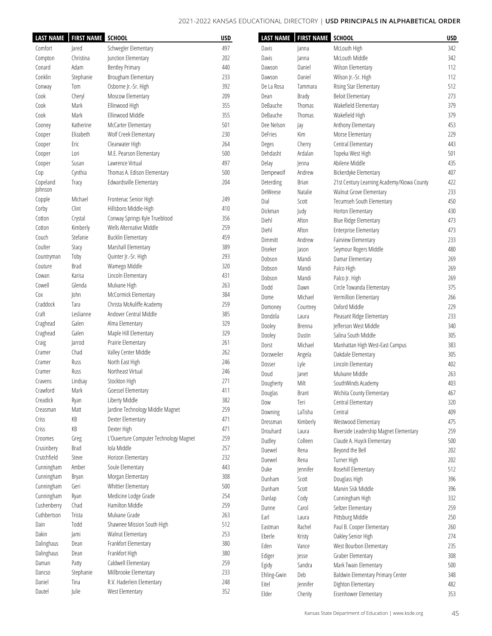|             | LAST NAME   FIRST NAME SCHOOL |                                        | <b>USD</b> |             | LAST NAME   FIRST NAME | <b>SCHOOL</b>                              | <b>USD</b> |
|-------------|-------------------------------|----------------------------------------|------------|-------------|------------------------|--------------------------------------------|------------|
| Comfort     | Jared                         | Schwegler Elementary                   | 497        | Davis       | Janna                  | McLouth High                               | 342        |
| Compton     | Christina                     | Junction Elementary                    | 202        | Davis       | Janna                  | McLouth Middle                             | 342        |
| Conard      | Adam                          | <b>Bentley Primary</b>                 | 440        | Dawson      | Daniel                 | Wilson Elementary                          | 112        |
| Conklin     | Stephanie                     | Brougham Elementary                    | 233        | Dawson      | Daniel                 | Wilson Jr.-Sr. High                        | 112        |
| Conway      | Tom                           | Osborne Jr.-Sr. High                   | 392        | De La Rosa  | Tammara                | Rising Star Elementary                     | 512        |
| Cook        | Cheryl                        | Moscow Elementary                      | 209        | Dean        | Brady                  | <b>Beloit Elementary</b>                   | 273        |
| Cook        | Mark                          | Ellinwood High                         | 355        | DeBauche    | Thomas                 | Wakefield Elementary                       | 379        |
|             |                               |                                        |            | DeBauche    |                        |                                            |            |
| Cook        | Mark                          | Ellinwood Middle                       | 355        |             | Thomas                 | Wakefield High                             | 379        |
| Cooney      | Katherine                     | McCarter Elementary                    | 501        | Dee Nelson  | Jay                    | Anthony Elementary                         | 453        |
| Cooper      | Elizabeth                     | Wolf Creek Elementary                  | 230        | DeFries     | Kim                    | Morse Elementary                           | 229        |
| Cooper      | Eric                          | Clearwater High                        | 264        | Deges       | Cherry                 | Central Elementary                         | 443        |
| Cooper      | Lori                          | M.E. Pearson Elementary                | 500        | Dehdasht    | Ardalan                | Topeka West High                           | 501        |
| Cooper      | Susan                         | Lawrence Virtual                       | 497        | Delay       | <b>Jenna</b>           | Abilene Middle                             | 435        |
| Cop         | Cynthia                       | Thomas A. Edison Elementary            | 500        | Dempewolf   | Andrew                 | Bickerdyke Elementary                      | 407        |
| Copeland    | Tracy                         | Edwardsville Elementary                | 204        | Deterding   | Brian                  | 21st Century Learning Academy/Kiowa County | 422        |
| Johnson     |                               |                                        |            | DeWeese     | Natalie                | Walnut Grove Elementary                    | 233        |
| Copple      | Michael                       | Frontenac Senior High                  | 249        | Dial        | Scott                  | Tecumseh South Elementary                  | 450        |
| Corby       | Clint                         | Hillsboro Middle-High                  | 410        | Dickman     | Judy                   | Horton Elementary                          | 430        |
| Cotton      | Crystal                       | Conway Springs Kyle Trueblood          | 356        | Diehl       | Afton                  | Blue Ridge Elementary                      | 473        |
| Cotton      | Kimberly                      | Wells Alternative Middle               | 259        | Diehl       | Afton                  | Enterprise Elementary                      | 473        |
| Couch       | Stefanie                      | <b>Bucklin Elementary</b>              | 459        | Dimmitt     | Andrew                 | Fairview Elementary                        | 233        |
| Coulter     | Stacy                         | Marshall Elementary                    | 389        | Diseker     | Jason                  | Seymour Rogers Middle                      | 480        |
| Countryman  | Toby                          | Quinter Jr.-Sr. High                   | 293        | Dobson      | Mandi                  |                                            | 269        |
| Couture     | <b>Brad</b>                   | Wamego Middle                          | 320        |             |                        | Damar Elementary                           |            |
| Cowan       | Karisa                        | Lincoln Elementary                     | 431        | Dobson      | Mandi                  | Palco High                                 | 269        |
| Cowell      | Glenda                        | Mulvane High                           | 263        | Dobson      | Mandi                  | Palco Jr. High                             | 269        |
|             |                               |                                        | 384        | Dodd        | Dawn                   | Circle Towanda Elementary                  | 375        |
| Cox         | John                          | McCormick Elementary                   |            | Dome        | Michael                | Vermillion Elementary                      | 266        |
| Craddock    | Tara                          | Christa McAuliffe Academy              | 259        | Domoney     | Courtney               | Oxford Middle                              | 229        |
| Craft       | Leslianne                     | Andover Central Middle                 | 385        | Dondzila    | Laura                  | Pleasant Ridge Elementary                  | 233        |
| Craghead    | Galen                         | Alma Elementary                        | 329        | Dooley      | Brenna                 | Jefferson West Middle                      | 340        |
| Craghead    | Galen                         | Maple Hill Elementary                  | 329        | Dooley      | Dustin                 | Salina South Middle                        | 305        |
| Craig       | Jarrod                        | Prairie Elementary                     | 261        | Dorst       | Michael                | Manhattan High West-East Campus            | 383        |
| Cramer      | Chad                          | Valley Center Middle                   | 262        | Dorzweiler  | Angela                 | Oakdale Elementary                         | 305        |
| Cramer      | Russ                          | North East High                        | 246        | Dosser      | Lyle                   | Lincoln Elementary                         | 402        |
| Cramer      | Russ                          | Northeast Virtual                      | 246        | Doud        | Janet                  | Mulvane Middle                             | 263        |
| Cravens     | Lindsay                       | Stockton High                          | 271        | Dougherty   | Milt                   | SouthWinds Academy                         | 403        |
| Crawford    | Mark                          | Goessel Elementary                     | 411        | Douglas     | <b>Brant</b>           | Wichita County Elementary                  | 467        |
| Creadick    | Ryan                          | Liberty Middle                         | 382        | Dow         | Teri                   | Central Elementary                         | 320        |
| Creasman    | Matt                          | Jardine Technology Middle Magnet       | 259        | Downing     | LaTisha                | Central                                    | 409        |
| Criss       | КB                            | Dexter Elementary                      | 471        | Dressman    | Kimberly               | Westwood Elementary                        | 475        |
| Criss       | КB                            | Dexter High                            | 471        |             |                        |                                            |            |
| Croomes     | Greg                          | L'Ouverture Computer Technology Magnet | 259        | Drouhard    | Laura                  | Riverside Leadership Magnet Elementary     | 259        |
| Crusinbery  | <b>Brad</b>                   | Iola Middle                            | 257        | Dudley      | Colleen                | Claude A. Huyck Elementary                 | 500        |
| Crutchfield | Steve                         | Horizon Elementary                     | 232        | Duewel      | Rena                   | Beyond the Bell                            | 202        |
|             | Amber                         | Soule Elementary                       | 443        | Duewel      | Rena                   | Turner High                                | 202        |
| Cunningham  |                               |                                        |            | Duke        | Jennifer               | Rosehill Elementary                        | 512        |
| Cunningham  | Bryan                         | Morgan Elementary                      | 308        | Dunham      | Scott                  | Douglass High                              | 396        |
| Cunningham  | Geri                          | Whittier Elementary                    | 500        | Dunham      | Scott                  | Marvin Sisk Middle                         | 396        |
| Cunningham  | Ryan                          | Medicine Lodge Grade                   | 254        | Dunlap      | Cody                   | Cunningham High                            | 332        |
| Cushenberry | Chad                          | Hamilton Middle                        | 259        | Dunne       | Carol                  | Seltzer Elementary                         | 259        |
| Cuthbertson | Trista                        | Mulvane Grade                          | 263        | Earl        | Laura                  | Pittsburg Middle                           | 250        |
| Dain        | Todd                          | Shawnee Mission South High             | 512        | Eastman     | Rachel                 | Paul B. Cooper Elementary                  | 260        |
| Dakin       | Jami                          | Walnut Elementary                      | 253        | Eberle      | Kristy                 | Oakley Senior High                         | 274        |
| Dalinghaus  | Dean                          | Frankfort Elementary                   | 380        | Eden        | Vance                  | West Bourbon Elementary                    | 235        |
| Dalinghaus  | Dean                          | Frankfort High                         | 380        | Ediger      | Jesse                  | Graber Elementary                          | 308        |
| Daman       | Patty                         | Caldwell Elementary                    | 259        | Egidy       | Sandra                 | Mark Twain Elementary                      | 500        |
| Dancso      | Stephanie                     | Millbrooke Elementary                  | 233        | Ehling-Gwin | Deb                    | Baldwin Elementary Primary Center          | 348        |
| Daniel      | Tina                          | R.V. Haderlein Elementary              | 248        | Eitel       | Jennifer               | Dighton Elementary                         | 482        |
| Dautel      | Julie                         | West Elementary                        | 352        |             |                        |                                            |            |
|             |                               |                                        |            | Elder       | Cherity                | Eisenhower Elementary                      | 353        |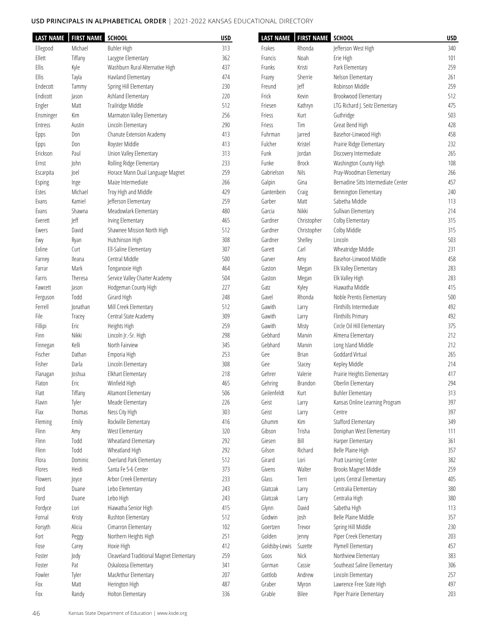| <b>LAST NAME</b> | <b>FIRST NAME SCHOOL</b> |                                          | <b>USD</b> | <b>LAST NAME</b> | FIRST NAME SCHOOL |                                     | <b>USD</b> |
|------------------|--------------------------|------------------------------------------|------------|------------------|-------------------|-------------------------------------|------------|
| Ellegood         | Michael                  | <b>Buhler High</b>                       | 313        | Frakes           | Rhonda            | Jefferson West High                 | 340        |
| Ellett           | Tiffany                  | Lacygne Elementary                       | 362        | Francis          | Noah              | Erie High                           | 101        |
| Ellis            | Kyle                     | Washburn Rural Alternative High          | 437        | Franks           | Kristi            | Park Elementary                     | 259        |
| Ellis            | Tayla                    | Haviland Elementary                      | 474        | Frazey           | Sherrie           | Nelson Elementary                   | 261        |
| Endecott         | Tammy                    | Spring Hill Elementary                   | 230        | Freund           | Jeff              | Robinson Middle                     | 259        |
| Endicott         | Jason                    | Ashland Elementary                       | 220        | Frick            | Kevin             | Brookwood Elementary                | 512        |
| Engler           | Matt                     | Trailridge Middle                        | 512        | Friesen          | Kathryn           | LTG Richard J. Seitz Elementary     | 475        |
| Ensminger        | Kim                      | Marmaton Valley Elementary               | 256        | Friess           | Kurt              | Guthridge                           | 503        |
| Entress          | Austin                   | Lincoln Elementary                       | 290        | Friess           | Tim               | Great Bend High                     | 428        |
| Epps             | Don                      | Chanute Extension Academy                | 413        | Fuhrman          | Jarred            | Basehor-Linwood High                | 458        |
| Epps             | Don                      | Royster Middle                           | 413        | Fulcher          | Kristel           | Prairie Ridge Elementary            | 232        |
| Erickson         | Paul                     | Union Valley Elementary                  | 313        | Funk             | Jordan            | Discovery Intermediate              | 265        |
| Ernst            | John                     | Rolling Ridge Elementary                 | 233        | Funke            | Brock             | Washington County High              | 108        |
| Escarpita        | Joel                     | Horace Mann Dual Language Magnet         | 259        | Gabrielson       | Nils              | Pray-Woodman Elementary             | 266        |
| Esping           | Inge                     | Maize Intermediate                       | 266        | Galpin           | Gina              | Bernadine Sitts Intermediate Center | 457        |
| Estes            | Michael                  | Troy High and Middle                     | 429        | Gantenbein       | Craig             | Bennington Elementary               | 240        |
| Evans            | Kamiel                   | Jefferson Elementary                     | 259        | Garber           | Matt              | Sabetha Middle                      | 113        |
|                  |                          |                                          |            |                  | Nikki             |                                     |            |
| Evans            | Shawna                   | Meadowlark Elementary                    | 480        | Garcia           |                   | Sullivan Elementary                 | 214<br>315 |
| Everett          | Jeff                     | Irving Elementary                        | 465        | Gardner          | Christopher       | Colby Elementary                    |            |
| Ewers            | David                    | Shawnee Mission North High               | 512        | Gardner          | Christopher       | Colby Middle                        | 315        |
| Ewy              | Ryan                     | Hutchinson High                          | 308        | Gardner          | Shelley           | Lincoln                             | 503        |
| Exline           | Curt                     | Ell-Saline Elementary                    | 307        | Garett           | Carl              | Wheatridge Middle                   | 231        |
| Farney           | Ileana                   | Central Middle                           | 500        | Garver           | Amy               | Basehor-Linwood Middle              | 458        |
| Farrar           | Mark                     | Tonganoxie High                          | 464        | Gaston           | Megan             | Elk Valley Elementary               | 283        |
| Farris           | Theresa                  | Service Valley Charter Academy           | 504        | Gaston           | Megan             | Elk Valley High                     | 283        |
| Fawcett          | Jason                    | Hodgeman County High                     | 227        | Gatz             | Kyley             | Hiawatha Middle                     | 415        |
| Ferguson         | Todd                     | Girard High                              | 248        | Gavel            | Rhonda            | Noble Prentis Elementary            | 500        |
| Ferrell          | Jonathan                 | Mill Creek Elementary                    | 512        | Gawith           | Larry             | Flinthills Intermediate             | 492        |
| File             | Tracey                   | Central State Academy                    | 309        | Gawith           | Larry             | Flinthills Primary                  | 492        |
| Fillipi          | Eric                     | Heights High                             | 259        | Gawith           | Misty             | Circle Oil Hill Elementary          | 375        |
| Finn             | Nikki                    | Lincoln Jr.-Sr. High                     | 298        | Gebhard          | Marvin            | Almena Elementary                   | 212        |
| Finnegan         | Kelli                    | North Fairview                           | 345        | Gebhard          | Marvin            | Long Island Middle                  | 212        |
| Fischer          | Dathan                   | Emporia High                             | 253        | Gee              | <b>Brian</b>      | Goddard Virtual                     | 265        |
| Fisher           | Darla                    | Lincoln Elementary                       | 308        | Gee              | Stacey            | Kepley Middle                       | 214        |
| Flanagan         | Joshua                   | Elkhart Elementary                       | 218        | Gehrer           | Valerie           | Prairie Heights Elementary          | 417        |
| Flaton           | Eric                     | Winfield High                            | 465        | Gehring          | Brandon           | Oberlin Elementary                  | 294        |
| Flatt            | Tiffany                  | Altamont Elementary                      | 506        | Geilenfeldt      | Kurt              | <b>Buhler Elementary</b>            | 313        |
| Flavin           | Tyler                    | Meade Elementary                         | 226        | Geist            | Larry             | Kansas Online Learning Program      | 397        |
| Flax             | Thomas                   | Ness City High                           | 303        | Geist            | Larry             | Centre                              | 397        |
| Fleming          | Emily                    | Rockville Elementary                     | 416        | Ghumm            | Kim               | Stafford Elementary                 | 349        |
| Flinn            | Amy                      | West Elementary                          | 320        | Gibson           | Trisha            | Doniphan West Elementary            | 111        |
| Flinn            | Todd                     | Wheatland Elementary                     | 292        | Giesen           | Bill              | Harper Elementary                   | 361        |
|                  | Todd                     |                                          |            |                  |                   |                                     |            |
| Flinn            |                          | Wheatland High                           | 292        | Gilson           | Richard           | Belle Plaine High                   | 357        |
| Flora            | Dominic                  | Overland Park Elementary                 | 512        | Girard           | Lori              | Pratt Learning Center               | 382        |
| Flores           | Heidi                    | Santa Fe 5-6 Center                      | 373        | Givens           | Walter            | Brooks Magnet Middle                | 259        |
| Flowers          | Joyce                    | Arbor Creek Elementary                   | 233        | Glass            | Terri             | Lyons Central Elementary            | 405        |
| Ford             | Duane                    | Lebo Elementary                          | 243        | Glatczak         | Larry             | Centralia Elementary                | 380        |
| Ford             | Duane                    | Lebo High                                | 243        | Glatczak         | Larry             | Centralia High                      | 380        |
| Fordyce          | Lori                     | Hiawatha Senior High                     | 415        | Glynn            | David             | Sabetha High                        | 113        |
| Fornal           | Kristy                   | Rushton Elementary                       | 512        | Godwin           | Josh              | Belle Plaine Middle                 | 357        |
| Forsyth          | Alicia                   | Cimarron Elementary                      | 102        | Goertzen         | Trevor            | Spring Hill Middle                  | 230        |
| Fort             | Peggy                    | Northern Heights High                    | 251        | Golden           | Jenny             | Piper Creek Elementary              | 203        |
| Fose             | Carey                    | Hoxie High                               | 412        | Goldsby-Lewis    | Suzette           | Plymell Elementary                  | 457        |
| Foster           | Jody                     | Cleaveland Traditional Magnet Elementary | 259        | Goos             | Nick              | Northview Elementary                | 383        |
| Foster           | Pat                      | Oskaloosa Elementary                     | 341        | Gorman           | Cassie            | Southeast Saline Elementary         | 306        |
| Fowler           | Tyler                    | MacArthur Elementary                     | 207        | Gottlob          | Andrew            | Lincoln Elementary                  | 257        |
| Fox              | Matt                     | Herington High                           | 487        | Graber           | Myron             | Lawrence Free State High            | 497        |
| Fox              | Randy                    | Holton Elementary                        | 336        | Grable           | Bilee             | Piper Prairie Elementary            | 203        |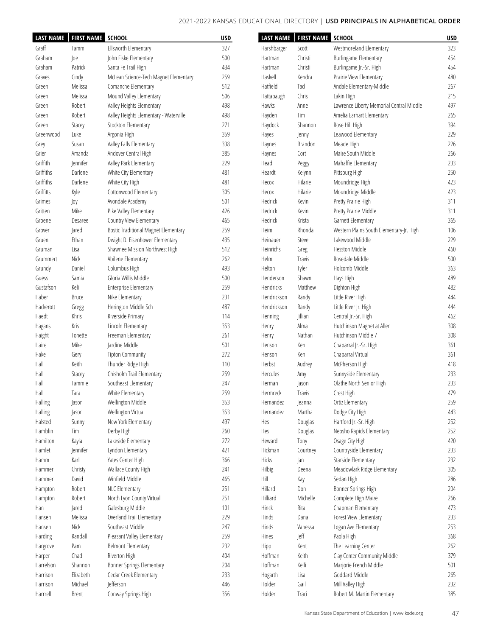| <b>LAST NAME</b> | <b>FIRST NAME SCHOOL</b> |                                             | <b>USD</b> | <b>LAST NAME</b> | <b>FIRST NAME SCHOOL</b> |                                          | <b>USD</b> |
|------------------|--------------------------|---------------------------------------------|------------|------------------|--------------------------|------------------------------------------|------------|
| Graff            | Tammi                    | Ellsworth Elementary                        | 327        | Harshbarger      | Scott                    | Westmoreland Elementary                  | 323        |
| Graham           | Joe                      | John Fiske Elementary                       | 500        | Hartman          | Christi                  | <b>Burlingame Elementary</b>             | 454        |
| Graham           | Patrick                  | Santa Fe Trail High                         | 434        | Hartman          | Christi                  | Burlingame Jr.-Sr. High                  | 454        |
| Graves           | Cindy                    | McLean Science-Tech Magnet Elementary       | 259        | Haskell          | Kendra                   | Prairie View Elementary                  | 480        |
| Green            | Melissa                  | Comanche Elementary                         | 512        | Hatfield         | Tad                      | Andale Elementary-Middle                 | 267        |
| Green            | Melissa                  | Mound Valley Elementary                     | 506        | Hattabaugh       | Chris                    | Lakin High                               | 215        |
| Green            | Robert                   | Valley Heights Elementary                   | 498        | Hawks            | Anne                     | Lawrence Liberty Memorial Central Middle | 497        |
| Green            | Robert                   | Valley Heights Elementary - Waterville      | 498        | Hayden           | Tim                      | Amelia Earhart Elementary                | 265        |
| Green            | Stacey                   | Stockton Elementary                         | 271        | Haydock          | Shannon                  | Rose Hill High                           | 394        |
| Greenwood        | Luke                     | Argonia High                                | 359        | Hayes            | Jenny                    | Leawood Elementary                       | 229        |
| Grey             | Susan                    | Valley Falls Elementary                     | 338        | Haynes           | Brandon                  | Meade High                               | 226        |
| Grier            | Amanda                   | Andover Central High                        | 385        | Haynes           | Cort                     | Maize South Middle                       | 266        |
| Griffith         | Jennifer                 | Valley Park Elementary                      | 229        | Head             | Peggy                    | Mahaffie Elementary                      | 233        |
| Griffiths        | Darlene                  | White City Elementary                       | 481        | Heardt           | Kelynn                   | Pittsburg High                           | 250        |
| Griffiths        | Darlene                  | White City High                             | 481        | Несох            | Hilarie                  | Moundridge High                          | 423        |
| Griffitts        | Kyle                     | Cottonwood Elementary                       | 305        | Hecox            | Hilarie                  | Moundridge Middle                        | 423        |
| Grimes           | Joy                      | Avondale Academy                            | 501        | Hedrick          | Kevin                    | Pretty Prairie High                      | 311        |
| Gritten          | Mike                     | Pike Valley Elementary                      | 426        | Hedrick          | Kevin                    | Pretty Prairie Middle                    | 311        |
| Groene           | Desaree                  | Country View Elementary                     | 465        | Hedrick          | Krista                   | Garnett Elementary                       | 365        |
| Grover           | Jared                    | <b>Bostic Traditional Magnet Elementary</b> | 259        | Heim             | Rhonda                   | Western Plains South Elementary-Jr. High | 106        |
| Gruen            | Ethan                    | Dwight D. Eisenhower Elementary             | 435        | Heinauer         | Steve                    | Lakewood Middle                          | 229        |
| Gruman           | Lisa                     | Shawnee Mission Northwest High              | 512        | Heinrichs        | Greg                     | <b>Hesston Middle</b>                    | 460        |
|                  | Nick                     | Abilene Elementary                          | 262        | Helm             | Travis                   | Rosedale Middle                          | 500        |
| Grummert         | Daniel                   |                                             | 493        | Helton           |                          | Holcomb Middle                           | 363        |
| Grundy           |                          | Columbus High<br>Gloria Willis Middle       |            | Henderson        | Tyler<br>Shawn           |                                          | 489        |
| Guess            | Samia                    |                                             | 500        |                  |                          | Hays High                                |            |
| Gustafson        | Keli                     | <b>Enterprise Elementary</b>                | 259        | Hendricks        | Matthew                  | Dighton High                             | 482        |
| Haber            | <b>Bruce</b>             | Nike Elementary                             | 231        | Hendrickson      | Randy                    | Little River High                        | 444        |
| Hackerott        | Gregg                    | Herington Middle Sch                        | 487        | Hendrickson      | Randy                    | Little River Jr. High                    | 444        |
| Haedt            | Khris                    | Riverside Primary                           | 114        | Henning          | Jillian                  | Central Jr.-Sr. High                     | 462        |
| Hagans           | Kris                     | Lincoln Elementary                          | 353        | Henry            | Alma                     | Hutchinson Magnet at Allen               | 308        |
| Haight           | Tonette                  | Freeman Elementary                          | 261        | Henry            | Nathan                   | Hutchinson Middle 7                      | 308        |
| Haire            | Mike                     | Jardine Middle                              | 501        | Henson           | Ken                      | Chaparral Jr.-Sr. High                   | 361        |
| Hake             | Gery                     | <b>Tipton Community</b>                     | 272        | Henson           | Ken                      | Chaparral Virtual                        | 361        |
| Hall             | Keith                    | Thunder Ridge High                          | 110        | Herbst           | Audrey                   | McPherson High                           | 418        |
| Hall             | Stacey                   | Chisholm Trail Elementary                   | 259        | Hercules         | Amy                      | Sunnyside Elementary                     | 233        |
| Hall             | Tammie                   | Southeast Elementary                        | 247        | Herman           | Jason                    | Olathe North Senior High                 | 233        |
| Hall             | Tara                     | White Elementary                            | 259        | Hermreck         | Travis                   | Crest High                               | 479        |
| Halling          | Jason                    | Wellington Middle                           | 353        | Hernandez        | Jeanna                   | Ortiz Elementary                         | 259        |
| Halling          | Jason                    | Wellington Virtual                          | 353        | Hernandez        | Martha                   | Dodge City High                          | 443        |
| Halsted          | Sunny                    | New York Elementary                         | 497        | Hes              | Douglas                  | Hartford Jr.-Sr. High                    | 252        |
| Hamblin          | Tim                      | Derby High                                  | 260        | Hes              | Douglas                  | Neosho Rapids Elementary                 | 252        |
| Hamilton         | Kayla                    | Lakeside Elementary                         | 272        | Heward           | Tony                     | Osage City High                          | 420        |
| Hamlet           | Jennifer                 | Lyndon Elementary                           | 421        | Hickman          | Courtney                 | Countryside Elementary                   | 233        |
| Hamm             | Karl                     | Yates Center High                           | 366        | Hicks            | an                       | Starside Elementary                      | 232        |
| Hammer           | Christy                  | Wallace County High                         | 241        | Hilbig           | Deena                    | Meadowlark Ridge Elementary              | 305        |
| Hammer           | David                    | Winfield Middle                             | 465        | Hill             | Kay                      | Sedan High                               | 286        |
| Hampton          | Robert                   | NLC Elementary                              | 251        | Hillard          | Don                      | Bonner Springs High                      | 204        |
| Hampton          | Robert                   | North Lyon County Virtual                   | 251        | Hilliard         | Michelle                 | Complete High Maize                      | 266        |
| Han              | Jared                    | Galesburg Middle                            | 101        | Hinck            | Rita                     | Chapman Elementary                       | 473        |
| Hansen           | Melissa                  | Overland Trail Elementary                   | 229        | Hinds            | Dana                     | Forest View Elementary                   | 233        |
| Hansen           | Nick                     | Southeast Middle                            | 247        | Hinds            | Vanessa                  | Logan Ave Elementary                     | 253        |
| Harding          | Randall                  | Pleasant Valley Elementary                  | 259        | Hines            | Jeff                     | Paola High                               | 368        |
| Hargrove         | Pam                      | <b>Belmont Elementary</b>                   | 232        | Hipp             | Kent                     | The Learning Center                      | 262        |
| Harper           | Chad                     | Riverton High                               | 404        | Hoffman          | Keith                    | Clay Center Community Middle             | 379        |
| Harrelson        | Shannon                  |                                             | 204        | Hoffman          | Kelli                    |                                          | 501        |
|                  |                          | Bonner Springs Elementary                   |            |                  |                          | Marjorie French Middle                   |            |
| Harrison         | Elizabeth                | Cedar Creek Elementary                      | 233        | Hogarth          | Lisa                     | Goddard Middle                           | 265        |
| Harrison         | Michael                  | Jefferson                                   | 446        | Holder           | Gail                     | Mill Valley High                         | 232        |
| Harrrell         | <b>Brent</b>             | Conway Springs High                         | 356        | Holder           | Traci                    | Robert M. Martin Elementary              | 385        |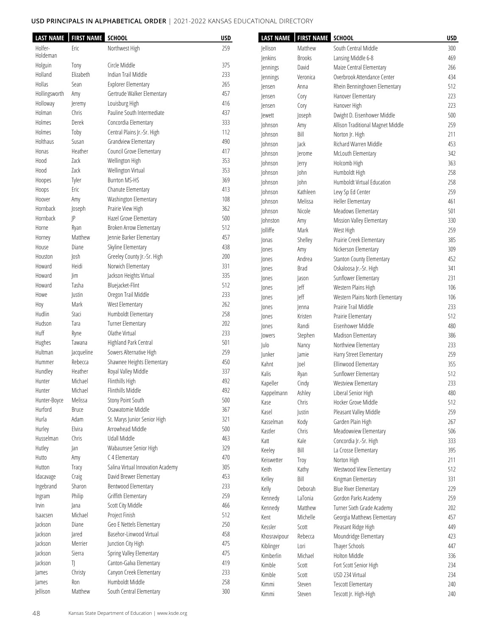| <b>LAST NAME</b> | <b>FIRST NAME SCHOOL</b> |                                   | <b>USD</b> | <b>LAST NAME</b> | <b>FIRST NAME</b> | <b>SCHOOL</b>                     | <b>USD</b> |
|------------------|--------------------------|-----------------------------------|------------|------------------|-------------------|-----------------------------------|------------|
| Holfer-          | Eric                     | Northwest High                    | 259        | <b>Jellison</b>  | Matthew           | South Central Middle              | 300        |
| Holdeman         |                          |                                   |            | Jenkins          | <b>Brooks</b>     | Lansing Middle 6-8                | 469        |
| Holguin          | Tony                     | Circle Middle                     | 375        | Jennings         | David             | Maize Central Elementary          | 266        |
| Holland          | Elizabeth                | Indian Trail Middle               | 233        | Jennings         | Veronica          | Overbrook Attendance Center       | 434        |
| Hollas           | Sean                     | <b>Explorer Elementary</b>        | 265        | lensen           | Anna              | Rhein Benninghoven Elementary     | 512        |
| Hollingsworth    | Amy                      | Gertrude Walker Elementary        | 457        | lensen           | Cory              | Hanover Elementary                | 223        |
| Holloway         | Jeremy                   | Louisburg High                    | 416        | lensen           | Cory              | Hanover High                      | 223        |
| Holman           | Chris                    | Pauline South Intermediate        | 437        | Jewett           | Joseph            | Dwight D. Eisenhower Middle       | 500        |
| Holmes           | Derek                    | Concordia Elementary              | 333        | Johnson          | Amy               | Allison Traditional Magnet Middle | 259        |
| Holmes           | Toby                     | Central Plains Jr.-Sr. High       | 112        | Johnson          | Bill              | Norton Jr. High                   | 211        |
| Holthaus         | Susan                    | Grandview Elementary              | 490        | Johnson          | Jack              | Richard Warren Middle             | 453        |
| Honas            | Heather                  | Council Grove Elementary          | 417        |                  |                   |                                   | 342        |
| Hood             | Zack                     | Wellington High                   | 353        | Johnson          | Jerome            | McLouth Elementary                |            |
| Hood             | Zack                     | Wellington Virtual                | 353        | Johnson          | Jerry             | Holcomb High                      | 363        |
| Hoopes           | Tyler                    | <b>Burrton MS-HS</b>              | 369        | Johnson          | John              | Humboldt High                     | 258        |
| Hoops            | Eric                     | Chanute Elementary                | 413        | Johnson          | John              | Humboldt Virtual Education        | 258        |
| Hoover           | Amy                      | Washington Elementary             | 108        | Johnson          | Kathleen          | Levy Sp Ed Center                 | 259        |
| Hornback         | Joseph                   | Prairie View High                 | 362        | Johnson          | Melissa           | Heller Elementary                 | 461        |
| Hornback         | P                        |                                   |            | Johnson          | Nicole            | Meadows Elementary                | 501        |
|                  |                          | Hazel Grove Elementary            | 500<br>512 | Johnston         | Amy               | Mission Valley Elementary         | 330        |
| Horne            | Ryan                     | Broken Arrow Elementary           |            | Jolliffe         | Mark              | West High                         | 259        |
| Horney           | Matthew                  | Jennie Barker Elementary          | 457        | Jonas            | Shelley           | Prairie Creek Elementary          | 385        |
| House            | Diane                    | Skyline Elementary                | 438        | Jones            | Amy               | Nickerson Elementary              | 309        |
| Houston          | Josh                     | Greeley County Jr.-Sr. High       | 200        | Jones            | Andrea            | Stanton County Elementary         | 452        |
| Howard           | Heidi                    | Norwich Elementary                | 331        | Jones            | <b>Brad</b>       | Oskaloosa Jr.-Sr. High            | 341        |
| Howard           | Jim                      | Jackson Heights Virtual           | 335        | Jones            | Jason             | Sunflower Elementary              | 231        |
| Howard           | Tasha                    | Bluejacket-Flint                  | 512        | Jones            | Jeff              | Western Plains High               | 106        |
| Howe             | Justin                   | Oregon Trail Middle               | 233        | Jones            | Jeff              | Western Plains North Elementary   | 106        |
| Hoy              | Mark                     | West Elementary                   | 262        | Jones            | Jenna             | Prairie Trail Middle              | 233        |
| Hudlin           | Staci                    | Humboldt Elementary               | 258        | Jones            | Kristen           | Prairie Elementary                | 512        |
| Hudson           | Tara                     | Turner Elementary                 | 202        | Jones            | Randi             | Eisenhower Middle                 | 480        |
| Huff             | Ryne                     | Olathe Virtual                    | 233        | <b>lowers</b>    | Stephen           | Madison Elementary                | 386        |
| Hughes           | Tawana                   | Highland Park Central             | 501        | Julo             | Nancy             | Northview Elementary              | 233        |
| Hultman          | Jacqueline               | Sowers Alternative High           | 259        | Junker           | Jamie             | Harry Street Elementary           | 259        |
| Hummer           | Rebecca                  | Shawnee Heights Elementary        | 450        | Kahnt            | Joel              | Ellinwood Elementary              | 355        |
| Hundley          | Heather                  | Royal Valley Middle               | 337        | Kalis            | Ryan              | Sunflower Elementary              | 512        |
| Hunter           | Michael                  | <b>Flinthills High</b>            | 492        | Kapeller         | Cindy             | Westview Elementary               | 233        |
| Hunter           | Michael                  | Flinthills Middle                 | 492        | Kappelmann       | Ashley            | Liberal Senior High               | 480        |
| Hunter-Boyce     | Melissa                  | Stony Point South                 | 500        | Kase             | Chris             | Hocker Grove Middle               | 512        |
| Hurford          | Bruce                    | Osawatomie Middle                 | 367        | Kasel            | Justin            | Pleasant Valley Middle            | 259        |
| Hurla            | Adam                     | St. Marys Junior Senior High      | 321        | Kasselman        | Kody              | Garden Plain High                 | 267        |
| Hurley           | Elvira                   | Arrowhead Middle                  | 500        | Kastler          | Chris             | Meadowview Elementary             | 506        |
| Husselman        | Chris                    | Udall Middle                      | 463        |                  |                   | Concordia Jr.-Sr. High            |            |
| Hutley           | Jan                      | Wabaunsee Senior High             | 329        | Katt             | Kale              |                                   | 333        |
| Hutto            | Amy                      | C 4 Elementary                    | 470        | Keeley           | Bill              | La Crosse Elementary              | 395        |
| Hutton           | Tracy                    | Salina Virtual Innovation Academy | 305        | Keiswetter       | Troy              | Norton High                       | 211        |
| Idacavage        | Craig                    | David Brewer Elementary           | 453        | Keith            | Kathy             | Westwood View Elementary          | 512        |
| Ingebrand        | Sharon                   | Bentwood Elementary               | 233        | Kelley           | Bill              | Kingman Elementary                | 331        |
|                  | Philip                   | Griffith Elementary               | 259        | Kelly            | Deborah           | <b>Blue River Elementary</b>      | 229        |
| Ingram<br>Irvin  | Jana                     | Scott City Middle                 | 466        | Kennedy          | LaTonia           | Gordon Parks Academy              | 259        |
|                  | Michael                  | Project Finish                    | 512        | Kennedy          | Matthew           | Turner Sixth Grade Academy        | 202        |
| Isaacsen         |                          |                                   |            | Kent             | Michelle          | Georgia Matthews Elementary       | 457        |
| Jackson          | Diane                    | Geo E Nettels Elementary          | 250        | Kessler          | Scott             | Pleasant Ridge High               | 449        |
| Jackson          | Jared                    | Basehor-Linwood Virtual           | 458        | Khosravipour     | Rebecca           | Moundridge Elementary             | 423        |
| Jackson          | Merrier                  | Junction City High                | 475        | Kiblinger        | Lori              | Thayer Schools                    | 447        |
| Jackson          | Sierra                   | Spring Valley Elementary          | 475        | Kimberlin        | Michael           | Holton Middle                     | 336        |
| Jackson          | IJ                       | Canton-Galva Elementary           | 419        | Kimble           | Scott             | Fort Scott Senior High            | 234        |
| James            | Christy                  | Canyon Creek Elementary           | 233        | Kimble           | Scott             | USD 234 Virtual                   | 234        |
| James            | Ron                      | Humboldt Middle                   | 258        | Kimmi            | Steven            | <b>Tescott Elementary</b>         | 240        |
| Jellison         | Matthew                  | South Central Elementary          | 300        | Kimmi            | Steven            | Tescott Jr. High-High             | 240        |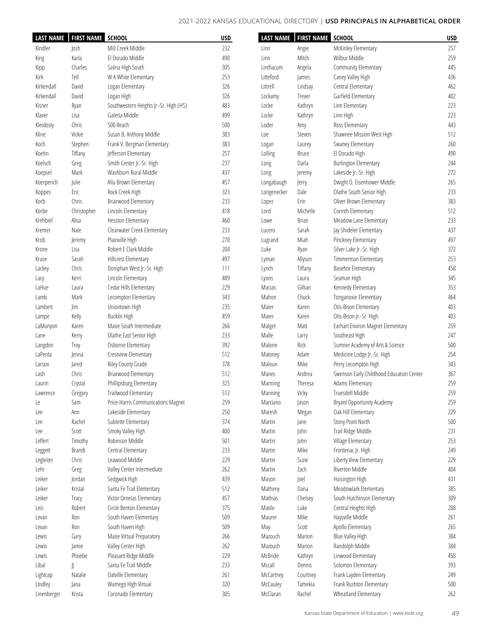| <b>LAST NAME</b> | <b>FIRST NAME SCHOOL</b> |                                        | <b>USD</b> |                | LAST NAME   FIRST NAME | <b>SCHOOL</b>                            | <b>USD</b> |
|------------------|--------------------------|----------------------------------------|------------|----------------|------------------------|------------------------------------------|------------|
| Kindler          | Josh                     | Mill Creek Middle                      | 232        | Linn           | Angie                  | McKinley Elementary                      | 257        |
| King             | Karla                    | El Dorado Middle                       | 490        | Linn           | Mitch                  | Wilbur Middle                            | 259        |
| Kipp             | Charles                  | Salina High South                      | 305        | Linthacum      | Angela                 | Community Elementary                     | 445        |
| Kirk             | Tell                     | W A White Elementary                   | 253        | Litteford      | James                  | Caney Valley High                        | 436        |
| Kirkendall       | David                    | Logan Elementary                       | 326        | Littrell       | Lindsay                | Central Elementary                       | 462        |
| Kirkendall       | David                    | Logan High                             | 326        | Lockamy        | Trever                 | Garfield Elementary                      | 402        |
|                  |                          |                                        | 483        | Locke          |                        |                                          | 223        |
| Kisner           | Ryan                     | Southwestern Heights Jr.-Sr. High (HS) |            |                | Kathryn                | Linn Elementary                          |            |
| Klaver           | Lisa                     | Galena Middle                          | 499        | Locke          | Kathryn                | Linn High                                | 223        |
| Kleidosty        | Chris                    | 500 Reach                              | 500        | Loder          | Amy                    | Ross Elementary                          | 443        |
| Kline            | Vickie                   | Susan B. Anthony Middle                | 383        | Loe            | Steven                 | Shawnee Mission West High                | 512        |
| Koch             | Stephen                  | Frank V. Bergman Elementary            | 383        | Logan          | Laurey                 | Swaney Elementary                        | 260        |
| Koehn            | Tiffany                  | Jefferson Elementary                   | 257        | Lolling        | <b>Bruce</b>           | El Dorado High                           | 490        |
| Koelsch          | Greg                     | Smith Center Jr.-Sr. High              | 237        | Long           | Darla                  | <b>Burlington Elementary</b>             | 244        |
| Koepsel          | Mark                     | Washburn Rural Middle                  | 437        | Long           | Jeremy                 | Lakeside Jr.-Sr. High                    | 272        |
| Koerperich       | Julie                    | Alta Brown Elementary                  | 457        | Longabaugh     | Jerry                  | Dwight D. Eisenhower Middle              | 265        |
| Koppes           | Eric                     | Rock Creek High                        | 323        | Longenecker    | Dale                   | Olathe South Senior High                 | 233        |
| Korb             | Chris                    | Briarwood Elementary                   | 233        | Lopez          | Erin                   | Oliver Brown Elementary                  | 383        |
| Korbe            | Christopher              | Lincoln Elementary                     | 418        | Lord           | Michelle               | Corinth Elementary                       | 512        |
| Krehbiel         | Alisa                    | Hesston Elementary                     | 460        | Lowe           | <b>Brian</b>           | Meadow Lane Elementary                   | 233        |
| Kremer           | Nate                     | Clearwater Creek Elementary            | 233        | Lucero         | Sarah                  | Jay Shideler Elementary                  | 437        |
| Krob             | Jeremy                   | Plainville High                        | 270        | Lugrand        | Miah                   | Pinckney Elementary                      | 497        |
| Krone            | Lisa                     | Robert E Clark Middle                  | 204        | Luke           | Ryan                   | Silver Lake Jr.-Sr. High                 | 372        |
|                  | Sarah                    | <b>Hillcrest Elementary</b>            | 497        |                | Allyson                | Timmerman Elementary                     | 253        |
| Kruse            |                          |                                        |            | Lyman          |                        |                                          | 458        |
| Lackey           | Chris                    | Doniphan West Jr.-Sr. High             | 111        | Lynch          | Tiffany                | Basehor Elementary                       |            |
| Lacy             | Kerri                    | Lincoln Elementary                     | 489        | Lyons          | Laura                  | Seaman High                              | 345        |
| LaHue            | Laura                    | Cedar Hills Elementary                 | 229        | Macias         | Gillian                | Kennedy Elementary                       | 353        |
| Lamb             | Mark                     | Lecompton Elementary                   | 343        | Mahon          | Chuck                  | Tonganoxie Elementary                    | 464        |
| Lambert          | im                       | Uniontown High                         | 235        | Maier          | Karen                  | Otis-Bison Elementary                    | 403        |
| Lampe            | Kelly                    | <b>Bucklin High</b>                    | 459        | Maier          | Karen                  | Otis-Bison Jr.-Sr. High                  | 403        |
| LaMunyon         | Karen                    | Maize South Intermediate               | 266        | Malget         | Matt                   | Earhart Environ Magnet Elementary        | 259        |
| Lane             | Kerry                    | Olathe East Senior High                | 233        | Malle          | Larry                  | Southeast High                           | 247        |
| Langdon          | Troy                     | Osborne Elementary                     | 392        | Malone         | Rick                   | Sumner Academy of Arts & Science         | 500        |
| LaPenta          | enna                     | Crestview Elementary                   | 512        | Maloney        | Adam                   | Medicine Lodge Jr.-Sr. High              | 254        |
| Larson           | Jared                    | Riley County Grade                     | 378        | Maloun         | Mike                   | Perry Lecompton High                     | 343        |
| Lash             | Chris                    | Briarwood Elementary                   | 512        | Manes          | Andrea                 | Swenson Early Childhood Education Center | 367        |
| Laurin           | Crystal                  | Phillipsburg Elementary                | 325        | <b>Manning</b> | Theresa                | Adams Elementary                         | 259        |
| Lawrence         | Gregory                  | Trailwood Elementary                   | 512        | Manning        | Vicky                  | Truesdell Middle                         | 259        |
| Le               | Sam                      | Price-Harris Communications Magnet     | 259        | Marciano       | Jason                  | <b>Bryant Opportunity Academy</b>        | 259        |
| Lee              | Ann                      | Lakeside Elementary                    | 250        | Maresh         | Megan                  | Oak Hill Elementary                      | 229        |
| Lee              | Rachel                   | Sublette Elementary                    | 374        | Martin         | Jane                   | Stony Point North                        | 500        |
|                  | Scott                    |                                        | 400        |                | John                   |                                          | 231        |
| Lee              |                          | Smoky Valley High                      |            | Martin         |                        | Trail Ridge Middle                       |            |
| Leffert          | Timothy                  | Robinson Middle                        | 501        | Martin         | John                   | Village Elementary                       | 253        |
| Leggett          | Brandi                   | Central Elementary                     | 233        | Martin         | Mike                   | Frontenac Jr. High                       | 249        |
| Legleiter        | Chris                    | Leawood Middle                         | 229        | Martin         | Suzie                  | Liberty View Elementary                  | 229        |
| Lehr             | Greg                     | Valley Center Intermediate             | 262        | Martin         | Zach                   | Riverton Middle                          | 404        |
| Leiker           | Jordan                   | Sedgwick High                          | 439        | Mason          | Joel                   | Hoisington High                          | 431        |
| Leiker           | Kristal                  | Santa Fe Trail Elementary              | 512        | Matheny        | Dana                   | Meadowlark Elementary                    | 385        |
| Leiker           | Tracy                    | Victor Ornelas Elementary              | 457        | Mathias        | Chelsey                | South Hutchinson Elementary              | 309        |
| Leis             | Robert                   | Circle Benton Elementary               | 375        | Matile         | Luke                   | Central Heights High                     | 288        |
| Levan            | Ron                      | South Haven Elementary                 | 509        | Maurer         | Mike                   | Haysville Middle                         | 261        |
| Levan            | Ron                      | South Haven High                       | 509        | May            | Scott                  | Apollo Elementary                        | 265        |
| Lewis            | Gary                     | Maize Virtual Preparatory              | 266        | Mazouch        | Marion                 | Blue Valley High                         | 384        |
| Lewis            | Jamie                    | Valley Center High                     | 262        | Mazouch        | Marion                 | Randolph Middle                          | 384        |
| Lewis            | Phoebe                   | Pleasant Ridge Middle                  | 229        | McBride        | Kathryn                | Linwood Elementary                       | 458        |
| Libal            | JJ                       | Santa Fe Trail Middle                  | 233        | Mccall         | Dennis                 | Solomon Elementary                       | 393        |
| Lightcap         | Natalie                  | Oatville Elementary                    | 261        | McCartney      | Courtney               | Frank Layden Elementary                  | 249        |
|                  |                          |                                        |            |                |                        | Frank Rushton Elementary                 | 500        |
| Lindley          | Jana                     | Wamego High Virtual                    | 320        | McCauley       | Tamekia                |                                          |            |
| Linenberger      | Krista                   | Coronado Elementary                    | 305        | McClaran       | Rachel                 | Wheatland Elementary                     | 262        |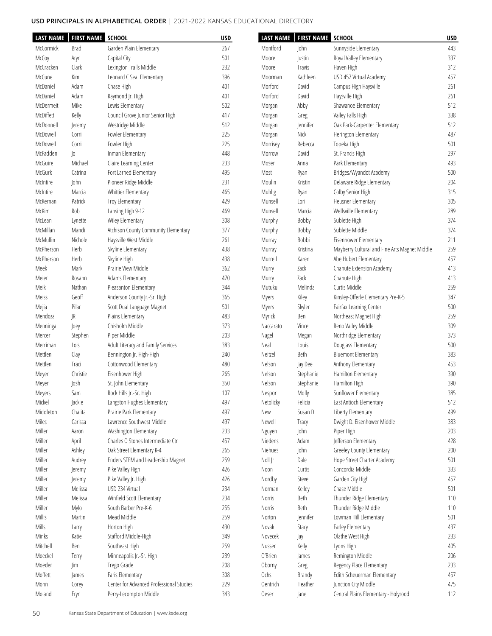| <b>LAST NAME</b> | <b>FIRST NAME SCHOOL</b> |                                          | <b>USD</b> | <b>LAST NAME</b>    | <b>FIRST NAME</b> | <b>SCHOOL</b>                                     | <b>USD</b> |
|------------------|--------------------------|------------------------------------------|------------|---------------------|-------------------|---------------------------------------------------|------------|
| McCormick        | Brad                     | Garden Plain Elementary                  | 267        | Montford            | John              | Sunnyside Elementary                              | 443        |
| McCoy            | Aryn                     | Capital City                             | 501        | Moore               | Justin            | Royal Valley Elementary                           | 337        |
| McCracken        | Clark                    | Lexington Trails Middle                  | 232        | Moore               | Travis            | Haven High                                        | 312        |
| McCune           | Kim                      | Leonard C Seal Elementary                | 396        | Moorman             | Kathleen          | USD 457 Virtual Academy                           | 457        |
| McDaniel         | Adam                     | Chase High                               | 401        | Morford             | David             | Campus High Haysville                             | 261        |
| McDaniel         | Adam                     | Raymond Jr. High                         | 401        | Morford             | David             | Haysville High                                    | 261        |
| McDermeit        | Mike                     | Lewis Elementary                         | 502        | Morgan              | Abby              | Shawanoe Elementary                               | 512        |
| McDiffett        | Kelly                    | Council Grove Junior Senior High         | 417        | Morgan              | Greg              | Valley Falls High                                 | 338        |
| McDonnell        | Jeremy                   | Westridge Middle                         | 512        | Morgan              | <b>Jennifer</b>   | Oak Park-Carpenter Elementary                     | 512        |
| McDowell         | Corri                    | Fowler Elementary                        | 225        | Morgan              | Nick              | Herington Elementary                              | 487        |
| McDowell         | Corri                    | Fowler High                              | 225        | Morrisey            | Rebecca           | Topeka High                                       | 501        |
| McFadden         | $ 0\rangle$              | Inman Elementary                         | 448        | Morrow              | David             | St. Francis High                                  | 297        |
| McGuire          | Michael                  | Claire Learning Center                   | 233        | Moser               | Anna              | Park Elementary                                   | 493        |
| McGurk           | Catrina                  | Fort Larned Elementary                   | 495        | Most                | Ryan              | Bridges/Wyandot Academy                           | 500        |
| McIntire         | John                     | Pioneer Ridge Middle                     | 231        | Moulin              | Kristin           | Delaware Ridge Elementary                         | 204        |
| McIntire         | Marcia                   | Whittier Elementary                      | 465        | Muhlig              | Ryan              | Colby Senior High                                 | 315        |
| McKernan         | Patrick                  | Troy Elementary                          | 429        | Munsell             | Lori              | Heusner Elementary                                | 305        |
| McKim            | Rob                      | Lansing High 9-12                        | 469        | Munsell             | Marcia            | Wellsville Elementary                             | 289        |
| McLean           | Lynette                  | Wiley Elementary                         | 308        | Murphy              | Bobby             | Sublette High                                     | 374        |
| McMillan         | Mandi                    | Atchison County Community Elementary     | 377        | Murphy              | Bobby             | Sublette Middle                                   | 374        |
| McMullin         | Nichole                  | Haysville West Middle                    | 261        | Murray              | Bobbi             | Eisenhower Elementary                             | 211        |
| McPherson        | Herb                     | Skyline Elementary                       | 438        | Murray              | Kristina          | Mayberry Cultural and Fine Arts Magnet Middle     | 259        |
| McPherson        | Herb                     | Skyline High                             | 438        | Murrell             | Karen             | Abe Hubert Elementary                             | 457        |
| Meek             | Mark                     | Prairie View Middle                      | 362        | Murry               | Zack              | Chanute Extension Academy                         | 413        |
| Meier            | Rosann                   | Adams Elementary                         | 470        | Murry               | Zack              | Chanute High                                      | 413        |
| Meik             | Nathan                   | Pleasanton Elementary                    | 344        | Mutuku              | Melinda           | Curtis Middle                                     | 259        |
| Meiss            | Geoff                    | Anderson County Jr.-Sr. High             | 365        | Myers               | Kiley             | Kinsley-Offerle Elementary Pre-K-5                | 347        |
| Mejia            | Pilar                    | Scott Dual Language Magnet               | 501        | Myers               | Skyler            | Fairfax Learning Center                           | 500        |
| Mendoza          | JR                       | Plains Elementary                        | 483        | Myrick              | Ben               | Northeast Magnet High                             | 259        |
| Menninga         | Joey                     | Chisholm Middle                          | 373        | Naccarato           | Vince             | Reno Valley Middle                                | 309        |
| Mercer           | Stephen                  | Piper Middle                             | 203        | Nagel               | Megan             | Northridge Elementary                             | 373        |
| Merriman         | Lois                     | Adult Literacy and Family Services       | 383        | Neal                | Louis             | Douglass Elementary                               | 500        |
| Mettlen          | Clay                     | Bennington Jr. High-High                 | 240        | Neitzel             | Beth              | <b>Bluemont Elementary</b>                        | 383        |
| Mettlen          | Traci                    | Cottonwood Elementary                    | 480        | Nelson              | Jay Dee           | Anthony Elementary                                | 453        |
| Meyer            | Christie                 | Eisenhower High                          | 265        | Nelson              | Stephanie         | Hamilton Elementary                               | 390        |
| Meyer            | Josh                     | St. John Elementary                      | 350        | Nelson              | Stephanie         | Hamilton High                                     | 390        |
|                  | Sam                      | Rock Hills Jr.-Sr. High                  | 107        |                     | Molly             | Sunflower Elementary                              | 385        |
| Meyers<br>Mickel | Jackie                   | Langston Hughes Elementary               | 497        | Nespor<br>Netolicky | Felicia           | East Antioch Elementary                           | 512        |
| Middleton        | Chalita                  | Prairie Park Elementary                  | 497        | New                 | Susan D.          | Liberty Elementary                                | 499        |
| Miles            | Carissa                  | Lawrence Southwest Middle                | 497        | Newell              |                   | Dwight D. Eisenhower Middle                       | 383        |
|                  |                          |                                          |            |                     | Tracy             |                                                   |            |
| Miller           | Aaron                    | Washington Elementary                    | 233        | Nguyen              | John              | Piper High                                        | 203        |
| Miller           | April                    | Charles O Stones Intermediate Ctr        | 457        | Niedens             | Adam              | Jefferson Elementary<br>Greeley County Elementary | 428        |
| Miller           | Ashley                   | Oak Street Elementary K-4                | 265        | Niehues             | John              |                                                   | 200        |
| Miller           | Audrey                   | Enders STEM and Leadership Magnet        | 259        | Noll Jr             | Dale              | Hope Street Charter Academy                       | 501        |
| Miller           | Jeremy                   | Pike Valley High                         | 426        | Noon                | Curtis            | Concordia Middle                                  | 333        |
| Miller           | Jeremy                   | Pike Valley Jr. High                     | 426        | Nordby              | Steve             | Garden City High                                  | 457        |
| Miller           | Melissa                  | USD 234 Virtual                          | 234        | Norman              | Kelley            | Chase Middle                                      | 501        |
| Miller           | Melissa                  | Winfield Scott Elementary                | 234        | Norris              | Beth              | Thunder Ridge Elementary                          | 110        |
| Miller           | Mylo                     | South Barber Pre-K-6                     | 255        | Norris              | Beth              | Thunder Ridge Middle                              | 110        |
| Millis           | Martin                   | Mead Middle                              | 259        | Norton              | <b>lennifer</b>   | Lowman Hill Elementary                            | 501        |
| Mills            | Larry                    | Horton High                              | 430        | Novak               | Stacy             | Farley Elementary                                 | 437        |
| Minks            | Katie                    | Stafford Middle-High                     | 349        | Novecek             | Jay               | Olathe West High                                  | 233        |
| Mitchell         | Ben                      | Southeast High                           | 259        | Nusser              | Kelly             | Lyons High                                        | 405        |
| Moeckel          | Terry                    | Minneapolis Jr.-Sr. High                 | 239        | O'Brien             | James             | Remington Middle                                  | 206        |
| Moeder           | im                       | Trego Grade                              | 208        | Oborny              | Greg              | Regency Place Elementary                          | 233        |
| Moffett          | James                    | Faris Elementary                         | 308        | Ochs                | Brandy            | Edith Scheuerman Elementary                       | 457        |
| Mohn             | Corey                    | Center for Advanced Professional Studies | 229        | Oentrich            | Heather           | Junction City Middle                              | 475        |
| Moland           | Eryn                     | Perry-Lecompton Middle                   | 343        | Oeser               | Jane              | Central Plains Elementary - Holyrood              | 112        |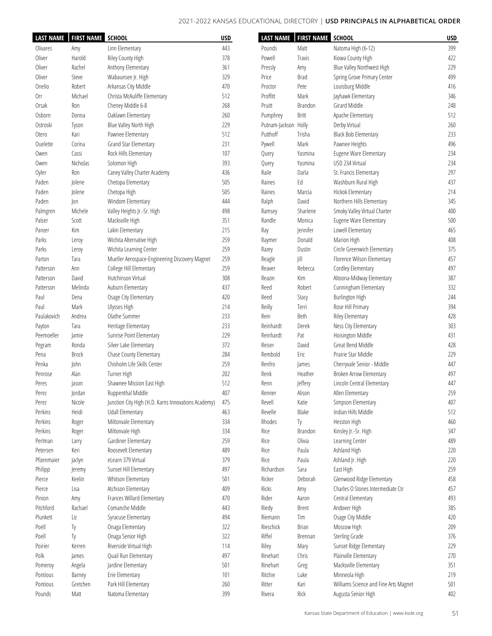| <b>LAST NAME</b> | <b>FIRST NAME</b> | <b>SCHOOL</b>                                       | <b>USD</b> | <b>LAST NAME</b>     | <b>FIRST NAME</b> | <b>SCHOOL</b>                         | <b>USD</b> |
|------------------|-------------------|-----------------------------------------------------|------------|----------------------|-------------------|---------------------------------------|------------|
| Olivares         | Amy               | Linn Elementary                                     | 443        | Pounds               | Matt              | Natoma High (6-12)                    | 399        |
| Oliver           | Harold            | Riley County High                                   | 378        | Powell               | Travis            | Kiowa County High                     | 422        |
| Oliver           | Rachel            | Anthony Elementary                                  | 361        | Pressly              | Amy               | Blue Valley Northwest High            | 229        |
| Oliver           | Steve             | Wabaunsee Jr. High                                  | 329        | Price                | <b>Brad</b>       | Spring Grove Primary Center           | 499        |
| Onelio           | Robert            | Arkansas City Middle                                | 470        | Proctor              | Pete              | Louisburg Middle                      | 416        |
| 0rr              | Michael           | Christa McAuliffe Elementary                        | 512        | Proffitt             | Mark              | Jayhawk Elementary                    | 346        |
| Orsak            | Ron               | Cheney Middle 6-8                                   | 268        | Pruitt               | Brandon           | Girard Middle                         | 248        |
| Osborn           | Donna             | Oaklawn Elementary                                  | 260        | Pumphrey             | <b>Britt</b>      | Apache Elementary                     | 512        |
| Ostroski         |                   | Blue Valley North High                              | 229        | Putnam-Jackson Holly |                   | Derby Virtual                         | 260        |
|                  | Tyson<br>Kari     | Pawnee Elementary                                   | 512        | Putthoff             | Trisha            | <b>Black Bob Elementary</b>           | 233        |
| Otero            |                   |                                                     | 231        |                      |                   |                                       | 496        |
| Ouelette         | Corina            | Grand Star Elementary                               |            | Pywell               | Mark              | Pawnee Heights                        |            |
| Owen             | Cassi             | Rock Hills Elementary                               | 107        | Query                | Yasmina           | Eugene Ware Elementary                | 234        |
| Owen             | Nicholas          | Solomon High                                        | 393        | Query                | Yasmina           | USD 234 Virtual                       | 234        |
| Oyler            | Ron               | Caney Valley Charter Academy                        | 436        | Raile                | Darla             | St. Francis Elementary                | 297        |
| Paden            | Jolene            | Chetopa Elementary                                  | 505        | Raines               | Ed                | Washburn Rural High                   | 437        |
| Paden            | Jolene            | Chetopa High                                        | 505        | Raines               | Marcia            | Hickok Elementary                     | 214        |
| Paden            | Jon               | Windom Elementary                                   | 444        | Ralph                | David             | Northern Hills Elementary             | 345        |
| Palmgren         | Michele           | Valley Heights Jr.-Sr. High                         | 498        | Ramsey               | Sharlene          | Smoky Valley Virtual Charter          | 400        |
| Palser           | Scott             | Macksville High                                     | 351        | Randle               | Monica            | Eugene Ware Elementary                | 500        |
| Panzer           | Kim               | Lakin Elementary                                    | 215        | Ray                  | Jennifer          | Lowell Elementary                     | 465        |
| Parks            | Leroy             | Wichita Alternative High                            | 259        | Raymer               | Donald            | Marion High                           | 408        |
| Parks            | Leroy             | Wichita Learning Center                             | 259        | Razey                | Dustin            | Circle Greenwich Elementary           | 375        |
| Parton           | Tara              | Mueller Aerospace-Engineering Discovery Magnet      | 259        | Reagle               | Jill              | Florence Wilson Elementary            | 457        |
| Patterson        | Ann               | College Hill Elementary                             | 259        | Reaver               | Rebecca           | Cordley Elementary                    | 497        |
| Patterson        | David             | Hutchinson Virtual                                  | 308        | Reazin               | Kim               | Altoona-Midway Elementary             | 387        |
| Patterson        | Melinda           | Auburn Elementary                                   | 437        | Reed                 | Robert            | Cunningham Elementary                 | 332        |
| Paul             | Dena              | Osage City Elementary                               | 420        | Reed                 | Stacy             | Burlington High                       | 244        |
| Paul             | Mark              | Ulysses High                                        | 214        | Reilly               | Terri             | Rose Hill Primary                     | 394        |
| Paulakovich      | Andrea            | Olathe Summer                                       | 233        | Rein                 | Beth              | Riley Elementary                      | 428        |
| Payton           | Tara              | Heritage Elementary                                 | 233        | Reinhardt            | Derek             | Ness City Elementary                  | 303        |
| Peemoeller       | Jamie             | Sunrise Point Elementary                            | 229        | Reinhardt            | Pat               | Hoisington Middle                     | 431        |
| Pegram           | Ronda             | Silver Lake Elementary                              | 372        | Reiser               | David             | Great Bend Middle                     | 428        |
| Pena             | Brock             | Chase County Elementary                             | 284        | Rembold              | Eric              | Prairie Star Middle                   | 229        |
| Penka            | John              | Chisholm Life Skills Center                         | 259        | Renfro               | James             | Cherryvale Senior - Middle            | 447        |
|                  | Alan              | Turner High                                         | 202        | Renk                 | Heather           | Broken Arrow Elementary               | 497        |
| Penrose          |                   |                                                     |            |                      |                   |                                       |            |
| Peres            | Jason             | Shawnee Mission East High                           | 512        | Renn                 | Jeffery           | Lincoln Central Elementary            | 447        |
| Perez            | Jordan            | Ruppenthal Middle                                   | 407        | Renner               | Alison            | Allen Elementary                      | 259        |
| Perez            | Nicole            | Junction City High (H.D. Karns Innovations Academy) | 475        | Revell               | Katie             | Simpson Elementary                    | 407        |
| Perkins          | Heidi             | Udall Elementary                                    | 463        | Revelle              | Blake             | Indian Hills Middle                   | 512        |
| Perkins          | Roger             | Miltonvale Elementary                               | 334        | Rhodes               | Ty                | Hesston High                          | 460        |
| Perkins          | Roger             | Miltonvale High                                     | 334        | Rice                 | Brandon           | Kinsley Jr.-Sr. High                  | 347        |
| Perlman          | Larry             | Gardiner Elementary                                 | 259        | Rice                 | Olivia            | Learning Center                       | 489        |
| Petersen         | Keri              | Roosevelt Elementary                                | 489        | Rice                 | Paula             | Ashland High                          | 220        |
| Pfizenmaier      | Jaclyn            | eLearn 379 Virtual                                  | 379        | Rice                 | Paula             | Ashland Jr. High                      | 220        |
| Philipp          | Jeremy            | Sunset Hill Elementary                              | 497        | Richardson           | Sara              | East High                             | 259        |
| Pierce           | Keelin            | Whitson Elementary                                  | 501        | Ricker               | Deborah           | Glenwood Ridge Elementary             | 458        |
| Pierce           | Lisa              | Atchison Elementary                                 | 409        | Ricks                | Amy               | Charles O Stones Intermediate Ctr     | 457        |
| Pinion           | Amy               | Frances Willard Elementary                          | 470        | Rider                | Aaron             | Central Elementary                    | 493        |
| Pitchford        | Rachael           | Comanche Middle                                     | 443        | Riedy                | Brent             | Andover High                          | 385        |
| Plunkett         | Liz               | Syracuse Elementary                                 | 494        | Riemann              | Tim               | Osage City Middle                     | 420        |
| Poell            | Тy                | Onaga Elementary                                    | 322        | Rieschick            | <b>Brian</b>      | Moscow High                           | 209        |
| Poell            | Тy                | Onaga Senior High                                   | 322        | Riffel               | Brennan           | <b>Sterling Grade</b>                 | 376        |
| Poirier          | Kerren            | Riverside Virtual High                              | 114        | Riley                | Mary              | Sunset Ridge Elementary               | 229        |
| Polk             | James             | Quail Run Elementary                                | 497        | Rinehart             | Chris             | Plainville Elementary                 | 270        |
| Pomeroy          | Angela            | Jardine Elementary                                  | 501        | Rinehart             | Greg              | Macksville Elementary                 | 351        |
| Pontious         | Barney            | Erie Elementary                                     | 101        | Ritchie              | Luke              | Minneola High                         | 219        |
| Pontious         | Gretchen          | Park Hill Elementary                                | 260        | Ritter               | Kari              | Williams Science and Fine Arts Magnet | 501        |
|                  | Matt              | Natoma Elementary                                   | 399        |                      |                   | Augusta Senior High                   | 402        |
| Pounds           |                   |                                                     |            | Rivera               | Rick              |                                       |            |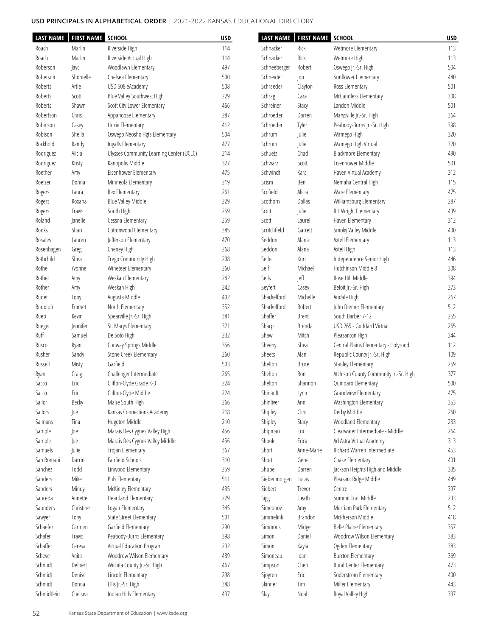| <b>LAST NAME</b> | <b>FIRST NAME SCHOOL</b> |                                          | <b>USD</b> | <b>LAST NAME</b> | FIRST NAME SCHOOL |                                        | <b>USD</b> |
|------------------|--------------------------|------------------------------------------|------------|------------------|-------------------|----------------------------------------|------------|
| Roach            | Marlin                   | Riverside High                           | 114        | Schnacker        | Rick              | Wetmore Elementary                     | 113        |
| Roach            | Marlin                   | Riverside Virtual High                   | 114        | Schnacker        | Rick              | Wetmore High                           | 113        |
| Roberson         | Jayci                    | Woodlawn Elementary                      | 497        | Schneeberger     | Robert            | Oswego Jr.-Sr. High                    | 504        |
| Roberson         | Shonielle                | Chelsea Elementary                       | 500        | Schneider        | Jon               | Sunflower Elementary                   | 480        |
| Roberts          | Artie                    | USD 508 eAcademy                         | 508        | Schraeder        | Clayton           | Ross Elementary                        | 501        |
| Roberts          | Scott                    | Blue Valley Southwest High               | 229        | Schrag           | Cara              | McCandless Elementary                  | 308        |
| Roberts          | Shawn                    | Scott City Lower Elementary              | 466        | Schreiner        | Stacy             | Landon Middle                          | 501        |
| Robertson        | Chris                    | Appanoose Elementary                     | 287        | Schroeder        | Darren            | Marysville Jr.-Sr. High                | 364        |
| Robinson         | Casey                    | Hoxie Elementary                         | 412        | Schroeder        | Tyler             | Peabody-Burns Jr.-Sr. High             | 398        |
| Robison          | Sheila                   | Oswego Neosho Hgts Elementary            | 504        | Schrum           | Julie             | Wamego High                            | 320        |
| Rockhold         | Randy                    | Ingalls Elementary                       | 477        | Schrum           | Julie             | Wamego High Virtual                    | 320        |
| Rodriguez        | Alicia                   | Ulysses Community Learning Center (UCLC) | 214        | Schuetz          | Chad              | <b>Blackmore Elementary</b>            | 490        |
| Rodriguez        | Kristy                   | Kanopolis Middle                         | 327        | Schwarz          | Scott             | Eisenhower Middle                      | 501        |
| Roether          | Amy                      | Eisenhower Elementary                    | 475        | Schwindt         | Kara              | Haven Virtual Academy                  | 312        |
| Roetzer          | Donna                    | Minneola Elementary                      | 219        | Scism            | Ben               | Nemaha Central High                    | 115        |
| Rogers           | Laura                    | Rex Elementary                           | 261        | Scofield         | Alicia            | Ware Elementary                        | 475        |
| Rogers           | Roxana                   | Blue Valley Middle                       | 229        | Scothorn         | Dallas            | Williamsburg Elementary                | 287        |
| Rogers           | Travis                   | South High                               | 259        | Scott            | Julie             | R L Wright Elementary                  | 439        |
| Roland           | Janelle                  | Cessna Elementary                        | 259        | Scott            | Laurel            | Haven Elementary                       | 312        |
| Rooks            | Shari                    | Cottonwood Elementary                    | 385        | Scritchfield     | Garrett           | Smoky Valley Middle                    | 400        |
| Rosales          | Lauren                   | Jefferson Elementary                     | 470        | Seddon           | Alana             | Axtell Elementary                      | 113        |
| Rosenhagen       | Greg                     | Cheney High                              | 268        | Seddon           | Alana             | Axtell High                            | 113        |
| Rothchild        | Shea                     | Trego Community High                     | 208        | Seiler           | Kurt              | Independence Senior High               | 446        |
| Rothe            | Yvonne                   | Wineteer Elementary                      | 260        | Self             | Michael           | Hutchinson Middle 8                    | 308        |
| Rother           | Amy                      | Weskan Elementary                        | 242        | Sells            | Jeff              | Rose Hill Middle                       | 394        |
| Rother           | Amy                      | Weskan High                              | 242        | Seyfert          | Casey             | Beloit Jr.-Sr. High                    | 273        |
| Ruder            | Toby                     | Augusta Middle                           | 402        | Shackelford      | Michelle          | Andale High                            | 267        |
| Rudolph          | Emmet                    | North Elementary                         | 352        | Shackelford      | Robert            | John Diemer Elementary                 | 512        |
| Rueb             | Kevin                    | Spearville Jr.-Sr. High                  | 381        | Shaffer          | <b>Brent</b>      | South Barber 7-12                      | 255        |
| Rueger           | <b>Jennifer</b>          | St. Marys Elementary                     | 321        | Sharp            | Brenda            | USD 265 - Goddard Virtual              | 265        |
| Ruff             | Samuel                   | De Soto High                             | 232        | Shaw             | Mitch             | Pleasanton High                        | 344        |
| Rusco            | Ryan                     | Conway Springs Middle                    | 356        | Sheehy           | Shea              | Central Plains Elementary - Holyrood   | 112        |
| Rusher           | Sandy                    | Stone Creek Elementary                   | 260        | Sheets           | Alan              | Republic County Jr.-Sr. High           | 109        |
| Russell          | Misty                    | Garfield                                 | 503        | Shelton          | Bruce             | <b>Stanley Elementary</b>              | 259        |
| Ryan             | Craig                    | Challenger Intermediate                  | 265        | Shelton          | Ron               | Atchison County Community Jr.-Sr. High | 377        |
| Sacco            | Eric                     | Clifton-Clyde Grade K-3                  | 224        | Shelton          | Shannon           | Quindaro Elementary                    | 500        |
| Sacco            | Eric                     | Clifton-Clyde Middle                     | 224        | Shinault         | Lynn              | Grandview Elementary                   | 475        |
| Sailor           | Becky                    | Maize South High                         | 266        | Shinliver        | Ann               | Washington Elementary                  | 353        |
| Sailors          | Joe                      | Kansas Connections Academy               | 218        | Shipley          | Clint             | Derby Middle                           | 260        |
| Salmans          | Tina                     | Hugoton Middle                           | 210        | Shipley          | Stacy             | Woodland Elementary                    | 233        |
| Sample           | oe                       | Marais Des Cygnes Valley High            | 456        | Shipman          | Eric              | Clearwater Intermediate - Middle       | 264        |
| Sample           | oe                       | Marais Des Cygnes Valley Middle          | 456        | Shook            | Erica             | Ad Astra Virtual Academy               | 313        |
| Samuels          | Julie                    | Trojan Elementary                        | 367        | Short            | Anne-Marie        | Richard Warren Intermediate            | 453        |
| San Romani       | Darrin                   | Fairfield Schools                        | 310        | Short            | Gene              | Chase Elementary                       | 401        |
| Sanchez          | Todd                     | Linwood Elementary                       | 259        | Shupe            | Darren            | Jackson Heights High and Middle        | 335        |
| Sanders          | Mike                     | Puls Elementary                          | 511        | Siebenmorgen     | Lucas             | Pleasant Ridge Middle                  | 449        |
| Sanders          | Mindy                    | McKinley Elementary                      | 435        | Siebert          | Trevor            | Centre                                 | 397        |
| Sauceda          | Annette                  | Heartland Elementary                     | 229        | Sigg             | Heath             | Summit Trail Middle                    | 233        |
| Saunders         | Christine                | Logan Elementary                         | 345        | Simeonov         | Amy               | Merriam Park Elementary                | 512        |
| Sawyer           | Tony                     | State Street Elementary                  | 501        | Simmelink        | Brandon           | McPherson Middle                       | 418        |
| Schaefer         | Carmen                   | Garfield Elementary                      | 290        | Simmons          | Midge             | Belle Plaine Elementary                | 357        |
| Schafer          | Travis                   | Peabody-Burns Elementary                 | 398        | Simon            | Daniel            | Woodrow Wilson Elementary              | 383        |
| Schaffer         | Ceresa                   | Virtual Education Program                | 232        | Simon            | Kayla             | Ogden Elementary                       | 383        |
| Scheve           | Anita                    | Woodrow Wilson Elementary                | 489        | Simoneau         | loan              | <b>Burrton Elementary</b>              | 369        |
| Schmidt          | Delbert                  | Wichita County Jr.-Sr. High              | 467        | Simpson          | Cheri             | Rural Center Elementary                | 473        |
| Schmidt          | Denise                   | Lincoln Elementary                       | 298        | Sjogren          | Eric              | Soderstrom Elementary                  | $400\,$    |
| Schmidt          | Donna                    | Ellis Jr.-Sr. High                       | 388        | Skinner          | Tim               | Miller Elementary                      | 443        |
| Schmidtlein      | Chelsea                  | Indian Hills Elementary                  | 437        | Slay             | Noah              | Royal Valley High                      | 337        |
|                  |                          |                                          |            |                  |                   |                                        |            |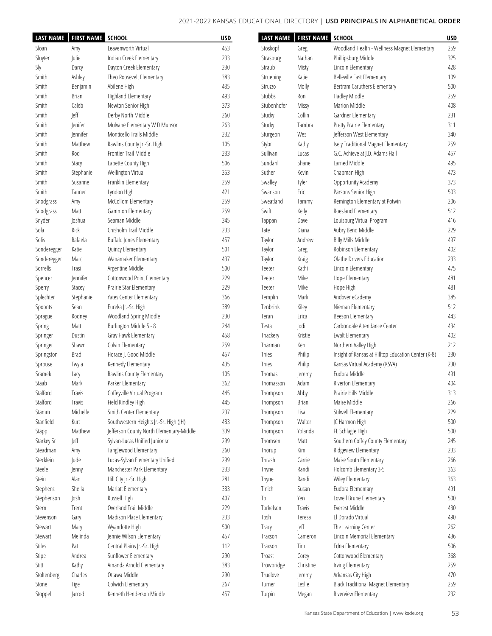۳.

 $\blacksquare$ 

|             | LAST NAME   FIRST NAME SCHOOL |                                          | <b>USD</b> |             | LAST NAME   FIRST NAME SCHOOL |                                                     | <b>USD</b> |
|-------------|-------------------------------|------------------------------------------|------------|-------------|-------------------------------|-----------------------------------------------------|------------|
| Sloan       | Amy                           | Leavenworth Virtual                      | 453        | Stoskopf    | Greg                          | Woodland Health - Wellness Magnet Elementary        | 259        |
| Sluyter     | Julie                         | Indian Creek Elementary                  | 233        | Strasburg   | Nathan                        | Phillipsburg Middle                                 | 325        |
| Sly         | Darcy                         | Dayton Creek Elementary                  | 230        | Straub      | Misty                         | Lincoln Elementary                                  | 428        |
| Smith       | Ashley                        | Theo Roosevelt Elementary                | 383        | Struebing   | Katie                         | Belleville East Elementary                          | 109        |
| Smith       | Benjamin                      | Abilene High                             | 435        | Struzzo     | Molly                         | Bertram Caruthers Elementary                        | 500        |
| Smith       | Brian                         | Highland Elementary                      | 493        | Stubbs      | Ron                           | Hadley Middle                                       | 259        |
| Smith       | Caleb                         | Newton Senior High                       | 373        | Stubenhofer | Missy                         | Marion Middle                                       | 408        |
| Smith       | Jeff                          | Derby North Middle                       | 260        | Stucky      | Collin                        | Gardner Elementary                                  | 231        |
| Smith       | Jenifer                       | Mulvane Elementary W D Munson            | 263        | Stucky      | Tambra                        | Pretty Prairie Elementary                           | 311        |
| Smith       | <b>lennifer</b>               | Monticello Trails Middle                 | 232        | Sturgeon    | Wes                           | Jefferson West Elementary                           | 340        |
| Smith       | Matthew                       | Rawlins County Jr.-Sr. High              | 105        | Stybr       | Kathy                         | Isely Traditional Magnet Elementary                 | 259        |
| Smith       | Rod                           | Frontier Trail Middle                    | 233        | Sullivan    |                               | G.C. Achieve at J.D. Adams Hall                     | 457        |
|             |                               |                                          |            |             | Lucas                         |                                                     |            |
| Smith       | Stacy                         | Labette County High                      | 506        | Sundahl     | Shane                         | Larned Middle                                       | 495        |
| Smith       | Stephanie                     | Wellington Virtual                       | 353        | Suther      | Kevin                         | Chapman High                                        | 473        |
| Smith       | Susanne                       | Franklin Elementary                      | 259        | Swalley     | Tyler                         | Opportunity Academy                                 | 373        |
| Smith       | Tanner                        | Lyndon High                              | 421        | Swanson     | Eric                          | Parsons Senior High                                 | 503        |
| Snodgrass   | Amy                           | McCollom Elementary                      | 259        | Sweatland   | Tammy                         | Remington Elementary at Potwin                      | 206        |
| Snodgrass   | Matt                          | Gammon Elementary                        | 259        | Swift       | Kelly                         | Roesland Elementary                                 | 512        |
| Snyder      | Joshua                        | Seaman Middle                            | 345        | Tappan      | Dave                          | Louisburg Virtual Program                           | 416        |
| Sola        | Rick                          | Chisholm Trail Middle                    | 233        | Tate        | Diana                         | Aubry Bend Middle                                   | 229        |
| Solis       | Rafaela                       | Buffalo Jones Elementary                 | 457        | Taylor      | Andrew                        | <b>Billy Mills Middle</b>                           | 497        |
| Sonderegger | Katie                         | Quincy Elementary                        | 501        | Taylor      | Greg                          | Robinson Elementary                                 | 402        |
| Sonderegger | Marc                          | Wanamaker Elementary                     | 437        | Taylor      | Kraig                         | Olathe Drivers Education                            | 233        |
| Sorrells    | Trasi                         | Argentine Middle                         | 500        | Teeter      | Kathi                         | Lincoln Elementary                                  | 475        |
| Spencer     | <b>Jennifer</b>               | Cottonwood Point Elementary              | 229        | Teeter      | Mike                          | Hope Elementary                                     | 481        |
| Sperry      | Stacey                        | Prairie Star Elementary                  | 229        | Teeter      | Mike                          | Hope High                                           | 481        |
| Splechter   | Stephanie                     | Yates Center Elementary                  | 366        | Templin     | Mark                          | Andover eCademy                                     | 385        |
| Spoonts     | Sean                          | Eureka Jr.-Sr. High                      | 389        | Tenbrink    | Kiley                         | Nieman Elementary                                   | 512        |
| Sprague     | Rodney                        | Woodland Spring Middle                   | 230        | Teran       | Erica                         | Beeson Elementary                                   | 443        |
| Spring      | Matt                          | Burlington Middle 5 - 8                  | 244        | Testa       | odi                           | Carbondale Attendance Center                        | 434        |
| Springer    | Dustin                        | Gray Hawk Elementary                     | 458        | Thackery    | Kristie                       | Ewalt Elementary                                    | 402        |
| Springer    | Shawn                         | Colvin Elementary                        | 259        | Tharman     | Ken                           | Northern Valley High                                | 212        |
| Springston  | Brad                          | Horace J. Good Middle                    | 457        | Thies       | Philip                        | Insight of Kansas at Hilltop Education Center (K-8) | 230        |
| Sprouse     | Twyla                         | Kennedy Elementary                       | 435        | Thies       | Philip                        | Kansas Virtual Academy (KSVA)                       | 230        |
| Sramek      |                               | Rawlins County Elementary                | 105        | Thomas      |                               | Eudora Middle                                       | 491        |
| Staab       | Lacy<br>Mark                  | Parker Elementary                        | 362        | Thomasson   | Jeremy<br>Adam                | Riverton Elementary                                 | 404        |
|             |                               |                                          |            |             |                               |                                                     |            |
| Stalford    | Travis                        | Coffeyville Virtual Program              | 445        | Thompson    | Abby                          | Prairie Hills Middle                                | 313        |
| Stalford    | Travis                        | Field Kindley High                       | 445        | Thompson    | <b>Brian</b>                  | Maize Middle                                        | 266        |
| Stamm       | Michelle                      | Smith Center Elementary                  | 237        | Thompson    | Lisa                          | Stilwell Elementary                                 | 229        |
| Stanfield   | Kurt                          | Southwestern Heights Jr.-Sr. High (JH)   | 483        | Thompson    | Walter                        | JC Harmon High                                      | 500        |
| Stapp       | Matthew                       | Jefferson County North Elementary-Middle | 339        | Thompson    | Yolanda                       | FL Schlagle High                                    | 500        |
| Starkey Sr  | Jeff                          | Sylvan-Lucas Unified Junior sr           | 299        | Thomsen     | Matt                          | Southern Coffey County Elementary                   | 245        |
| Steadman    | Amy                           | Tanglewood Elementary                    | 260        | Thorup      | Kim                           | Ridgeview Elementary                                | 233        |
| Stecklein   | Jude                          | Lucas-Sylvan Elementary Unified          | 299        | Thrash      | Carrie                        | Maize South Elementary                              | 266        |
| Steele      | Jenny                         | Manchester Park Elementary               | 233        | Thyne       | Randi                         | Holcomb Elementary 3-5                              | 363        |
| Stein       | Alan                          | Hill City Jr.-Sr. High                   | 281        | Thyne       | Randi                         | Wiley Elementary                                    | 363        |
| Stephens    | Sheila                        | Marlatt Elementary                       | 383        | Tinich      | Susan                         | Eudora Elementary                                   | 491        |
| Stephenson  | Josh                          | Russell High                             | 407        | To          | Yen                           | Lowell Brune Elementary                             | 500        |
| Stern       | Trent                         | Overland Trail Middle                    | 229        | Torkelson   | Travis                        | Everest Middle                                      | 430        |
| Stevenson   | Gary                          | Madison Place Elementary                 | 233        | Tosh        | Teresa                        | El Dorado Virtual                                   | 490        |
| Stewart     | Mary                          | Wyandotte High                           | 500        | Tracy       | Jeff                          | The Learning Center                                 | 262        |
| Stewart     | Melinda                       | Jennie Wilson Elementary                 | 457        | Traxson     | Cameron                       | Lincoln Memorial Elementary                         | 436        |
| Stiles      | Pat                           | Central Plains Jr.-Sr. High              | 112        | Traxson     | Tim                           | Edna Elementary                                     | 506        |
| Stipe       | Andrea                        | Sunflower Elementary                     | 290        | Troast      | Corey                         | Cottonwood Elementary                               | 368        |
| Stitt       | Kathy                         | Amanda Arnold Elementary                 | 383        | Trowbridge  | Christine                     | Irving Elementary                                   | 259        |
| Stoltenberg | Charles                       | Ottawa Middle                            | 290        | Truelove    | Jeremy                        | Arkansas City High                                  | 470        |
| Stone       | Tige                          | Colwich Elementary                       | 267        | Turner      | Leslie                        | <b>Black Traditional Magnet Elementary</b>          | 259        |
| Stoppel     | Jarrod                        | Kenneth Henderson Middle                 | 457        | Turpin      | Megan                         | Riverview Elementary                                | 232        |
|             |                               |                                          |            |             |                               |                                                     |            |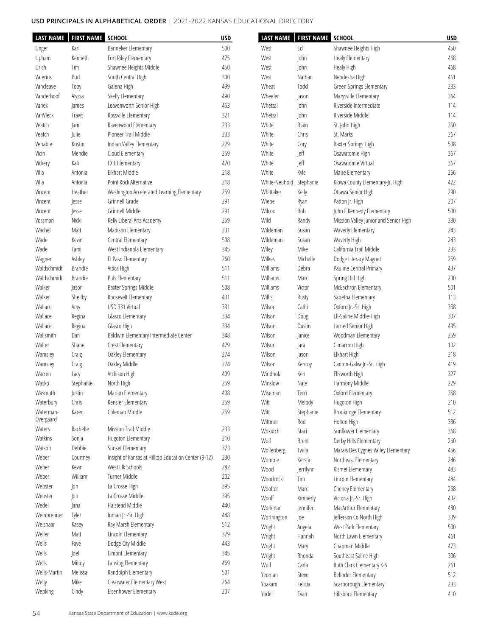| <b>LAST NAME</b> | <b>FIRST NAME SCHOOL</b> |                                                      | <b>USD</b> | <b>LAST NAME</b> | <b>FIRST NAME SCHOOL</b> |                                       | <b>USD</b> |
|------------------|--------------------------|------------------------------------------------------|------------|------------------|--------------------------|---------------------------------------|------------|
| Unger            | Karl                     | Banneker Elementary                                  | 500        | West             | Ed                       | Shawnee Heights High                  | 450        |
| Upham            | Kenneth                  | Fort Riley Elementary                                | 475        | West             | John                     | Healy Elementary                      | 468        |
| Urich            | Tim                      | Shawnee Heights Middle                               | 450        | West             | John                     | Healy High                            | 468        |
| Valerius         | Bud                      | South Central High                                   | 300        | West             | Nathan                   | Neodesha High                         | 461        |
| Vancleave        | Toby                     | Galena High                                          | 499        | Wheat            | Todd                     | Green Springs Elementary              | 233        |
| Vanderhoof       | Alyssa                   | Skelly Elementary                                    | 490        | Wheeler          | Jason                    | Marysville Elementary                 | 364        |
|                  |                          |                                                      |            |                  |                          | Riverside Intermediate                |            |
| Vanek            | James                    | Leavenworth Senior High                              | 453        | Whetzal          | John                     |                                       | 114        |
| VanVleck         | Travis                   | Rossville Elementary                                 | 321        | Whetzal          | John                     | Riverside Middle                      | 114        |
| Veatch           | Jami                     | Ravenwood Elementary                                 | 233        | White            | Blain                    | St. John High                         | 350        |
| Veatch           | Julie                    | Pioneer Trail Middle                                 | 233        | White            | Chris                    | St. Marks                             | 267        |
| Venable          | Kristin                  | Indian Valley Elementary                             | 229        | White            | Cory                     | Baxter Springs High                   | 508        |
| Vicin            | Mendie                   | Cloud Elementary                                     | 259        | White            | Jeff                     | Osawatomie High                       | 367        |
| Vickery          | Kali                     | IXL Elementary                                       | 470        | White            | Jeff                     | Osawatomie Virtual                    | 367        |
| Villa            | Antonia                  | Elkhart Middle                                       | 218        | White            | Kyle                     | Maize Elementary                      | 266        |
| Villa            | Antonia                  | Point Rock Alternative                               | 218        | White-Neuhold    | Stephanie                | Kiowa County Elementary-Jr. High      | 422        |
| Vincent          | Heather                  | Washington Accelerated Learning Elementary           | 259        | Whittaker        | Kelly                    | Ottawa Senior High                    | 290        |
| Vincent          | Jesse                    | Grinnell Grade                                       | 291        | Wiebe            | Ryan                     | Patton Jr. High                       | 207        |
| Vincent          | Jesse                    | Grinnell Middle                                      | 291        | Wilcox           | Bob                      | John F Kennedy Elementary             | 500        |
| Vossman          | Nicki                    | Kelly Liberal Arts Academy                           | 259        | Wild             | Randy                    | Mission Valley Junior and Senior High | 330        |
| Wachel           | Matt                     | Madison Elementary                                   | 231        | Wildeman         | Susan                    | Waverly Elementary                    | 243        |
| Wade             | Kevin                    | Central Elementary                                   | 508        | Wildeman         | Susan                    | Waverly High                          | 243        |
| Wade             | Tami                     | West Indianola Elementary                            | 345        | Wiley            | Mike                     | California Trail Middle               | 233        |
|                  |                          |                                                      |            | Wilkes           | Michelle                 |                                       | 259        |
| Wagner           | Ashley                   | El Paso Elementary                                   | 260        |                  |                          | Dodge Literacy Magnet                 |            |
| Waldschmidt      | <b>Brandie</b>           | Attica High                                          | 511        | Williams         | Debra                    | Pauline Central Primary               | 437        |
| Waldschmidt      | <b>Brandie</b>           | Puls Elementary                                      | 511        | Williams         | Marc                     | Spring Hill High                      | 230        |
| Walker           | Jason                    | Baxter Springs Middle                                | 508        | Williams         | Victor                   | McEachron Elementary                  | 501        |
| Walker           | Shellby                  | Roosevelt Elementary                                 | 431        | Willis           | Rusty                    | Sabetha Elementary                    | 113        |
| Wallace          | Amy                      | USD 331 Virtual                                      | 331        | Wilson           | Cathi                    | Oxford Jr.-Sr. High                   | 358        |
| Wallace          | Regina                   | Glasco Elementary                                    | 334        | Wilson           | Doug                     | Ell-Saline Middle-High                | 307        |
| Wallace          | Regina                   | Glasco High                                          | 334        | Wilson           | Dustin                   | Larned Senior High                    | 495        |
| Wallsmith        | Dan                      | Baldwin Elementary Intermediate Center               | 348        | Wilson           | Janice                   | Woodman Elementary                    | 259        |
| Walter           | Shane                    | Crest Elementary                                     | 479        | Wilson           | Jara                     | Cimarron High                         | 102        |
| Wamsley          | Craig                    | Oakley Elementary                                    | 274        | Wilson           | Jason                    | Elkhart High                          | 218        |
| Wamsley          | Craig                    | Oakley Middle                                        | 274        | Wilson           | Kenroy                   | Canton-Galva Jr.-Sr. High             | 419        |
| Warren           | Lacy                     | Atchison High                                        | 409        | Windholz         | Ken                      | Ellsworth High                        | 327        |
| Wasko            | Stephanie                | North High                                           | 259        | Winslow          | Nate                     | Harmony Middle                        | 229        |
| Wasmuth          | Justin                   | Marion Elementary                                    | 408        | Wiseman          | Terri                    | Oxford Elementary                     | 358        |
| Waterbury        | Chris                    | Kensler Elementary                                   | 259        | Witt             | Melody                   | Hugoton High                          | 210        |
| Waterman-        | Karen                    | Coleman Middle                                       | 259        | Witt             | Stephanie                | Brookridge Elementary                 | 512        |
| Overgaard        |                          |                                                      |            | Wittmer          | Rod                      | Holton High                           | 336        |
| Waters           | Rachelle                 | Mission Trail Middle                                 | 233        | Wokutch          | Staci                    | Sunflower Elementary                  | 368        |
| Watkins          | Sonja                    | Hugoton Elementary                                   | $210$      |                  |                          |                                       |            |
| Watson           | Debbie                   | Sunset Elementary                                    | 373        | Wolf             | Brent                    | Derby Hills Elementary                | 260        |
| Weber            | Courtney                 | Insight of Kansas at Hilltop Education Center (9-12) | 230        | Wollenberg       | Twila                    | Marais Des Cygnes Valley Elementary   | 456        |
| Weber            | Kevin                    | West Elk Schools                                     | 282        | Womble           | Kerstin                  | Northeast Elementary                  | 246        |
|                  | William                  | Turner Middle                                        | 202        | Wood             | Jerrilynn                | Kismet Elementary                     | 483        |
| Weber            |                          |                                                      |            | Woodcock         | Tim                      | Lincoln Elementary                    | 484        |
| Webster          | Jon                      | La Crosse High                                       | 395        | Woofter          | Marc                     | Cheney Elementary                     | 268        |
| Webster          | Jon                      | La Crosse Middle                                     | 395        | Woolf            | Kimberly                 | Victoria Jr.-Sr. High                 | 432        |
| Wedel            | Jana                     | Halstead Middle                                      | 440        | Workman          | Jennifer                 | MacArthur Elementary                  | 480        |
| Weinbrenner      | Tyler                    | Inman Jr.-Sr. High                                   | 448        | Worthington      | loe                      | Jefferson Co North High               | 339        |
| Weishaar         | Kasey                    | Ray Marsh Elementary                                 | 512        | Wright           | Angela                   | West Park Elementary                  | 500        |
| Weller           | Matt                     | Lincoln Elementary                                   | 379        | Wright           | Hannah                   | North Lawn Elementary                 | 461        |
| Wells            | Faye                     | Dodge City Middle                                    | 443        | Wright           | Mary                     | Chapman Middle                        | 473        |
| Wells            | Joel                     | Elmont Elementary                                    | 345        | Wright           | Rhonda                   | Southeast Saline High                 | 306        |
| Wells            | Mindy                    | Lansing Elementary                                   | 469        | Wulf             | Carla                    | Ruth Clark Elementary K-5             | 261        |
| Wells-Martin     | Melissa                  | Randolph Elementary                                  | 501        | Yeoman           | Steve                    | Belinder Elementary                   | 512        |
| Welty            | Mike                     | Clearwater Elementary West                           | 264        | Yoakam           | Felicia                  | Scarborough Elementary                | 233        |
| Wepking          | Cindy                    | Eisenhower Elementary                                | 207        |                  |                          |                                       |            |
|                  |                          |                                                      |            | Yoder            | Evan                     | Hillsboro Elementary                  | 410        |